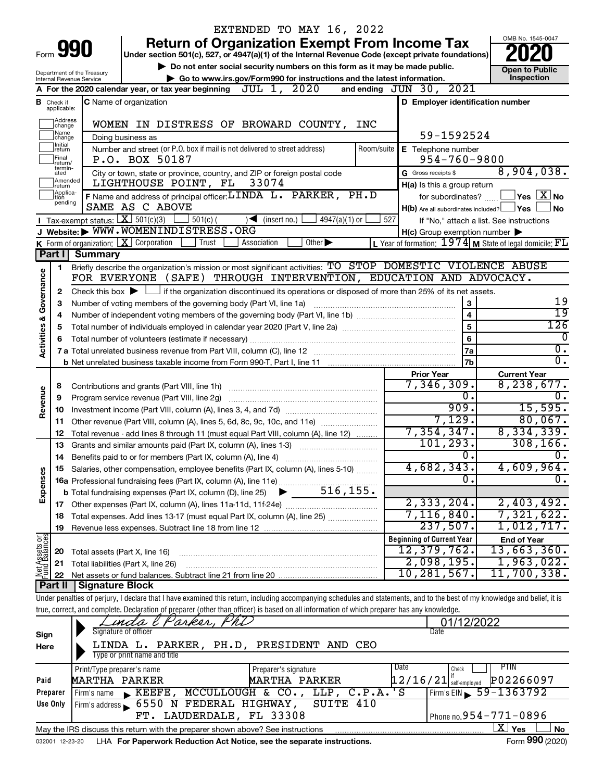|                         |                               |                                                        |                                                                                 | EXTENDED TO MAY 16, 2022                                                                                                                                                   |            |                                                     |                                                         |
|-------------------------|-------------------------------|--------------------------------------------------------|---------------------------------------------------------------------------------|----------------------------------------------------------------------------------------------------------------------------------------------------------------------------|------------|-----------------------------------------------------|---------------------------------------------------------|
|                         |                               |                                                        |                                                                                 | <b>Return of Organization Exempt From Income Tax</b>                                                                                                                       |            |                                                     | OMB No. 1545-0047                                       |
|                         |                               | Form 990                                               |                                                                                 | Under section 501(c), 527, or 4947(a)(1) of the Internal Revenue Code (except private foundations)                                                                         |            |                                                     |                                                         |
|                         |                               |                                                        |                                                                                 | Do not enter social security numbers on this form as it may be made public.                                                                                                |            |                                                     | <b>Open to Public</b>                                   |
|                         |                               | Department of the Treasury<br>Internal Revenue Service |                                                                                 | Go to www.irs.gov/Form990 for instructions and the latest information.                                                                                                     |            |                                                     | Inspection                                              |
|                         |                               |                                                        | A For the 2020 calendar year, or tax year beginning                             | JUL 1, 2020                                                                                                                                                                |            | 2021<br>and ending $JUN$ 30,                        |                                                         |
|                         | <b>B</b> Check if applicable: |                                                        | <b>C</b> Name of organization                                                   |                                                                                                                                                                            |            | D Employer identification number                    |                                                         |
|                         |                               |                                                        |                                                                                 |                                                                                                                                                                            |            |                                                     |                                                         |
|                         | Address<br>change             |                                                        |                                                                                 | WOMEN IN DISTRESS OF BROWARD COUNTY,                                                                                                                                       | INC        |                                                     |                                                         |
|                         | Name<br>change                |                                                        | Doing business as                                                               |                                                                                                                                                                            |            | 59-1592524                                          |                                                         |
|                         | Initial<br>]return            |                                                        |                                                                                 | Number and street (or P.O. box if mail is not delivered to street address)                                                                                                 | Room/suite | E Telephone number                                  |                                                         |
|                         | Final<br>return/              |                                                        | P.O. BOX 50187                                                                  |                                                                                                                                                                            |            | $954 - 760 - 9800$                                  |                                                         |
|                         | termin-<br>ated               |                                                        |                                                                                 | City or town, state or province, country, and ZIP or foreign postal code                                                                                                   |            | G Gross receipts \$                                 | 8,904,038.                                              |
|                         | Amended<br>Ireturn            |                                                        | LIGHTHOUSE POINT, FL                                                            | 33074                                                                                                                                                                      |            | H(a) Is this a group return                         |                                                         |
|                         | Applica-<br>tion<br>pending   |                                                        |                                                                                 | F Name and address of principal officer: LINDA L. PARKER, PH.D                                                                                                             |            | for subordinates?                                   | $\,$ Yes $\,$ $\rm X$ No $\,$                           |
|                         |                               |                                                        | SAME AS C ABOVE                                                                 |                                                                                                                                                                            |            | H(b) Are all subordinates included? Ves             | No                                                      |
|                         |                               |                                                        | Tax-exempt status: $X \over 301(c)(3)$<br>501(c)(                               | $4947(a)(1)$ or<br>$\sqrt{\bullet}$ (insert no.)                                                                                                                           | 527        |                                                     | If "No," attach a list. See instructions                |
|                         |                               |                                                        | J Website: WWW.WOMENINDISTRESS.ORG                                              |                                                                                                                                                                            |            | $H(c)$ Group exemption number $\blacktriangleright$ |                                                         |
|                         |                               |                                                        | <b>K</b> Form of organization: $\boxed{\textbf{X}}$ Corporation<br>Trust        | Other $\blacktriangleright$<br>Association                                                                                                                                 |            |                                                     | L Year of formation: 1974 M State of legal domicile: FL |
|                         | Part I                        | <b>Summary</b>                                         |                                                                                 |                                                                                                                                                                            |            |                                                     |                                                         |
|                         | 1                             |                                                        |                                                                                 | Briefly describe the organization's mission or most significant activities: TO STOP DOMESTIC VIOLENCE ABUSE                                                                |            |                                                     |                                                         |
| Governance              |                               |                                                        |                                                                                 | FOR EVERYONE (SAFE) THROUGH INTERVENTION, EDUCATION AND ADVOCACY.                                                                                                          |            |                                                     |                                                         |
|                         | 2                             |                                                        |                                                                                 | Check this box $\blacktriangleright$ $\Box$ if the organization discontinued its operations or disposed of more than 25% of its net assets.                                |            |                                                     |                                                         |
|                         | 3                             |                                                        | Number of voting members of the governing body (Part VI, line 1a)               |                                                                                                                                                                            |            | 3                                                   | 19                                                      |
|                         | 4                             |                                                        |                                                                                 |                                                                                                                                                                            |            | $\overline{\mathbf{4}}$                             | $\overline{19}$                                         |
| <b>Activities &amp;</b> | 5                             |                                                        |                                                                                 |                                                                                                                                                                            |            | 5                                                   | $\overline{126}$                                        |
|                         | 6                             |                                                        | Total number of volunteers (estimate if necessary)                              |                                                                                                                                                                            |            | $\bf 6$                                             | $\Omega$                                                |
|                         |                               |                                                        |                                                                                 |                                                                                                                                                                            |            | 7a                                                  | $\overline{0}$ .                                        |
|                         |                               |                                                        |                                                                                 |                                                                                                                                                                            |            | 7b                                                  | $\overline{0}$ .                                        |
|                         |                               |                                                        |                                                                                 |                                                                                                                                                                            |            | <b>Prior Year</b>                                   | <b>Current Year</b>                                     |
|                         | 8                             |                                                        |                                                                                 |                                                                                                                                                                            |            | 7,346,309.                                          | 8,238,677.                                              |
| Revenue                 | 9                             |                                                        | Program service revenue (Part VIII, line 2g)                                    |                                                                                                                                                                            |            | 0.                                                  | 0.                                                      |
|                         | 10                            |                                                        |                                                                                 |                                                                                                                                                                            |            | 909.                                                | 15,595.                                                 |
|                         | 11                            |                                                        |                                                                                 | Other revenue (Part VIII, column (A), lines 5, 6d, 8c, 9c, 10c, and 11e)                                                                                                   |            | 7,129.                                              | 80,067.                                                 |
|                         | 12                            |                                                        |                                                                                 | Total revenue - add lines 8 through 11 (must equal Part VIII, column (A), line 12)                                                                                         |            | 7,354,347.                                          | 8,334,339.                                              |
|                         | 13                            |                                                        |                                                                                 | Grants and similar amounts paid (Part IX, column (A), lines 1-3)                                                                                                           |            | 101, 293.                                           | 308, 166.                                               |
|                         |                               |                                                        |                                                                                 |                                                                                                                                                                            |            | 0.                                                  | 0.                                                      |
|                         |                               |                                                        |                                                                                 | 15 Salaries, other compensation, employee benefits (Part IX, column (A), lines 5-10)                                                                                       |            | 4,682,343.                                          | 4,609,964.                                              |
| Expenses                |                               |                                                        |                                                                                 |                                                                                                                                                                            |            | $\overline{0}$                                      | $\overline{0}$ .                                        |
|                         |                               |                                                        | <b>b</b> Total fundraising expenses (Part IX, column (D), line 25)              | 16a Professional fundraising fees (Part IX, column (A), line 11e)<br>516, 155.                                                                                             |            |                                                     |                                                         |
|                         |                               |                                                        |                                                                                 |                                                                                                                                                                            |            | 2,333,204.                                          | 2,403,492.                                              |
|                         |                               |                                                        |                                                                                 |                                                                                                                                                                            |            | 7,116,840.                                          | 7,321,622.                                              |
|                         |                               |                                                        |                                                                                 | 18 Total expenses. Add lines 13-17 (must equal Part IX, column (A), line 25)                                                                                               |            | 237,507.                                            | 1,012,717.                                              |
|                         | 19                            |                                                        |                                                                                 |                                                                                                                                                                            |            | <b>Beginning of Current Year</b>                    |                                                         |
| Net Assets or           |                               |                                                        |                                                                                 |                                                                                                                                                                            |            | 12,379,762.                                         | <b>End of Year</b><br>13,663,360.                       |
|                         | 20                            |                                                        | Total assets (Part X, line 16)                                                  |                                                                                                                                                                            |            | 2,098,195.                                          | 1,963,022.                                              |
|                         | 21                            |                                                        | Total liabilities (Part X, line 26)                                             |                                                                                                                                                                            |            | 10,281,567.                                         | 11,700,338.                                             |
|                         | 22                            | <b>Signature Block</b>                                 |                                                                                 |                                                                                                                                                                            |            |                                                     |                                                         |
|                         | Part II                       |                                                        |                                                                                 |                                                                                                                                                                            |            |                                                     |                                                         |
|                         |                               |                                                        |                                                                                 | Under penalties of perjury, I declare that I have examined this return, including accompanying schedules and statements, and to the best of my knowledge and belief, it is |            |                                                     |                                                         |
|                         |                               |                                                        |                                                                                 | true, correct, and complete. Declaration of preparer (other than officer) is based on all information of which preparer has any knowledge.                                 |            |                                                     |                                                         |
|                         |                               |                                                        | inda l'Parker, Phi<br>Signature of officer                                      |                                                                                                                                                                            |            | 01/12/2022<br>Date                                  |                                                         |
| Sign                    |                               |                                                        |                                                                                 |                                                                                                                                                                            |            |                                                     |                                                         |
| Here                    |                               |                                                        | Type or print name and title                                                    | LINDA L. PARKER, PH.D, PRESIDENT AND CEO                                                                                                                                   |            |                                                     |                                                         |
|                         |                               |                                                        |                                                                                 |                                                                                                                                                                            |            |                                                     |                                                         |
|                         |                               | Print/Type preparer's name                             |                                                                                 | Preparer's signature                                                                                                                                                       |            | Date<br>Check                                       | <b>PTIN</b>                                             |
| Paid                    |                               | MARTHA PARKER                                          |                                                                                 | <b>MARTHA PARKER</b>                                                                                                                                                       |            | $12/16/21$ of $\frac{1}{\text{self-emploved}}$      | P02266097                                               |
|                         | Preparer                      | Firm's name                                            |                                                                                 | KEEFE, MCCULLOUGH & CO., LLP,                                                                                                                                              | C.P.A.     | 's                                                  | Firm's EIN $\frac{59 - 1363792}{ }$                     |
|                         | Use Only                      |                                                        | Firm's address 6550 N FEDERAL HIGHWAY,                                          | SUITE 410                                                                                                                                                                  |            |                                                     |                                                         |
|                         |                               |                                                        | FT. LAUDERDALE, FL 33308                                                        |                                                                                                                                                                            |            |                                                     | Phone no.954-771-0896                                   |
|                         |                               |                                                        | May the IRS discuss this return with the preparer shown above? See instructions |                                                                                                                                                                            |            |                                                     | $\overline{\mathrm{X}}$ Yes<br>No                       |

032001 12-23-20 LHA **For Paperwork Reduction Act Notice, see the separate instructions.** Form 990 (2020)

Form **990** (2020)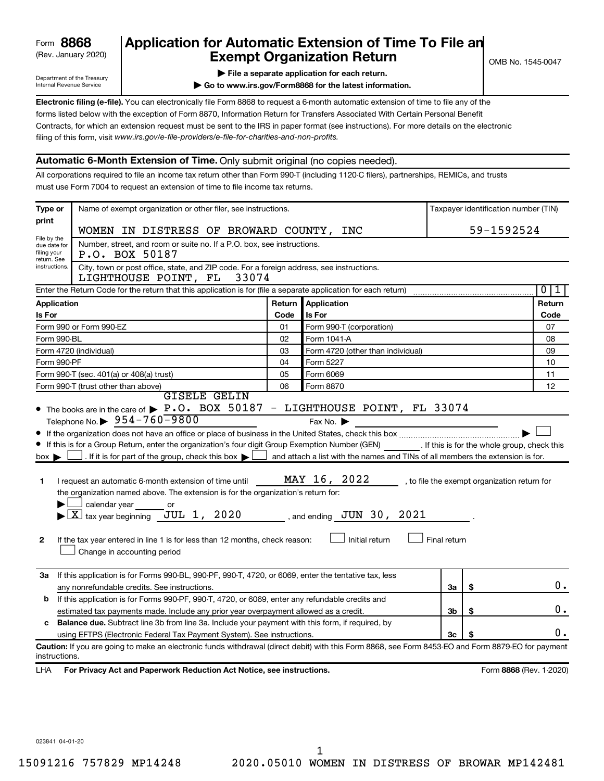## (Rev. January 2020) **Cxempt Organization Return** Manuary 2020) and the settern metal combined the Second Exempt Organization Return **Form 8868 Application for Automatic Extension of Time To File an**<br>**Exempt Organization Return**

Department of the Treasury Internal Revenue Service

| File a separate application for each return. |
|----------------------------------------------|
|----------------------------------------------|

**| Go to www.irs.gov/Form8868 for the latest information.**

**Electronic filing (e-file).** You can electronically file Form 8868 to request a 6-month automatic extension of time to file any of the filing of this form, visit www.irs.gov/e-file-providers/e-file-for-charities-and-non-profits. forms listed below with the exception of Form 8870, Information Return for Transfers Associated With Certain Personal Benefit Contracts, for which an extension request must be sent to the IRS in paper format (see instructions). For more details on the electronic

#### **Automatic 6-Month Extension of Time.** Only submit original (no copies needed).

All corporations required to file an income tax return other than Form 990-T (including 1120-C filers), partnerships, REMICs, and trusts must use Form 7004 to request an extension of time to file income tax returns.

| Type or                             | Name of exempt organization or other filer, see instructions.                                                                                                                                                                                                                                                                                                                                                                                                                                                                                                                                        |        |                                                                 |              |            | Taxpayer identification number (TIN)         |
|-------------------------------------|------------------------------------------------------------------------------------------------------------------------------------------------------------------------------------------------------------------------------------------------------------------------------------------------------------------------------------------------------------------------------------------------------------------------------------------------------------------------------------------------------------------------------------------------------------------------------------------------------|--------|-----------------------------------------------------------------|--------------|------------|----------------------------------------------|
| print                               |                                                                                                                                                                                                                                                                                                                                                                                                                                                                                                                                                                                                      |        |                                                                 |              | 59-1592524 |                                              |
| File by the<br>due date for         | WOMEN IN DISTRESS OF BROWARD COUNTY, INC<br>Number, street, and room or suite no. If a P.O. box, see instructions.                                                                                                                                                                                                                                                                                                                                                                                                                                                                                   |        |                                                                 |              |            |                                              |
| filing your<br>return. See          | P.O. BOX 50187                                                                                                                                                                                                                                                                                                                                                                                                                                                                                                                                                                                       |        |                                                                 |              |            |                                              |
| instructions.                       | City, town or post office, state, and ZIP code. For a foreign address, see instructions.<br>LIGHTHOUSE POINT, FL<br>33074                                                                                                                                                                                                                                                                                                                                                                                                                                                                            |        |                                                                 |              |            |                                              |
|                                     | Enter the Return Code for the return that this application is for (file a separate application for each return)                                                                                                                                                                                                                                                                                                                                                                                                                                                                                      |        |                                                                 |              |            | $\overline{0}$<br>ı                          |
| Application                         |                                                                                                                                                                                                                                                                                                                                                                                                                                                                                                                                                                                                      | Return | <b>Application</b>                                              |              |            | Return                                       |
| Is For                              |                                                                                                                                                                                                                                                                                                                                                                                                                                                                                                                                                                                                      | Code   | Is For                                                          |              |            | Code                                         |
|                                     | Form 990 or Form 990-EZ                                                                                                                                                                                                                                                                                                                                                                                                                                                                                                                                                                              | 01     | Form 990-T (corporation)                                        |              |            | 07                                           |
| Form 990-BL                         |                                                                                                                                                                                                                                                                                                                                                                                                                                                                                                                                                                                                      | 02     | Form 1041-A                                                     |              |            | 08                                           |
|                                     | Form 4720 (individual)                                                                                                                                                                                                                                                                                                                                                                                                                                                                                                                                                                               | 03     | Form 4720 (other than individual)                               |              |            | 09                                           |
| Form 990-PF                         |                                                                                                                                                                                                                                                                                                                                                                                                                                                                                                                                                                                                      | 04     | Form 5227                                                       |              |            | 10                                           |
|                                     | Form 990-T (sec. 401(a) or 408(a) trust)                                                                                                                                                                                                                                                                                                                                                                                                                                                                                                                                                             | 05     | Form 6069                                                       |              |            | 11                                           |
|                                     | Form 990-T (trust other than above)<br><b>GISELE GELIN</b>                                                                                                                                                                                                                                                                                                                                                                                                                                                                                                                                           | 06     | Form 8870                                                       |              |            | 12                                           |
| $box \blacktriangleright$<br>1<br>2 | If this is for a Group Return, enter the organization's four digit Group Exemption Number (GEN) [If this is for the whole group, check this<br>I and attach a list with the names and TINs of all members the extension is for.<br>I request an automatic 6-month extension of time until<br>the organization named above. The extension is for the organization's return for:<br>calendar year<br>or<br>JUL 1, 2020<br>$\blacktriangleright$ $\lfloor$ X $\rfloor$ tax year beginning<br>If the tax year entered in line 1 is for less than 12 months, check reason:<br>Change in accounting period |        | MAY 16, 2022<br>, and ending $JUN$ 30, $2021$<br>Initial return | Final return |            | , to file the exempt organization return for |
| За                                  | If this application is for Forms 990-BL, 990-PF, 990-T, 4720, or 6069, enter the tentative tax, less                                                                                                                                                                                                                                                                                                                                                                                                                                                                                                 |        |                                                                 |              |            |                                              |
|                                     | any nonrefundable credits. See instructions.                                                                                                                                                                                                                                                                                                                                                                                                                                                                                                                                                         |        |                                                                 | За           | \$         | Ο.                                           |
| b                                   | If this application is for Forms 990-PF, 990-T, 4720, or 6069, enter any refundable credits and                                                                                                                                                                                                                                                                                                                                                                                                                                                                                                      |        |                                                                 |              |            | 0.                                           |
|                                     | estimated tax payments made. Include any prior year overpayment allowed as a credit.                                                                                                                                                                                                                                                                                                                                                                                                                                                                                                                 |        |                                                                 | 3b           | \$         |                                              |
| c                                   | <b>Balance due.</b> Subtract line 3b from line 3a. Include your payment with this form, if required, by                                                                                                                                                                                                                                                                                                                                                                                                                                                                                              |        |                                                                 |              |            | О.                                           |
|                                     | using EFTPS (Electronic Federal Tax Payment System). See instructions.                                                                                                                                                                                                                                                                                                                                                                                                                                                                                                                               |        |                                                                 | 3c           |            |                                              |
| instructions.                       | Caution: If you are going to make an electronic funds withdrawal (direct debit) with this Form 8868, see Form 8453-EO and Form 8879-EO for payment                                                                                                                                                                                                                                                                                                                                                                                                                                                   |        |                                                                 |              |            |                                              |
| <b>LHA</b>                          | For Privacy Act and Paperwork Reduction Act Notice, see instructions.                                                                                                                                                                                                                                                                                                                                                                                                                                                                                                                                |        |                                                                 |              |            | Form 8868 (Rev. 1-2020)                      |

023841 04-01-20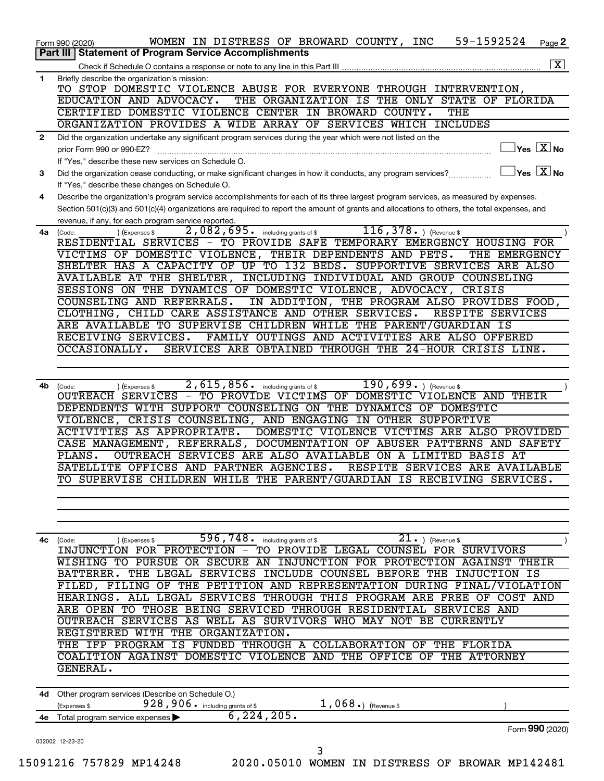|              | 59-1592524<br>WOMEN IN DISTRESS OF BROWARD COUNTY, INC<br>Page 2<br>Form 990 (2020)<br><b>Statement of Program Service Accomplishments</b><br>Part III |
|--------------|--------------------------------------------------------------------------------------------------------------------------------------------------------|
|              |                                                                                                                                                        |
| 1            | Briefly describe the organization's mission:                                                                                                           |
|              | TO STOP DOMESTIC VIOLENCE ABUSE FOR EVERYONE THROUGH INTERVENTION,                                                                                     |
|              | THE ORGANIZATION IS THE ONLY STATE<br>EDUCATION AND ADVOCACY.<br>FLORIDA<br>OF                                                                         |
|              | CERTIFIED DOMESTIC VIOLENCE CENTER IN BROWARD COUNTY.<br>THE                                                                                           |
|              | ORGANIZATION PROVIDES A WIDE ARRAY OF SERVICES WHICH INCLUDES                                                                                          |
| $\mathbf{2}$ | Did the organization undertake any significant program services during the year which were not listed on the                                           |
|              | $]$ Yes $[\overline{\mathrm{X}}]$ No<br>prior Form 990 or 990-EZ?                                                                                      |
|              | If "Yes," describe these new services on Schedule O.                                                                                                   |
| 3            | $\sqrt{\ }$ Yes $\sqrt{\ \text{X}}$ No<br>Did the organization cease conducting, or make significant changes in how it conducts, any program services? |
|              | If "Yes," describe these changes on Schedule O.                                                                                                        |
| 4            | Describe the organization's program service accomplishments for each of its three largest program services, as measured by expenses.                   |
|              | Section 501(c)(3) and 501(c)(4) organizations are required to report the amount of grants and allocations to others, the total expenses, and           |
|              | revenue, if any, for each program service reported.                                                                                                    |
| 4a l         | $116, 378.$ (Revenue \$)<br>$2,082,695$ $\cdot$ including grants of \$<br>(Code:<br>(Expenses \$                                                       |
|              | RESIDENTIAL SERVICES - TO PROVIDE SAFE TEMPORARY EMERGENCY HOUSING FOR                                                                                 |
|              | VICTIMS OF DOMESTIC VIOLENCE, THEIR DEPENDENTS AND PETS.<br>THE EMERGENCY                                                                              |
|              | SHELTER HAS A CAPACITY OF UP TO 132 BEDS. SUPPORTIVE SERVICES ARE ALSO                                                                                 |
|              | AVAILABLE AT THE SHELTER, INCLUDING INDIVIDUAL AND GROUP COUNSELING                                                                                    |
|              | SESSIONS ON THE DYNAMICS OF DOMESTIC VIOLENCE, ADVOCACY,<br>CRISIS                                                                                     |
|              | COUNSELING AND REFERRALS.<br>IN ADDITION, THE PROGRAM ALSO PROVIDES FOOD,                                                                              |
|              | CLOTHING, CHILD CARE ASSISTANCE AND OTHER SERVICES.<br>RESPITE SERVICES                                                                                |
|              | ARE AVAILABLE TO SUPERVISE CHILDREN WHILE THE PARENT/GUARDIAN IS                                                                                       |
|              | RECEIVING SERVICES.<br>FAMILY OUTINGS AND ACTIVITIES ARE ALSO OFFERED                                                                                  |
|              | OCCASIONALLY.<br>SERVICES ARE OBTAINED THROUGH THE 24-HOUR CRISIS LINE.                                                                                |
|              |                                                                                                                                                        |
|              |                                                                                                                                                        |
| 4b           | 2,615,856. including grants of \$<br>$190, 699.$ (Revenue \$)<br>(Expenses \$<br>(Code:                                                                |
|              | OUTREACH SERVICES - TO PROVIDE VICTIMS OF DOMESTIC VIOLENCE AND THEIR                                                                                  |
|              | DEPENDENTS WITH SUPPORT COUNSELING ON THE DYNAMICS OF DOMESTIC                                                                                         |
|              | VIOLENCE, CRISIS COUNSELING, AND ENGAGING IN OTHER SUPPORTIVE                                                                                          |
|              | ACTIVITIES AS APPROPRIATE.<br>DOMESTIC VIOLENCE VICTIMS ARE ALSO PROVIDED                                                                              |
|              | CASE MANAGEMENT, REFERRALS, DOCUMENTATION OF ABUSER PATTERNS AND SAFETY<br><b>BASIS AT</b>                                                             |
|              | OUTREACH SERVICES ARE ALSO AVAILABLE ON A LIMITED<br>PLANS.<br>SATELLITE OFFICES AND PARTNER AGENCIES.                                                 |
|              | RESPITE SERVICES ARE AVAILABLE                                                                                                                         |
|              | TO SUPERVISE CHILDREN WHILE THE PARENT/GUARDIAN IS RECEIVING SERVICES.                                                                                 |
|              |                                                                                                                                                        |
|              |                                                                                                                                                        |
|              |                                                                                                                                                        |
| 4с           | 596,748. including grants of \$<br>$\overline{21}$ . ) (Revenue \$<br>(Expenses \$<br>(Code:                                                           |
|              | INJUNCTION FOR PROTECTION - TO PROVIDE LEGAL COUNSEL FOR SURVIVORS                                                                                     |
|              | WISHING TO PURSUE OR SECURE AN INJUNCTION FOR PROTECTION AGAINST THEIR                                                                                 |
|              | THE LEGAL SERVICES INCLUDE COUNSEL BEFORE THE<br>BATTERER.<br>INJUCTION IS                                                                             |
|              | FILED, FILING OF THE PETITION AND REPRESENTATION DURING FINAL/VIOLATION                                                                                |
|              | HEARINGS. ALL LEGAL SERVICES THROUGH THIS PROGRAM ARE FREE OF COST AND                                                                                 |
|              | ARE OPEN TO THOSE BEING SERVICED THROUGH RESIDENTIAL SERVICES AND                                                                                      |
|              | OUTREACH SERVICES AS WELL AS SURVIVORS WHO MAY NOT BE CURRENTLY                                                                                        |
|              | REGISTERED WITH THE ORGANIZATION.                                                                                                                      |
|              | THE IFP PROGRAM IS FUNDED THROUGH A COLLABORATION OF THE FLORIDA                                                                                       |
|              | COALITION AGAINST DOMESTIC VIOLENCE AND THE OFFICE OF THE ATTORNEY                                                                                     |
|              | GENERAL.                                                                                                                                               |
|              |                                                                                                                                                        |
|              | 4d Other program services (Describe on Schedule O.)                                                                                                    |
|              | 928, 906. including grants of \$<br>$1,068.$ (Revenue \$<br>(Expenses \$                                                                               |
| 4е           | 6, 224, 205.<br>Total program service expenses                                                                                                         |
|              | Form 990 (2020)                                                                                                                                        |
|              | 032002 12-23-20<br>3                                                                                                                                   |
|              | 15091216 757829 MP14248<br>2020.05010 WOMEN IN DISTRESS OF BROWAR MP142481                                                                             |
|              |                                                                                                                                                        |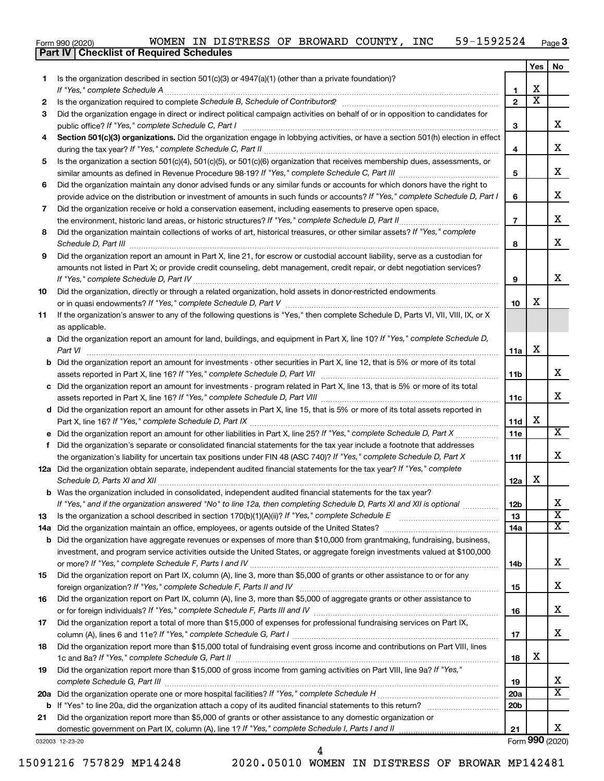| Form 990 (2020) |  | WOMEN |  | . IN DISTRESS OF BROWARD COUNTY, |  |  |  | INC | 59-1592524 | Page 3 |
|-----------------|--|-------|--|----------------------------------|--|--|--|-----|------------|--------|
|-----------------|--|-------|--|----------------------------------|--|--|--|-----|------------|--------|

|     | Part IV   Checklist of Required Schedules                                                                                                                                                                                                             |                 |                       |                              |
|-----|-------------------------------------------------------------------------------------------------------------------------------------------------------------------------------------------------------------------------------------------------------|-----------------|-----------------------|------------------------------|
|     |                                                                                                                                                                                                                                                       |                 | Yes                   | No                           |
| 1.  | Is the organization described in section 501(c)(3) or $4947(a)(1)$ (other than a private foundation)?                                                                                                                                                 |                 |                       |                              |
|     | If "Yes," complete Schedule A                                                                                                                                                                                                                         | 1               | X                     |                              |
| 2   |                                                                                                                                                                                                                                                       | $\overline{2}$  | $\overline{\text{x}}$ |                              |
| 3   | Did the organization engage in direct or indirect political campaign activities on behalf of or in opposition to candidates for                                                                                                                       |                 |                       |                              |
|     |                                                                                                                                                                                                                                                       | 3               |                       | X                            |
| 4   | Section 501(c)(3) organizations. Did the organization engage in lobbying activities, or have a section 501(h) election in effect                                                                                                                      |                 |                       |                              |
|     |                                                                                                                                                                                                                                                       | 4               |                       | X                            |
| 5   | Is the organization a section 501(c)(4), 501(c)(5), or 501(c)(6) organization that receives membership dues, assessments, or                                                                                                                          |                 |                       |                              |
|     |                                                                                                                                                                                                                                                       | 5               |                       | x                            |
| 6   | Did the organization maintain any donor advised funds or any similar funds or accounts for which donors have the right to                                                                                                                             |                 |                       |                              |
|     | provide advice on the distribution or investment of amounts in such funds or accounts? If "Yes," complete Schedule D, Part I                                                                                                                          | 6               |                       | x                            |
| 7   | Did the organization receive or hold a conservation easement, including easements to preserve open space,                                                                                                                                             |                 |                       |                              |
|     | the environment, historic land areas, or historic structures? If "Yes," complete Schedule D, Part II                                                                                                                                                  | $\overline{7}$  |                       | x                            |
| 8   | Did the organization maintain collections of works of art, historical treasures, or other similar assets? If "Yes," complete                                                                                                                          |                 |                       |                              |
|     | Schedule D, Part III <b>Marting Community Control</b> and Technical Control of Technical Control of Technical Control of Technical Control of Technical Control of Technical Control of Technical Control of Technical Control of T                   | 8               |                       | x                            |
| 9   | Did the organization report an amount in Part X, line 21, for escrow or custodial account liability, serve as a custodian for                                                                                                                         |                 |                       |                              |
|     | amounts not listed in Part X; or provide credit counseling, debt management, credit repair, or debt negotiation services?                                                                                                                             |                 |                       |                              |
|     |                                                                                                                                                                                                                                                       | 9               |                       | х                            |
| 10  | Did the organization, directly or through a related organization, hold assets in donor-restricted endowments                                                                                                                                          |                 |                       |                              |
|     |                                                                                                                                                                                                                                                       | 10              | х                     |                              |
| 11  | If the organization's answer to any of the following questions is "Yes," then complete Schedule D, Parts VI, VII, VIII, IX, or X                                                                                                                      |                 |                       |                              |
|     | as applicable.                                                                                                                                                                                                                                        |                 |                       |                              |
| а   | Did the organization report an amount for land, buildings, and equipment in Part X, line 10? If "Yes," complete Schedule D,                                                                                                                           |                 |                       |                              |
|     | Part VI                                                                                                                                                                                                                                               | 11a             | X                     |                              |
| b   | Did the organization report an amount for investments - other securities in Part X, line 12, that is 5% or more of its total                                                                                                                          |                 |                       |                              |
|     |                                                                                                                                                                                                                                                       | 11b             |                       | x                            |
| с   | Did the organization report an amount for investments - program related in Part X, line 13, that is 5% or more of its total                                                                                                                           |                 |                       |                              |
|     |                                                                                                                                                                                                                                                       | 11с             |                       | x                            |
|     | d Did the organization report an amount for other assets in Part X, line 15, that is 5% or more of its total assets reported in                                                                                                                       |                 |                       |                              |
|     |                                                                                                                                                                                                                                                       | 11d             | X                     |                              |
|     | Did the organization report an amount for other liabilities in Part X, line 25? If "Yes," complete Schedule D, Part X                                                                                                                                 | 11e             |                       | x                            |
| f   | Did the organization's separate or consolidated financial statements for the tax year include a footnote that addresses                                                                                                                               |                 |                       |                              |
|     | the organization's liability for uncertain tax positions under FIN 48 (ASC 740)? If "Yes," complete Schedule D, Part X                                                                                                                                | 11f             |                       | x                            |
|     | 12a Did the organization obtain separate, independent audited financial statements for the tax year? If "Yes," complete                                                                                                                               |                 |                       |                              |
|     |                                                                                                                                                                                                                                                       | 12a             | х                     |                              |
|     | Was the organization included in consolidated, independent audited financial statements for the tax year?                                                                                                                                             |                 |                       |                              |
|     | If "Yes," and if the organization answered "No" to line 12a, then completing Schedule D, Parts XI and XII is optional                                                                                                                                 | 12b             |                       | х<br>$\overline{\textbf{X}}$ |
| 13  |                                                                                                                                                                                                                                                       | 13              |                       | $\overline{\text{X}}$        |
| 14a | Did the organization maintain an office, employees, or agents outside of the United States?                                                                                                                                                           | 14a             |                       |                              |
| b   | Did the organization have aggregate revenues or expenses of more than \$10,000 from grantmaking, fundraising, business,<br>investment, and program service activities outside the United States, or aggregate foreign investments valued at \$100,000 |                 |                       |                              |
|     |                                                                                                                                                                                                                                                       | 14b             |                       | x                            |
| 15  | Did the organization report on Part IX, column (A), line 3, more than \$5,000 of grants or other assistance to or for any                                                                                                                             |                 |                       |                              |
|     |                                                                                                                                                                                                                                                       | 15              |                       | x                            |
| 16  | Did the organization report on Part IX, column (A), line 3, more than \$5,000 of aggregate grants or other assistance to                                                                                                                              |                 |                       |                              |
|     |                                                                                                                                                                                                                                                       | 16              |                       | x                            |
| 17  | Did the organization report a total of more than \$15,000 of expenses for professional fundraising services on Part IX,                                                                                                                               |                 |                       |                              |
|     |                                                                                                                                                                                                                                                       | 17              |                       | x                            |
| 18  | Did the organization report more than \$15,000 total of fundraising event gross income and contributions on Part VIII, lines                                                                                                                          |                 |                       |                              |
|     |                                                                                                                                                                                                                                                       | 18              | х                     |                              |
| 19  | Did the organization report more than \$15,000 of gross income from gaming activities on Part VIII, line 9a? If "Yes,"                                                                                                                                |                 |                       |                              |
|     |                                                                                                                                                                                                                                                       | 19              |                       | x                            |
|     |                                                                                                                                                                                                                                                       | <b>20a</b>      |                       | X                            |
| b   |                                                                                                                                                                                                                                                       | 20 <sub>b</sub> |                       |                              |
| 21  | Did the organization report more than \$5,000 of grants or other assistance to any domestic organization or                                                                                                                                           |                 |                       |                              |
|     | domestic government on Part IX, column (A), line 1? If "Yes," complete Schedule I, Parts I and II                                                                                                                                                     | 21              |                       | x                            |
|     | 032003 12-23-20                                                                                                                                                                                                                                       |                 |                       | Form 990 (2020)              |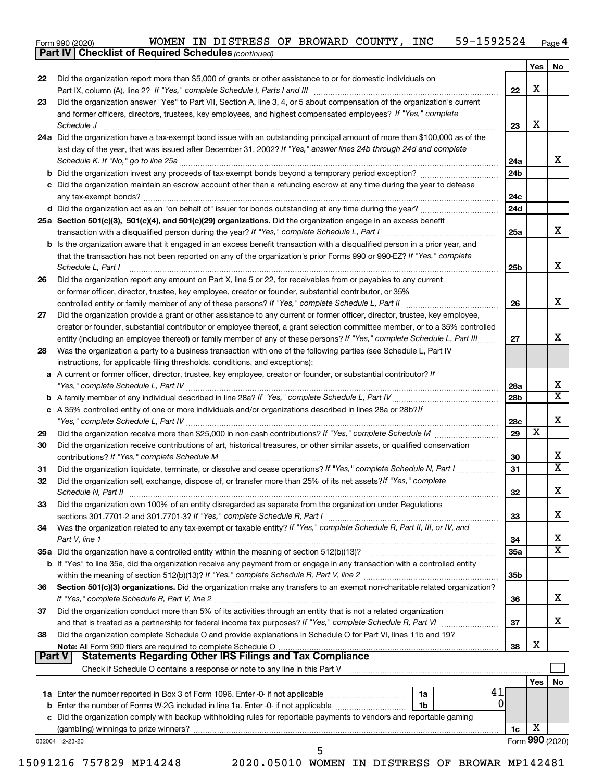| Form 990 (2020) | <b>WOMEN</b> | IN DISTRESS OF BROWARD COUNTY, |  |  |  | <b>INC</b> | 59-1592524 | Page 4 |
|-----------------|--------------|--------------------------------|--|--|--|------------|------------|--------|
|-----------------|--------------|--------------------------------|--|--|--|------------|------------|--------|

*(continued)*

**Part IV Checklist of Required Schedules**

|        |                                                                                                                                                                                                                            |                 | Yes                     | No              |
|--------|----------------------------------------------------------------------------------------------------------------------------------------------------------------------------------------------------------------------------|-----------------|-------------------------|-----------------|
| 22     | Did the organization report more than \$5,000 of grants or other assistance to or for domestic individuals on                                                                                                              |                 |                         |                 |
|        |                                                                                                                                                                                                                            | 22              | х                       |                 |
| 23     | Did the organization answer "Yes" to Part VII, Section A, line 3, 4, or 5 about compensation of the organization's current                                                                                                 |                 |                         |                 |
|        | and former officers, directors, trustees, key employees, and highest compensated employees? If "Yes," complete                                                                                                             |                 |                         |                 |
|        |                                                                                                                                                                                                                            | 23              | X                       |                 |
|        | 24a Did the organization have a tax-exempt bond issue with an outstanding principal amount of more than \$100,000 as of the                                                                                                |                 |                         |                 |
|        | last day of the year, that was issued after December 31, 2002? If "Yes," answer lines 24b through 24d and complete                                                                                                         |                 |                         |                 |
|        |                                                                                                                                                                                                                            | 24a             |                         | x               |
|        |                                                                                                                                                                                                                            | 24 <sub>b</sub> |                         |                 |
|        | c Did the organization maintain an escrow account other than a refunding escrow at any time during the year to defease                                                                                                     |                 |                         |                 |
|        |                                                                                                                                                                                                                            | 24c             |                         |                 |
|        |                                                                                                                                                                                                                            | 24d             |                         |                 |
|        | 25a Section 501(c)(3), 501(c)(4), and 501(c)(29) organizations. Did the organization engage in an excess benefit                                                                                                           |                 |                         | x               |
|        |                                                                                                                                                                                                                            | 25a             |                         |                 |
|        | <b>b</b> Is the organization aware that it engaged in an excess benefit transaction with a disqualified person in a prior year, and                                                                                        |                 |                         |                 |
|        | that the transaction has not been reported on any of the organization's prior Forms 990 or 990-EZ? If "Yes," complete                                                                                                      |                 |                         | х               |
|        | Schedule L, Part I                                                                                                                                                                                                         | 25b             |                         |                 |
| 26     | Did the organization report any amount on Part X, line 5 or 22, for receivables from or payables to any current<br>or former officer, director, trustee, key employee, creator or founder, substantial contributor, or 35% |                 |                         |                 |
|        | controlled entity or family member of any of these persons? If "Yes," complete Schedule L, Part II                                                                                                                         | 26              |                         | x               |
| 27     | Did the organization provide a grant or other assistance to any current or former officer, director, trustee, key employee,                                                                                                |                 |                         |                 |
|        | creator or founder, substantial contributor or employee thereof, a grant selection committee member, or to a 35% controlled                                                                                                |                 |                         |                 |
|        | entity (including an employee thereof) or family member of any of these persons? If "Yes," complete Schedule L, Part III                                                                                                   | 27              |                         | х               |
| 28     | Was the organization a party to a business transaction with one of the following parties (see Schedule L, Part IV                                                                                                          |                 |                         |                 |
|        | instructions, for applicable filing thresholds, conditions, and exceptions):                                                                                                                                               |                 |                         |                 |
|        | a A current or former officer, director, trustee, key employee, creator or founder, or substantial contributor? If                                                                                                         |                 |                         |                 |
|        |                                                                                                                                                                                                                            | 28a             |                         | X               |
|        |                                                                                                                                                                                                                            | 28 <sub>b</sub> |                         | х               |
|        | c A 35% controlled entity of one or more individuals and/or organizations described in lines 28a or 28b?/f                                                                                                                 |                 |                         |                 |
|        |                                                                                                                                                                                                                            | 28c             |                         | х               |
| 29     |                                                                                                                                                                                                                            | 29              | $\overline{\textbf{x}}$ |                 |
| 30     | Did the organization receive contributions of art, historical treasures, or other similar assets, or qualified conservation                                                                                                |                 |                         |                 |
|        |                                                                                                                                                                                                                            | 30              |                         | х<br>X          |
| 31     |                                                                                                                                                                                                                            | 31              |                         |                 |
| 32     | Did the organization sell, exchange, dispose of, or transfer more than 25% of its net assets? If "Yes," complete                                                                                                           |                 |                         | x               |
|        |                                                                                                                                                                                                                            | 32              |                         |                 |
| 33     | Did the organization own 100% of an entity disregarded as separate from the organization under Regulations                                                                                                                 | 33              |                         | x               |
| 34     | Was the organization related to any tax-exempt or taxable entity? If "Yes," complete Schedule R, Part II, III, or IV, and                                                                                                  |                 |                         |                 |
|        | Part V, line 1                                                                                                                                                                                                             | 34              |                         | х               |
|        | 35a Did the organization have a controlled entity within the meaning of section 512(b)(13)?                                                                                                                                | 35a             |                         | х               |
|        | b If "Yes" to line 35a, did the organization receive any payment from or engage in any transaction with a controlled entity                                                                                                |                 |                         |                 |
|        |                                                                                                                                                                                                                            | 35 <sub>b</sub> |                         |                 |
| 36     | Section 501(c)(3) organizations. Did the organization make any transfers to an exempt non-charitable related organization?                                                                                                 |                 |                         |                 |
|        |                                                                                                                                                                                                                            | 36              |                         | x               |
| 37     | Did the organization conduct more than 5% of its activities through an entity that is not a related organization                                                                                                           |                 |                         |                 |
|        | and that is treated as a partnership for federal income tax purposes? If "Yes," complete Schedule R, Part VI                                                                                                               | 37              |                         | x               |
| 38     | Did the organization complete Schedule O and provide explanations in Schedule O for Part VI, lines 11b and 19?                                                                                                             |                 |                         |                 |
|        | Note: All Form 990 filers are required to complete Schedule O                                                                                                                                                              | 38              | X                       |                 |
| Part V |                                                                                                                                                                                                                            |                 |                         |                 |
|        | Check if Schedule O contains a response or note to any line in this Part V [11] [12] Check if Schedule O contains a response or note to any line in this Part V                                                            |                 |                         |                 |
|        |                                                                                                                                                                                                                            |                 | Yes                     | No              |
|        | 41<br>1a                                                                                                                                                                                                                   |                 |                         |                 |
|        | <b>b</b> Enter the number of Forms W-2G included in line 1a. Enter -0- if not applicable<br>1b                                                                                                                             |                 |                         |                 |
|        | c Did the organization comply with backup withholding rules for reportable payments to vendors and reportable gaming                                                                                                       |                 | х                       |                 |
|        | 032004 12-23-20                                                                                                                                                                                                            | 1c              |                         | Form 990 (2020) |
|        | 5                                                                                                                                                                                                                          |                 |                         |                 |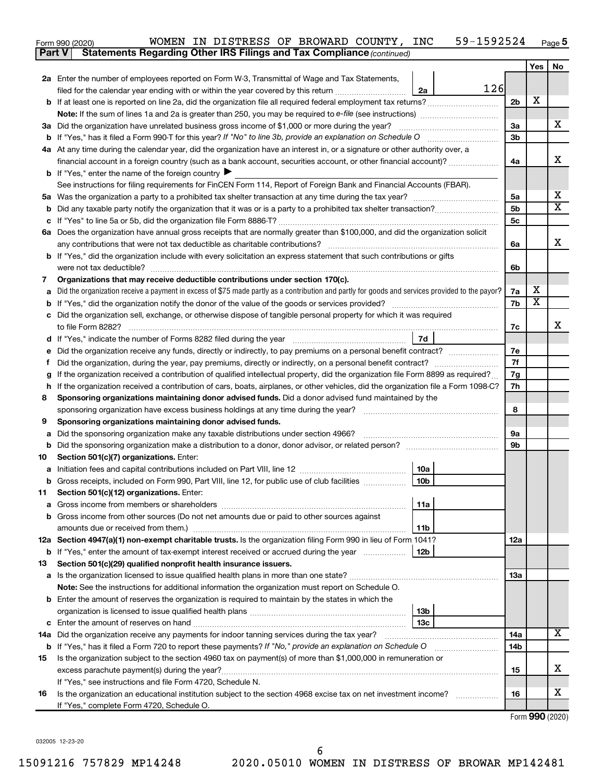| Form 990 (2020) |                                                                                     |  | WOMEN IN DISTRESS OF BROWARD COUNTY, INC |  |  | 59-1592524 | Page ${\bf 5}$ |
|-----------------|-------------------------------------------------------------------------------------|--|------------------------------------------|--|--|------------|----------------|
|                 | <b>Part V</b> Statements Regarding Other IRS Filings and Tax Compliance (continued) |  |                                          |  |  |            |                |

| b<br>с<br>7<br>a<br>b<br>с<br>d<br>е<br>f.<br>g<br>h<br>8<br>9<br>а<br>b<br>10 | 2a Enter the number of employees reported on Form W-3, Transmittal of Wage and Tax Statements,<br>filed for the calendar year ending with or within the year covered by this return<br>2a<br>b If at least one is reported on line 2a, did the organization file all required federal employment tax returns?<br>3a Did the organization have unrelated business gross income of \$1,000 or more during the year?<br>4a At any time during the calendar year, did the organization have an interest in, or a signature or other authority over, a<br>financial account in a foreign country (such as a bank account, securities account, or other financial account)?<br><b>b</b> If "Yes," enter the name of the foreign country $\blacktriangleright$<br>See instructions for filing requirements for FinCEN Form 114, Report of Foreign Bank and Financial Accounts (FBAR).<br>6a Does the organization have annual gross receipts that are normally greater than \$100,000, and did the organization solicit<br><b>b</b> If "Yes," did the organization include with every solicitation an express statement that such contributions or gifts<br>Organizations that may receive deductible contributions under section 170(c).<br>Did the organization receive a payment in excess of \$75 made partly as a contribution and partly for goods and services provided to the payor?<br>Did the organization sell, exchange, or otherwise dispose of tangible personal property for which it was required<br>7d | 126 | 2 <sub>b</sub><br>За<br>3b<br>4a<br>5a<br>5b<br>5с<br>6a<br>6b<br>7a<br>7b | Yes<br>х<br>х<br>X | No<br>x<br>x<br>x<br>$\overline{\mathbf{X}}$<br>x |
|--------------------------------------------------------------------------------|------------------------------------------------------------------------------------------------------------------------------------------------------------------------------------------------------------------------------------------------------------------------------------------------------------------------------------------------------------------------------------------------------------------------------------------------------------------------------------------------------------------------------------------------------------------------------------------------------------------------------------------------------------------------------------------------------------------------------------------------------------------------------------------------------------------------------------------------------------------------------------------------------------------------------------------------------------------------------------------------------------------------------------------------------------------------------------------------------------------------------------------------------------------------------------------------------------------------------------------------------------------------------------------------------------------------------------------------------------------------------------------------------------------------------------------------------------------------------------------------------------------|-----|----------------------------------------------------------------------------|--------------------|---------------------------------------------------|
|                                                                                |                                                                                                                                                                                                                                                                                                                                                                                                                                                                                                                                                                                                                                                                                                                                                                                                                                                                                                                                                                                                                                                                                                                                                                                                                                                                                                                                                                                                                                                                                                                  |     |                                                                            |                    |                                                   |
|                                                                                |                                                                                                                                                                                                                                                                                                                                                                                                                                                                                                                                                                                                                                                                                                                                                                                                                                                                                                                                                                                                                                                                                                                                                                                                                                                                                                                                                                                                                                                                                                                  |     |                                                                            |                    |                                                   |
|                                                                                |                                                                                                                                                                                                                                                                                                                                                                                                                                                                                                                                                                                                                                                                                                                                                                                                                                                                                                                                                                                                                                                                                                                                                                                                                                                                                                                                                                                                                                                                                                                  |     |                                                                            |                    |                                                   |
|                                                                                |                                                                                                                                                                                                                                                                                                                                                                                                                                                                                                                                                                                                                                                                                                                                                                                                                                                                                                                                                                                                                                                                                                                                                                                                                                                                                                                                                                                                                                                                                                                  |     |                                                                            |                    |                                                   |
|                                                                                |                                                                                                                                                                                                                                                                                                                                                                                                                                                                                                                                                                                                                                                                                                                                                                                                                                                                                                                                                                                                                                                                                                                                                                                                                                                                                                                                                                                                                                                                                                                  |     |                                                                            |                    |                                                   |
|                                                                                |                                                                                                                                                                                                                                                                                                                                                                                                                                                                                                                                                                                                                                                                                                                                                                                                                                                                                                                                                                                                                                                                                                                                                                                                                                                                                                                                                                                                                                                                                                                  |     |                                                                            |                    |                                                   |
|                                                                                |                                                                                                                                                                                                                                                                                                                                                                                                                                                                                                                                                                                                                                                                                                                                                                                                                                                                                                                                                                                                                                                                                                                                                                                                                                                                                                                                                                                                                                                                                                                  |     |                                                                            |                    |                                                   |
|                                                                                |                                                                                                                                                                                                                                                                                                                                                                                                                                                                                                                                                                                                                                                                                                                                                                                                                                                                                                                                                                                                                                                                                                                                                                                                                                                                                                                                                                                                                                                                                                                  |     |                                                                            |                    |                                                   |
|                                                                                |                                                                                                                                                                                                                                                                                                                                                                                                                                                                                                                                                                                                                                                                                                                                                                                                                                                                                                                                                                                                                                                                                                                                                                                                                                                                                                                                                                                                                                                                                                                  |     |                                                                            |                    |                                                   |
|                                                                                |                                                                                                                                                                                                                                                                                                                                                                                                                                                                                                                                                                                                                                                                                                                                                                                                                                                                                                                                                                                                                                                                                                                                                                                                                                                                                                                                                                                                                                                                                                                  |     |                                                                            |                    |                                                   |
|                                                                                |                                                                                                                                                                                                                                                                                                                                                                                                                                                                                                                                                                                                                                                                                                                                                                                                                                                                                                                                                                                                                                                                                                                                                                                                                                                                                                                                                                                                                                                                                                                  |     |                                                                            |                    |                                                   |
|                                                                                |                                                                                                                                                                                                                                                                                                                                                                                                                                                                                                                                                                                                                                                                                                                                                                                                                                                                                                                                                                                                                                                                                                                                                                                                                                                                                                                                                                                                                                                                                                                  |     |                                                                            |                    |                                                   |
|                                                                                |                                                                                                                                                                                                                                                                                                                                                                                                                                                                                                                                                                                                                                                                                                                                                                                                                                                                                                                                                                                                                                                                                                                                                                                                                                                                                                                                                                                                                                                                                                                  |     |                                                                            |                    |                                                   |
|                                                                                |                                                                                                                                                                                                                                                                                                                                                                                                                                                                                                                                                                                                                                                                                                                                                                                                                                                                                                                                                                                                                                                                                                                                                                                                                                                                                                                                                                                                                                                                                                                  |     |                                                                            |                    |                                                   |
|                                                                                |                                                                                                                                                                                                                                                                                                                                                                                                                                                                                                                                                                                                                                                                                                                                                                                                                                                                                                                                                                                                                                                                                                                                                                                                                                                                                                                                                                                                                                                                                                                  |     |                                                                            |                    |                                                   |
|                                                                                |                                                                                                                                                                                                                                                                                                                                                                                                                                                                                                                                                                                                                                                                                                                                                                                                                                                                                                                                                                                                                                                                                                                                                                                                                                                                                                                                                                                                                                                                                                                  |     |                                                                            |                    |                                                   |
|                                                                                |                                                                                                                                                                                                                                                                                                                                                                                                                                                                                                                                                                                                                                                                                                                                                                                                                                                                                                                                                                                                                                                                                                                                                                                                                                                                                                                                                                                                                                                                                                                  |     |                                                                            |                    |                                                   |
|                                                                                |                                                                                                                                                                                                                                                                                                                                                                                                                                                                                                                                                                                                                                                                                                                                                                                                                                                                                                                                                                                                                                                                                                                                                                                                                                                                                                                                                                                                                                                                                                                  |     |                                                                            |                    |                                                   |
|                                                                                |                                                                                                                                                                                                                                                                                                                                                                                                                                                                                                                                                                                                                                                                                                                                                                                                                                                                                                                                                                                                                                                                                                                                                                                                                                                                                                                                                                                                                                                                                                                  |     |                                                                            |                    |                                                   |
|                                                                                |                                                                                                                                                                                                                                                                                                                                                                                                                                                                                                                                                                                                                                                                                                                                                                                                                                                                                                                                                                                                                                                                                                                                                                                                                                                                                                                                                                                                                                                                                                                  |     |                                                                            |                    |                                                   |
|                                                                                |                                                                                                                                                                                                                                                                                                                                                                                                                                                                                                                                                                                                                                                                                                                                                                                                                                                                                                                                                                                                                                                                                                                                                                                                                                                                                                                                                                                                                                                                                                                  |     |                                                                            |                    |                                                   |
|                                                                                |                                                                                                                                                                                                                                                                                                                                                                                                                                                                                                                                                                                                                                                                                                                                                                                                                                                                                                                                                                                                                                                                                                                                                                                                                                                                                                                                                                                                                                                                                                                  |     |                                                                            |                    |                                                   |
|                                                                                |                                                                                                                                                                                                                                                                                                                                                                                                                                                                                                                                                                                                                                                                                                                                                                                                                                                                                                                                                                                                                                                                                                                                                                                                                                                                                                                                                                                                                                                                                                                  |     | 7c                                                                         |                    | х                                                 |
|                                                                                |                                                                                                                                                                                                                                                                                                                                                                                                                                                                                                                                                                                                                                                                                                                                                                                                                                                                                                                                                                                                                                                                                                                                                                                                                                                                                                                                                                                                                                                                                                                  |     |                                                                            |                    |                                                   |
|                                                                                | Did the organization receive any funds, directly or indirectly, to pay premiums on a personal benefit contract?                                                                                                                                                                                                                                                                                                                                                                                                                                                                                                                                                                                                                                                                                                                                                                                                                                                                                                                                                                                                                                                                                                                                                                                                                                                                                                                                                                                                  |     | 7e                                                                         |                    |                                                   |
|                                                                                |                                                                                                                                                                                                                                                                                                                                                                                                                                                                                                                                                                                                                                                                                                                                                                                                                                                                                                                                                                                                                                                                                                                                                                                                                                                                                                                                                                                                                                                                                                                  |     | 7f                                                                         |                    |                                                   |
|                                                                                | If the organization received a contribution of qualified intellectual property, did the organization file Form 8899 as required?                                                                                                                                                                                                                                                                                                                                                                                                                                                                                                                                                                                                                                                                                                                                                                                                                                                                                                                                                                                                                                                                                                                                                                                                                                                                                                                                                                                 |     | 7g                                                                         |                    |                                                   |
|                                                                                | If the organization received a contribution of cars, boats, airplanes, or other vehicles, did the organization file a Form 1098-C?                                                                                                                                                                                                                                                                                                                                                                                                                                                                                                                                                                                                                                                                                                                                                                                                                                                                                                                                                                                                                                                                                                                                                                                                                                                                                                                                                                               |     | 7h                                                                         |                    |                                                   |
|                                                                                | Sponsoring organizations maintaining donor advised funds. Did a donor advised fund maintained by the                                                                                                                                                                                                                                                                                                                                                                                                                                                                                                                                                                                                                                                                                                                                                                                                                                                                                                                                                                                                                                                                                                                                                                                                                                                                                                                                                                                                             |     |                                                                            |                    |                                                   |
|                                                                                |                                                                                                                                                                                                                                                                                                                                                                                                                                                                                                                                                                                                                                                                                                                                                                                                                                                                                                                                                                                                                                                                                                                                                                                                                                                                                                                                                                                                                                                                                                                  |     | 8                                                                          |                    |                                                   |
|                                                                                | Sponsoring organizations maintaining donor advised funds.                                                                                                                                                                                                                                                                                                                                                                                                                                                                                                                                                                                                                                                                                                                                                                                                                                                                                                                                                                                                                                                                                                                                                                                                                                                                                                                                                                                                                                                        |     |                                                                            |                    |                                                   |
|                                                                                | Did the sponsoring organization make any taxable distributions under section 4966?                                                                                                                                                                                                                                                                                                                                                                                                                                                                                                                                                                                                                                                                                                                                                                                                                                                                                                                                                                                                                                                                                                                                                                                                                                                                                                                                                                                                                               |     | 9а<br>9b                                                                   |                    |                                                   |
|                                                                                | Section 501(c)(7) organizations. Enter:                                                                                                                                                                                                                                                                                                                                                                                                                                                                                                                                                                                                                                                                                                                                                                                                                                                                                                                                                                                                                                                                                                                                                                                                                                                                                                                                                                                                                                                                          |     |                                                                            |                    |                                                   |
|                                                                                | 10a                                                                                                                                                                                                                                                                                                                                                                                                                                                                                                                                                                                                                                                                                                                                                                                                                                                                                                                                                                                                                                                                                                                                                                                                                                                                                                                                                                                                                                                                                                              |     |                                                                            |                    |                                                   |
|                                                                                | b Gross receipts, included on Form 990, Part VIII, line 12, for public use of club facilities<br>10 <sub>b</sub>                                                                                                                                                                                                                                                                                                                                                                                                                                                                                                                                                                                                                                                                                                                                                                                                                                                                                                                                                                                                                                                                                                                                                                                                                                                                                                                                                                                                 |     |                                                                            |                    |                                                   |
| 11                                                                             | Section 501(c)(12) organizations. Enter:                                                                                                                                                                                                                                                                                                                                                                                                                                                                                                                                                                                                                                                                                                                                                                                                                                                                                                                                                                                                                                                                                                                                                                                                                                                                                                                                                                                                                                                                         |     |                                                                            |                    |                                                   |
|                                                                                | 11a                                                                                                                                                                                                                                                                                                                                                                                                                                                                                                                                                                                                                                                                                                                                                                                                                                                                                                                                                                                                                                                                                                                                                                                                                                                                                                                                                                                                                                                                                                              |     |                                                                            |                    |                                                   |
|                                                                                | b Gross income from other sources (Do not net amounts due or paid to other sources against                                                                                                                                                                                                                                                                                                                                                                                                                                                                                                                                                                                                                                                                                                                                                                                                                                                                                                                                                                                                                                                                                                                                                                                                                                                                                                                                                                                                                       |     |                                                                            |                    |                                                   |
|                                                                                | 11b                                                                                                                                                                                                                                                                                                                                                                                                                                                                                                                                                                                                                                                                                                                                                                                                                                                                                                                                                                                                                                                                                                                                                                                                                                                                                                                                                                                                                                                                                                              |     |                                                                            |                    |                                                   |
|                                                                                | 12a Section 4947(a)(1) non-exempt charitable trusts. Is the organization filing Form 990 in lieu of Form 1041?                                                                                                                                                                                                                                                                                                                                                                                                                                                                                                                                                                                                                                                                                                                                                                                                                                                                                                                                                                                                                                                                                                                                                                                                                                                                                                                                                                                                   |     | 12a                                                                        |                    |                                                   |
|                                                                                | 12 <sub>b</sub><br>b If "Yes," enter the amount of tax-exempt interest received or accrued during the year                                                                                                                                                                                                                                                                                                                                                                                                                                                                                                                                                                                                                                                                                                                                                                                                                                                                                                                                                                                                                                                                                                                                                                                                                                                                                                                                                                                                       |     |                                                                            |                    |                                                   |
| 13                                                                             | Section 501(c)(29) qualified nonprofit health insurance issuers.                                                                                                                                                                                                                                                                                                                                                                                                                                                                                                                                                                                                                                                                                                                                                                                                                                                                                                                                                                                                                                                                                                                                                                                                                                                                                                                                                                                                                                                 |     |                                                                            |                    |                                                   |
|                                                                                | a Is the organization licensed to issue qualified health plans in more than one state?                                                                                                                                                                                                                                                                                                                                                                                                                                                                                                                                                                                                                                                                                                                                                                                                                                                                                                                                                                                                                                                                                                                                                                                                                                                                                                                                                                                                                           |     | 1За                                                                        |                    |                                                   |
|                                                                                | Note: See the instructions for additional information the organization must report on Schedule O.                                                                                                                                                                                                                                                                                                                                                                                                                                                                                                                                                                                                                                                                                                                                                                                                                                                                                                                                                                                                                                                                                                                                                                                                                                                                                                                                                                                                                |     |                                                                            |                    |                                                   |
|                                                                                | <b>b</b> Enter the amount of reserves the organization is required to maintain by the states in which the                                                                                                                                                                                                                                                                                                                                                                                                                                                                                                                                                                                                                                                                                                                                                                                                                                                                                                                                                                                                                                                                                                                                                                                                                                                                                                                                                                                                        |     |                                                                            |                    |                                                   |
|                                                                                | 13 <sub>b</sub>                                                                                                                                                                                                                                                                                                                                                                                                                                                                                                                                                                                                                                                                                                                                                                                                                                                                                                                                                                                                                                                                                                                                                                                                                                                                                                                                                                                                                                                                                                  |     |                                                                            |                    |                                                   |
|                                                                                | 13с                                                                                                                                                                                                                                                                                                                                                                                                                                                                                                                                                                                                                                                                                                                                                                                                                                                                                                                                                                                                                                                                                                                                                                                                                                                                                                                                                                                                                                                                                                              |     |                                                                            |                    |                                                   |
|                                                                                | 14a Did the organization receive any payments for indoor tanning services during the tax year?                                                                                                                                                                                                                                                                                                                                                                                                                                                                                                                                                                                                                                                                                                                                                                                                                                                                                                                                                                                                                                                                                                                                                                                                                                                                                                                                                                                                                   |     | 14a                                                                        |                    | x                                                 |
|                                                                                | <b>b</b> If "Yes," has it filed a Form 720 to report these payments? If "No," provide an explanation on Schedule O                                                                                                                                                                                                                                                                                                                                                                                                                                                                                                                                                                                                                                                                                                                                                                                                                                                                                                                                                                                                                                                                                                                                                                                                                                                                                                                                                                                               |     | 14b                                                                        |                    |                                                   |
| 15                                                                             | Is the organization subject to the section 4960 tax on payment(s) of more than \$1,000,000 in remuneration or                                                                                                                                                                                                                                                                                                                                                                                                                                                                                                                                                                                                                                                                                                                                                                                                                                                                                                                                                                                                                                                                                                                                                                                                                                                                                                                                                                                                    |     |                                                                            |                    |                                                   |
|                                                                                | excess parachute payment(s) during the year?                                                                                                                                                                                                                                                                                                                                                                                                                                                                                                                                                                                                                                                                                                                                                                                                                                                                                                                                                                                                                                                                                                                                                                                                                                                                                                                                                                                                                                                                     |     | 15                                                                         |                    | X                                                 |
|                                                                                | If "Yes," see instructions and file Form 4720, Schedule N.                                                                                                                                                                                                                                                                                                                                                                                                                                                                                                                                                                                                                                                                                                                                                                                                                                                                                                                                                                                                                                                                                                                                                                                                                                                                                                                                                                                                                                                       |     |                                                                            |                    |                                                   |
| 16                                                                             | Is the organization an educational institution subject to the section 4968 excise tax on net investment income?                                                                                                                                                                                                                                                                                                                                                                                                                                                                                                                                                                                                                                                                                                                                                                                                                                                                                                                                                                                                                                                                                                                                                                                                                                                                                                                                                                                                  |     | 16                                                                         |                    | X                                                 |
|                                                                                | If "Yes," complete Form 4720, Schedule O.                                                                                                                                                                                                                                                                                                                                                                                                                                                                                                                                                                                                                                                                                                                                                                                                                                                                                                                                                                                                                                                                                                                                                                                                                                                                                                                                                                                                                                                                        |     |                                                                            |                    |                                                   |

Form (2020) **990**

032005 12-23-20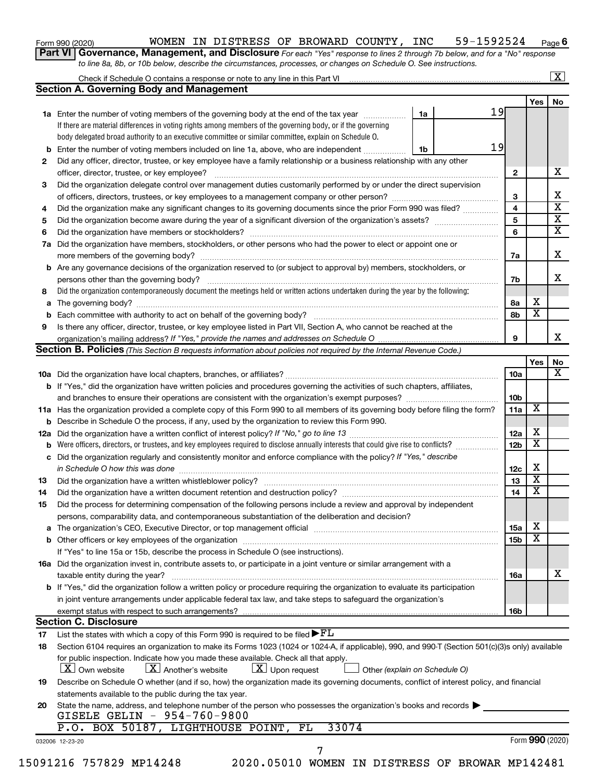| Form 990 (2020) |  |
|-----------------|--|
|-----------------|--|

#### Form 990 (2020) Page WOMEN IN DISTRESS OF BROWARD COUNTY, INC 59-1592524 **6**

**Part VI** Governance, Management, and Disclosure For each "Yes" response to lines 2 through 7b below, and for a "No" response *to line 8a, 8b, or 10b below, describe the circumstances, processes, or changes on Schedule O. See instructions.*

|     |                                                                                                                                                                                                                        |    |    |                 |                         | $\mathbf{X}$ |
|-----|------------------------------------------------------------------------------------------------------------------------------------------------------------------------------------------------------------------------|----|----|-----------------|-------------------------|--------------|
|     | <b>Section A. Governing Body and Management</b>                                                                                                                                                                        |    |    |                 |                         | No           |
|     |                                                                                                                                                                                                                        |    |    |                 | Yes                     |              |
|     | 1a Enter the number of voting members of the governing body at the end of the tax year                                                                                                                                 | 1a | 19 |                 |                         |              |
|     | If there are material differences in voting rights among members of the governing body, or if the governing                                                                                                            |    |    |                 |                         |              |
|     | body delegated broad authority to an executive committee or similar committee, explain on Schedule O.                                                                                                                  |    |    |                 |                         |              |
|     |                                                                                                                                                                                                                        | 1b | 19 |                 |                         |              |
| 2   | Did any officer, director, trustee, or key employee have a family relationship or a business relationship with any other                                                                                               |    |    |                 |                         |              |
|     |                                                                                                                                                                                                                        |    |    | $\mathbf{2}$    |                         |              |
| 3   | Did the organization delegate control over management duties customarily performed by or under the direct supervision                                                                                                  |    |    |                 |                         |              |
|     |                                                                                                                                                                                                                        |    |    | 3               |                         |              |
| 4   | Did the organization make any significant changes to its governing documents since the prior Form 990 was filed?                                                                                                       |    |    | 4               |                         |              |
| 5   |                                                                                                                                                                                                                        |    |    | 5               |                         |              |
| 6   |                                                                                                                                                                                                                        |    |    | 6               |                         |              |
| 7a  | Did the organization have members, stockholders, or other persons who had the power to elect or appoint one or                                                                                                         |    |    |                 |                         |              |
|     |                                                                                                                                                                                                                        |    |    | 7a              |                         |              |
|     | <b>b</b> Are any governance decisions of the organization reserved to (or subject to approval by) members, stockholders, or                                                                                            |    |    |                 |                         |              |
|     |                                                                                                                                                                                                                        |    |    | 7b              |                         |              |
| 8   | Did the organization contemporaneously document the meetings held or written actions undertaken during the year by the following:                                                                                      |    |    |                 |                         |              |
| a   |                                                                                                                                                                                                                        |    |    | 8а              | х                       |              |
|     |                                                                                                                                                                                                                        |    |    | 8b              | $\overline{\mathbf{x}}$ |              |
| 9   | Is there any officer, director, trustee, or key employee listed in Part VII, Section A, who cannot be reached at the                                                                                                   |    |    |                 |                         |              |
|     |                                                                                                                                                                                                                        |    |    | 9               |                         |              |
|     | Section B. Policies (This Section B requests information about policies not required by the Internal Revenue Code.)                                                                                                    |    |    |                 |                         |              |
|     |                                                                                                                                                                                                                        |    |    |                 | Yes                     |              |
|     |                                                                                                                                                                                                                        |    |    | <b>10a</b>      |                         |              |
|     | b If "Yes," did the organization have written policies and procedures governing the activities of such chapters, affiliates,                                                                                           |    |    |                 |                         |              |
|     |                                                                                                                                                                                                                        |    |    | 10 <sub>b</sub> |                         |              |
|     | 11a Has the organization provided a complete copy of this Form 990 to all members of its governing body before filing the form?                                                                                        |    |    | 11a             | X                       |              |
|     | <b>b</b> Describe in Schedule O the process, if any, used by the organization to review this Form 990.                                                                                                                 |    |    |                 |                         |              |
| 12a |                                                                                                                                                                                                                        |    |    | 12a             | х                       |              |
|     | Were officers, directors, or trustees, and key employees required to disclose annually interests that could give rise to conflicts?                                                                                    |    |    | 12 <sub>b</sub> | $\overline{\mathbf{X}}$ |              |
| с   | Did the organization regularly and consistently monitor and enforce compliance with the policy? If "Yes," describe                                                                                                     |    |    |                 |                         |              |
|     | in Schedule O how this was done manufactured and continuum and control of the state of the state of the state o                                                                                                        |    |    | 12c             | Х                       |              |
| 13  |                                                                                                                                                                                                                        |    |    | 13              | $\overline{\mathbf{X}}$ |              |
| 14  | Did the organization have a written document retention and destruction policy? [11] manufaction manufaction in                                                                                                         |    |    | 14              | $\overline{\mathbf{X}}$ |              |
| 15  | Did the process for determining compensation of the following persons include a review and approval by independent                                                                                                     |    |    |                 |                         |              |
|     | persons, comparability data, and contemporaneous substantiation of the deliberation and decision?                                                                                                                      |    |    |                 |                         |              |
|     |                                                                                                                                                                                                                        |    |    | 15a             | х                       |              |
|     |                                                                                                                                                                                                                        |    |    | 15b             | $\overline{\textbf{x}}$ |              |
|     | If "Yes" to line 15a or 15b, describe the process in Schedule O (see instructions).                                                                                                                                    |    |    |                 |                         |              |
|     | 16a Did the organization invest in, contribute assets to, or participate in a joint venture or similar arrangement with a                                                                                              |    |    |                 |                         |              |
|     | taxable entity during the year?                                                                                                                                                                                        |    |    | 16a             |                         |              |
|     | b If "Yes," did the organization follow a written policy or procedure requiring the organization to evaluate its participation                                                                                         |    |    |                 |                         |              |
|     | in joint venture arrangements under applicable federal tax law, and take steps to safeguard the organization's                                                                                                         |    |    |                 |                         |              |
|     | exempt status with respect to such arrangements?                                                                                                                                                                       |    |    | 16b             |                         |              |
|     | <b>Section C. Disclosure</b>                                                                                                                                                                                           |    |    |                 |                         |              |
| 17  | List the states with which a copy of this Form 990 is required to be filed $\blacktriangleright$ FL                                                                                                                    |    |    |                 |                         |              |
| 18  | Section 6104 requires an organization to make its Forms 1023 (1024 or 1024-A, if applicable), 990, and 990-T (Section 501(c)(3)s only) available                                                                       |    |    |                 |                         |              |
|     | for public inspection. Indicate how you made these available. Check all that apply.<br>$\lfloor x \rfloor$ Another's website<br>$\lfloor x \rfloor$ Upon request<br>$ X $ Own website<br>Other (explain on Schedule O) |    |    |                 |                         |              |
| 19  | Describe on Schedule O whether (and if so, how) the organization made its governing documents, conflict of interest policy, and financial                                                                              |    |    |                 |                         |              |
|     | statements available to the public during the tax year.                                                                                                                                                                |    |    |                 |                         |              |
| 20  | State the name, address, and telephone number of the person who possesses the organization's books and records                                                                                                         |    |    |                 |                         |              |
|     | GISELE GELIN - 954-760-9800                                                                                                                                                                                            |    |    |                 |                         |              |
|     | P.O. BOX 50187, LIGHTHOUSE POINT,<br>33074<br>FL                                                                                                                                                                       |    |    |                 |                         |              |
|     | 032006 12-23-20                                                                                                                                                                                                        |    |    |                 | Form 990 (2020)         |              |
|     | 7                                                                                                                                                                                                                      |    |    |                 |                         |              |
|     | 15091216 757829 MP14248<br>2020.05010 WOMEN IN DISTRESS OF BROWAR MP142481                                                                                                                                             |    |    |                 |                         |              |
|     |                                                                                                                                                                                                                        |    |    |                 |                         |              |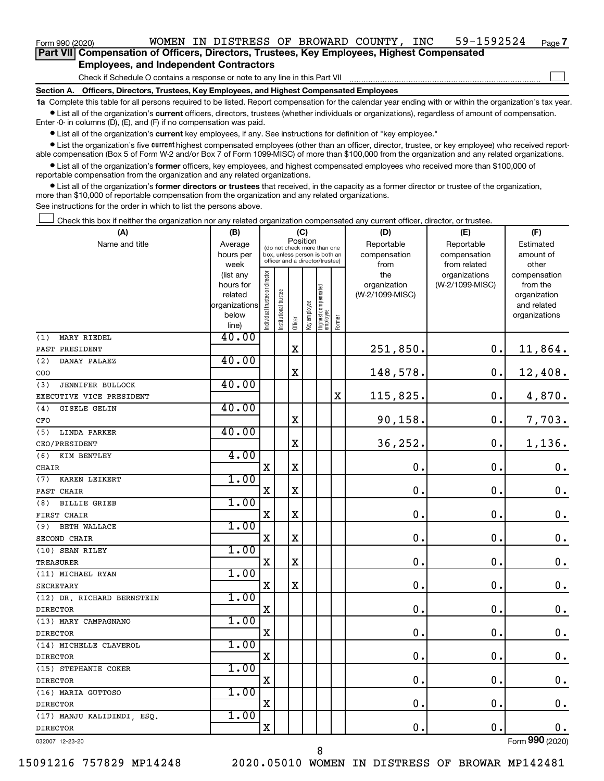**Part VII Compensation of Officers, Directors, Trustees, Key Employees, Highest Compensated Employees, and Independent Contractors**

Check if Schedule O contains a response or note to any line in this Part VII

**Section A. Officers, Directors, Trustees, Key Employees, and Highest Compensated Employees**

**1a**  Complete this table for all persons required to be listed. Report compensation for the calendar year ending with or within the organization's tax year.  $\bullet$  List all of the organization's current officers, directors, trustees (whether individuals or organizations), regardless of amount of compensation.

Enter -0- in columns (D), (E), and (F) if no compensation was paid.

**•** List all of the organization's current key employees, if any. See instructions for definition of "key employee."

• List the organization's five *current* highest compensated employees (other than an officer, director, trustee, or key employee) who received reportable compensation (Box 5 of Form W-2 and/or Box 7 of Form 1099-MISC) of more than \$100,000 from the organization and any related organizations.

 $\bullet$  List all of the organization's former officers, key employees, and highest compensated employees who received more than \$100,000 of reportable compensation from the organization and any related organizations.

**•** List all of the organization's former directors or trustees that received, in the capacity as a former director or trustee of the organization, more than \$10,000 of reportable compensation from the organization and any related organizations.

See instructions for the order in which to list the persons above.

Check this box if neither the organization nor any related organization compensated any current officer, director, or trustee.  $\Box$ 

| (A)                            | (B)                  |                               |                                                                  | (C)         |              |                                   |             | (D)                             | (E)             | (F)                      |
|--------------------------------|----------------------|-------------------------------|------------------------------------------------------------------|-------------|--------------|-----------------------------------|-------------|---------------------------------|-----------------|--------------------------|
| Name and title                 | Average              |                               | (do not check more than one                                      |             | Position     |                                   |             | Reportable                      | Reportable      | Estimated                |
|                                | hours per            |                               | box, unless person is both an<br>officer and a director/trustee) |             |              |                                   |             | compensation                    | compensation    | amount of                |
|                                | week                 |                               |                                                                  |             |              |                                   |             | from                            | from related    | other                    |
|                                | (list any            |                               |                                                                  |             |              |                                   |             | the                             | organizations   | compensation             |
|                                | hours for<br>related |                               |                                                                  |             |              |                                   |             | organization<br>(W-2/1099-MISC) | (W-2/1099-MISC) | from the<br>organization |
|                                | organizations        |                               | trustee                                                          |             |              |                                   |             |                                 |                 | and related              |
|                                | below                |                               |                                                                  |             |              |                                   |             |                                 |                 | organizations            |
|                                | line)                | ndividual trustee or director | Institutional t                                                  | Officer     | Key employee | Highest compensated<br>  employee | Former      |                                 |                 |                          |
| MARY RIEDEL<br>(1)             | 40.00                |                               |                                                                  |             |              |                                   |             |                                 |                 |                          |
| PAST PRESIDENT                 |                      |                               |                                                                  | $\mathbf X$ |              |                                   |             | 251,850.                        | $\mathbf 0$ .   | 11,864.                  |
| (2)<br>DANAY PALAEZ            | 40.00                |                               |                                                                  |             |              |                                   |             |                                 |                 |                          |
| COO                            |                      |                               |                                                                  | X           |              |                                   |             | 148,578.                        | $\mathbf 0$ .   | 12,408.                  |
| <b>JENNIFER BULLOCK</b><br>(3) | 40.00                |                               |                                                                  |             |              |                                   |             |                                 |                 |                          |
| EXECUTIVE VICE PRESIDENT       |                      |                               |                                                                  |             |              |                                   | $\mathbf X$ | 115,825.                        | $\mathbf 0$ .   | 4,870.                   |
| (4)<br><b>GISELE GELIN</b>     | 40.00                |                               |                                                                  |             |              |                                   |             |                                 |                 |                          |
| CFO                            |                      |                               |                                                                  | $\mathbf X$ |              |                                   |             | 90,158.                         | $\mathbf 0$ .   | 7,703.                   |
| LINDA PARKER<br>(5)            | 40.00                |                               |                                                                  |             |              |                                   |             |                                 |                 |                          |
| CEO/PRESIDENT                  |                      |                               |                                                                  | $\mathbf X$ |              |                                   |             | 36,252.                         | $\mathbf 0$ .   | 1,136.                   |
| (6)<br>KIM BENTLEY             | 4.00                 |                               |                                                                  |             |              |                                   |             |                                 |                 |                          |
| CHAIR                          |                      | $\mathbf X$                   |                                                                  | $\mathbf X$ |              |                                   |             | $\mathbf 0$ .                   | $\mathbf 0$ .   | 0.                       |
| KAREN LEIKERT<br>(7)           | 1.00                 |                               |                                                                  |             |              |                                   |             |                                 |                 |                          |
| PAST CHAIR                     |                      | $\mathbf X$                   |                                                                  | $\mathbf X$ |              |                                   |             | 0.                              | $\mathbf 0$ .   | $\mathbf 0$ .            |
| (8)<br><b>BILLIE GRIEB</b>     | 1.00                 |                               |                                                                  |             |              |                                   |             |                                 |                 |                          |
| FIRST CHAIR                    |                      | $\mathbf X$                   |                                                                  | $\mathbf X$ |              |                                   |             | $\mathbf 0$ .                   | $\mathbf 0$ .   | $\mathbf 0$ .            |
| <b>BETH WALLACE</b><br>(9)     | 1.00                 |                               |                                                                  |             |              |                                   |             |                                 |                 |                          |
| SECOND CHAIR                   |                      | $\mathbf X$                   |                                                                  | $\mathbf X$ |              |                                   |             | $\mathbf 0$ .                   | $\mathbf 0$ .   | $\mathbf 0$ .            |
| (10) SEAN RILEY                | 1.00                 |                               |                                                                  |             |              |                                   |             |                                 |                 |                          |
| TREASURER                      |                      | $\mathbf X$                   |                                                                  | $\mathbf X$ |              |                                   |             | 0.                              | $\mathbf 0$ .   | $\mathbf 0$ .            |
| (11) MICHAEL RYAN              | 1.00                 |                               |                                                                  |             |              |                                   |             |                                 |                 |                          |
| <b>SECRETARY</b>               |                      | X                             |                                                                  | X           |              |                                   |             | $\mathbf 0$ .                   | О.              | $\mathbf 0$ .            |
| (12) DR. RICHARD BERNSTEIN     | 1.00                 |                               |                                                                  |             |              |                                   |             |                                 |                 |                          |
| <b>DIRECTOR</b>                |                      | $\mathbf X$                   |                                                                  |             |              |                                   |             | 0.                              | $\mathbf 0$ .   | $\mathbf 0$ .            |
| (13) MARY CAMPAGNANO           | 1.00                 |                               |                                                                  |             |              |                                   |             |                                 |                 |                          |
| <b>DIRECTOR</b>                |                      | Χ                             |                                                                  |             |              |                                   |             | $\mathbf 0$ .                   | $\mathbf 0$ .   | $\mathbf 0$ .            |
| (14) MICHELLE CLAVEROL         | 1.00                 |                               |                                                                  |             |              |                                   |             |                                 |                 |                          |
| <b>DIRECTOR</b>                |                      | $\mathbf X$                   |                                                                  |             |              |                                   |             | 0.                              | $\mathbf 0$ .   | $\mathbf 0$ .            |
| (15) STEPHANIE COKER           | 1.00                 |                               |                                                                  |             |              |                                   |             |                                 |                 |                          |
| <b>DIRECTOR</b>                |                      | $\mathbf X$                   |                                                                  |             |              |                                   |             | 0.                              | $\mathbf 0$ .   | $\mathbf 0$ .            |
| (16) MARIA GUTTOSO             | 1.00                 |                               |                                                                  |             |              |                                   |             |                                 |                 |                          |
| <b>DIRECTOR</b>                |                      | $\mathbf X$                   |                                                                  |             |              |                                   |             | 0.                              | $\mathbf 0$ .   | $\mathbf 0$ .            |
| (17) MANJU KALIDINDI, ESQ.     | 1.00                 |                               |                                                                  |             |              |                                   |             |                                 |                 |                          |
| <b>DIRECTOR</b>                |                      | $\mathbf X$                   |                                                                  |             |              |                                   |             | $\mathbf 0$ .                   | $\mathbf 0$ .   | 0.                       |
|                                |                      |                               |                                                                  |             |              |                                   |             |                                 |                 | $\overline{\phantom{a}}$ |

032007 12-23-20

15091216 757829 MP14248 2020.05010 WOMEN IN DISTRESS OF BROWAR MP142481

8

 $\Box$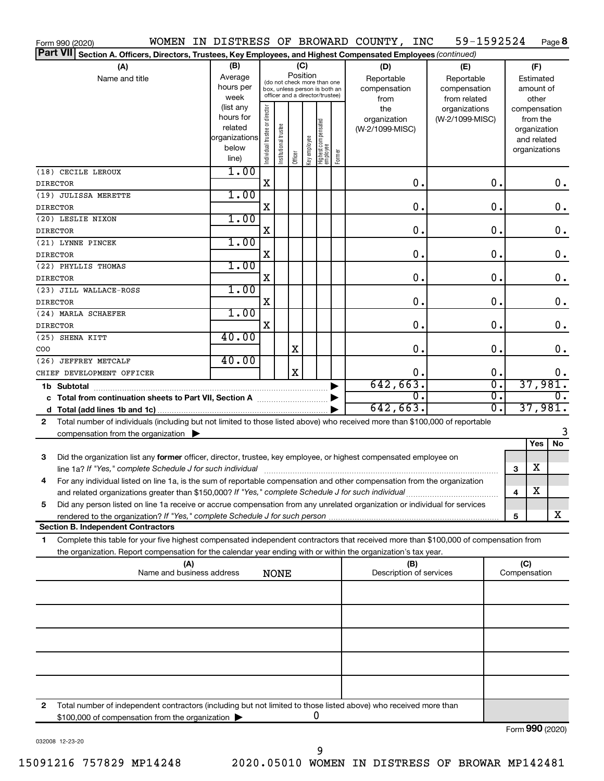| Form 990 (2020)                                                                                                                                                                                |                      |                                |                       |                                                              |              |                                   |        | WOMEN IN DISTRESS OF BROWARD COUNTY, INC | 59-1592524      |               |                  |                             | Page 8        |
|------------------------------------------------------------------------------------------------------------------------------------------------------------------------------------------------|----------------------|--------------------------------|-----------------------|--------------------------------------------------------------|--------------|-----------------------------------|--------|------------------------------------------|-----------------|---------------|------------------|-----------------------------|---------------|
| <b>Part VII</b><br>Section A. Officers, Directors, Trustees, Key Employees, and Highest Compensated Employees (continued)                                                                      |                      |                                |                       |                                                              |              |                                   |        |                                          |                 |               |                  |                             |               |
| (A)                                                                                                                                                                                            | (B)                  |                                |                       | (C)                                                          |              |                                   |        | (D)                                      | (E)             |               |                  | (F)                         |               |
| Name and title                                                                                                                                                                                 | Average              |                                |                       | Position                                                     |              |                                   |        | Reportable                               | Reportable      |               |                  | Estimated                   |               |
|                                                                                                                                                                                                | hours per            |                                |                       | (do not check more than one<br>box, unless person is both an |              |                                   |        | compensation                             | compensation    |               |                  | amount of                   |               |
|                                                                                                                                                                                                | week                 |                                |                       | officer and a director/trustee)                              |              |                                   |        | from                                     | from related    |               |                  | other                       |               |
|                                                                                                                                                                                                | (list any            |                                |                       |                                                              |              |                                   |        | the                                      | organizations   |               |                  | compensation                |               |
|                                                                                                                                                                                                | hours for<br>related |                                |                       |                                                              |              |                                   |        | organization                             | (W-2/1099-MISC) |               |                  | from the                    |               |
|                                                                                                                                                                                                | organizations        |                                |                       |                                                              |              |                                   |        | (W-2/1099-MISC)                          |                 |               |                  | organization<br>and related |               |
|                                                                                                                                                                                                | below                |                                |                       |                                                              |              |                                   |        |                                          |                 |               |                  | organizations               |               |
|                                                                                                                                                                                                | line)                | Individual trustee or director | Institutional trustee | Officer                                                      | Key employee | Highest compensated<br>  employee | Former |                                          |                 |               |                  |                             |               |
| (18) CECILE LEROUX                                                                                                                                                                             | 1.00                 |                                |                       |                                                              |              |                                   |        |                                          |                 |               |                  |                             |               |
| <b>DIRECTOR</b>                                                                                                                                                                                |                      | X                              |                       |                                                              |              |                                   |        | $\mathbf 0$ .                            |                 | $\mathbf 0$ . |                  |                             | 0.            |
| (19) JULISSA MERETTE                                                                                                                                                                           | 1.00                 |                                |                       |                                                              |              |                                   |        |                                          |                 |               |                  |                             |               |
| <b>DIRECTOR</b>                                                                                                                                                                                |                      | X                              |                       |                                                              |              |                                   |        | $\mathbf 0$ .                            |                 | $\mathbf 0$ . |                  |                             | $\mathbf 0$ . |
| (20) LESLIE NIXON                                                                                                                                                                              | 1.00                 |                                |                       |                                                              |              |                                   |        |                                          |                 |               |                  |                             |               |
| <b>DIRECTOR</b>                                                                                                                                                                                |                      | X                              |                       |                                                              |              |                                   |        | $\mathbf 0$ .                            |                 | $\mathbf 0$ . |                  |                             | $\mathbf 0$ . |
| (21) LYNNE PINCEK                                                                                                                                                                              | 1.00                 |                                |                       |                                                              |              |                                   |        |                                          |                 |               |                  |                             |               |
| <b>DIRECTOR</b>                                                                                                                                                                                |                      | X                              |                       |                                                              |              |                                   |        | $\mathbf 0$ .                            |                 | $\mathbf 0$ . |                  |                             | $\mathbf 0$ . |
| (22) PHYLLIS THOMAS                                                                                                                                                                            | 1.00                 |                                |                       |                                                              |              |                                   |        |                                          |                 |               |                  |                             |               |
| <b>DIRECTOR</b>                                                                                                                                                                                |                      | X                              |                       |                                                              |              |                                   |        | $\mathbf 0$ .                            |                 | $\mathbf 0$ . |                  |                             | $\mathbf 0$ . |
| (23) JILL WALLACE-ROSS                                                                                                                                                                         | 1.00                 |                                |                       |                                                              |              |                                   |        |                                          |                 |               |                  |                             |               |
| <b>DIRECTOR</b>                                                                                                                                                                                |                      | X                              |                       |                                                              |              |                                   |        | $\mathbf 0$ .                            |                 | $\mathbf 0$ . |                  |                             | $\mathbf 0$ . |
| (24) MARLA SCHAEFER                                                                                                                                                                            | 1.00                 |                                |                       |                                                              |              |                                   |        |                                          |                 |               |                  |                             |               |
| <b>DIRECTOR</b>                                                                                                                                                                                |                      | X                              |                       |                                                              |              |                                   |        | $\mathbf 0$ .                            |                 | $\mathbf 0$ . |                  |                             | $\mathbf 0$ . |
| (25) SHENA KITT                                                                                                                                                                                | 40.00                |                                |                       |                                                              |              |                                   |        |                                          |                 |               |                  |                             |               |
| COO                                                                                                                                                                                            |                      |                                |                       | X                                                            |              |                                   |        | $\mathbf 0$ .                            |                 | $\mathbf 0$ . |                  |                             | $\mathbf 0$ . |
| (26) JEFFREY METCALF                                                                                                                                                                           | 40.00                |                                |                       |                                                              |              |                                   |        |                                          |                 |               |                  |                             |               |
| CHIEF DEVELOPMENT OFFICER                                                                                                                                                                      |                      |                                |                       | $\mathbf X$                                                  |              |                                   |        | $\mathbf 0$ .                            |                 | $\mathbf 0$ . |                  |                             | 0.            |
| 1b Subtotal                                                                                                                                                                                    |                      |                                |                       |                                                              |              |                                   |        | 642,663.                                 |                 | σ.            |                  |                             | 37,981.       |
|                                                                                                                                                                                                |                      |                                |                       |                                                              |              |                                   |        | $\overline{0}$ .                         |                 | σ.            |                  |                             | $\mathbf 0$ . |
|                                                                                                                                                                                                |                      |                                |                       |                                                              |              |                                   |        | 642,663.                                 |                 | σ.            |                  |                             | 37,981.       |
| Total number of individuals (including but not limited to those listed above) who received more than \$100,000 of reportable<br>$\mathbf{2}$                                                   |                      |                                |                       |                                                              |              |                                   |        |                                          |                 |               |                  |                             |               |
| compensation from the organization $\blacktriangleright$                                                                                                                                       |                      |                                |                       |                                                              |              |                                   |        |                                          |                 |               |                  |                             |               |
|                                                                                                                                                                                                |                      |                                |                       |                                                              |              |                                   |        |                                          |                 |               |                  | Yes                         | No            |
| Did the organization list any former officer, director, trustee, key employee, or highest compensated employee on<br>3                                                                         |                      |                                |                       |                                                              |              |                                   |        |                                          |                 |               |                  |                             |               |
|                                                                                                                                                                                                |                      |                                |                       |                                                              |              |                                   |        |                                          |                 |               | 3                | х                           |               |
| 4<br>For any individual listed on line 1a, is the sum of reportable compensation and other compensation from the organization                                                                  |                      |                                |                       |                                                              |              |                                   |        |                                          |                 |               |                  |                             |               |
| and related organizations greater than \$150,000? If "Yes," complete Schedule J for such individual                                                                                            |                      |                                |                       |                                                              |              |                                   |        |                                          |                 |               | 4                | х                           |               |
| Did any person listed on line 1a receive or accrue compensation from any unrelated organization or individual for services<br>5                                                                |                      |                                |                       |                                                              |              |                                   |        |                                          |                 |               |                  |                             |               |
| rendered to the organization? If "Yes," complete Schedule J for such person manufactured to the organization? If "Yes," complete Schedule J for such person manufactured and the organization? |                      |                                |                       |                                                              |              |                                   |        |                                          |                 |               | 5                |                             | x             |
| <b>Section B. Independent Contractors</b>                                                                                                                                                      |                      |                                |                       |                                                              |              |                                   |        |                                          |                 |               |                  |                             |               |
| Complete this table for your five highest compensated independent contractors that received more than \$100,000 of compensation from<br>1                                                      |                      |                                |                       |                                                              |              |                                   |        |                                          |                 |               |                  |                             |               |
| the organization. Report compensation for the calendar year ending with or within the organization's tax year.                                                                                 |                      |                                |                       |                                                              |              |                                   |        |                                          |                 |               |                  |                             |               |
| (A)                                                                                                                                                                                            |                      |                                |                       |                                                              |              |                                   |        | (B)                                      |                 |               | (C)              |                             |               |
| Name and business address                                                                                                                                                                      |                      |                                | <b>NONE</b>           |                                                              |              |                                   |        | Description of services                  |                 |               | Compensation     |                             |               |
|                                                                                                                                                                                                |                      |                                |                       |                                                              |              |                                   |        |                                          |                 |               |                  |                             |               |
|                                                                                                                                                                                                |                      |                                |                       |                                                              |              |                                   |        |                                          |                 |               |                  |                             |               |
|                                                                                                                                                                                                |                      |                                |                       |                                                              |              |                                   |        |                                          |                 |               |                  |                             |               |
|                                                                                                                                                                                                |                      |                                |                       |                                                              |              |                                   |        |                                          |                 |               |                  |                             |               |
|                                                                                                                                                                                                |                      |                                |                       |                                                              |              |                                   |        |                                          |                 |               |                  |                             |               |
|                                                                                                                                                                                                |                      |                                |                       |                                                              |              |                                   |        |                                          |                 |               |                  |                             |               |
|                                                                                                                                                                                                |                      |                                |                       |                                                              |              |                                   |        |                                          |                 |               |                  |                             |               |
|                                                                                                                                                                                                |                      |                                |                       |                                                              |              |                                   |        |                                          |                 |               |                  |                             |               |
|                                                                                                                                                                                                |                      |                                |                       |                                                              |              |                                   |        |                                          |                 |               |                  |                             |               |
|                                                                                                                                                                                                |                      |                                |                       |                                                              |              |                                   |        |                                          |                 |               |                  |                             |               |
| Total number of independent contractors (including but not limited to those listed above) who received more than<br>2<br>\$100,000 of compensation from the organization                       |                      |                                |                       |                                                              | 0            |                                   |        |                                          |                 |               |                  |                             |               |
|                                                                                                                                                                                                |                      |                                |                       |                                                              |              |                                   |        |                                          |                 |               | Form $990(2020)$ |                             |               |

032008 12-23-20

Form (2020) **990**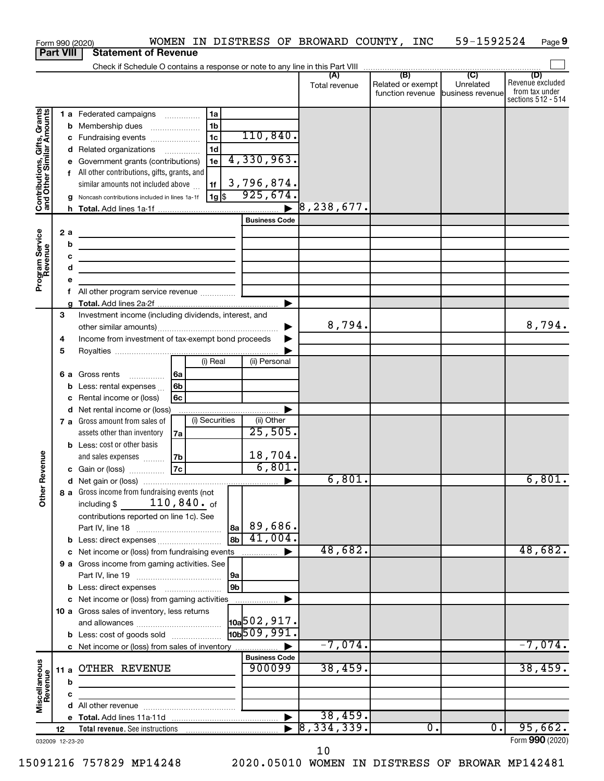| <b>Part VIII</b><br>(B)<br>$\overline{C}$<br>(D)<br>(A)<br>Revenue excluded<br>Related or exempt<br>Unrelated<br>Total revenue<br>from tax under<br>function revenue<br>business revenue<br>sections 512 - 514<br>Contributions, Gifts, Grants<br>and Other Similar Amounts<br>1a<br>1 a Federated campaigns<br>1 <sub>b</sub><br><b>b</b> Membership dues<br>110,840.<br>1 <sub>c</sub><br>c Fundraising events<br>1 <sub>d</sub><br>d Related organizations<br>4,330,963.<br>1e<br>e Government grants (contributions)<br>f All other contributions, gifts, grants, and<br>3,796,874.<br>similar amounts not included above<br>1f<br>925,674.<br>$ 1g $ \$<br>g Noncash contributions included in lines 1a-1f<br>$\overline{8}$ ,238,677.<br>$\blacktriangleright$<br><b>Business Code</b><br>Program Service<br>Revenue<br>2 a<br>b<br><u> 1989 - Johann Barbara, martin a bhann an t-Alban an t-Alban an t-Alban an t-Alban an t-Alban an t-Alban an t-Alban an t-Alban an t-Alban an t-Alban an t-Alban an t-Alban an t-Alban an t-Alban an t-Alban an t-Alban an t-A</u><br>с<br><u> 1989 - Johann Barbara, martin amerikan basar dan bahasa dalam basar dalam basar dalam basar dalam basar dala</u><br>d<br>the control of the control of the control of the control of<br>е<br>All other program service revenue<br>f<br>З<br>Investment income (including dividends, interest, and<br>8,794.<br>8,794.<br>Income from investment of tax-exempt bond proceeds<br>4<br>5<br>(i) Real<br>(ii) Personal<br>l 6a<br><b>6 a</b> Gross rents<br>6b<br><b>b</b> Less: rental expenses $\ldots$<br>c Rental income or (loss)<br>6с<br>d Net rental income or (loss)<br>(i) Securities<br>(ii) Other<br>7 a Gross amount from sales of<br>25,505.<br>assets other than inventory<br>7a<br><b>b</b> Less: cost or other basis<br>18,704.<br>evenue<br> 7b<br>and sales expenses<br>6,801.<br><b>7c</b><br>c Gain or (loss)<br>6,801.<br>6,801.<br>Other <sub>R</sub><br>8 a Gross income from fundraising events (not<br>including $$110,840.$ of<br>contributions reported on line 1c). See<br>$ a_8 $ 89,686.<br>41,004.<br>8 <sub>h</sub><br><b>b</b> Less: direct expenses<br>48,682.<br>48,682.<br>c Net income or (loss) from fundraising events<br>▶<br>9 a Gross income from gaming activities. See<br>9 <sub>b</sub><br>c Net income or (loss) from gaming activities<br>10 a Gross sales of inventory, less returns<br>$\vert$ 10a $\vert$ 502, 917.<br>10b509,991.<br><b>b</b> Less: cost of goods sold<br>$-7,074.$<br>$-7,074.$<br>c Net income or (loss) from sales of inventory<br>▶<br><b>Business Code</b><br>Miscellaneous<br>Revenue<br>38,459.<br>38,459.<br>900099<br>11 a OTHER REVENUE<br>b<br>c<br>38,459.<br>$\blacktriangleright$<br>8,334,339.<br>95,662.<br>$\overline{0}$ .<br>$\overline{0}$ .<br>12<br>032009 12-23-20 |  | WOMEN IN DISTRESS OF BROWARD COUNTY, INC<br>Form 990 (2020) |  | 59-1592524 | Page 9          |
|------------------------------------------------------------------------------------------------------------------------------------------------------------------------------------------------------------------------------------------------------------------------------------------------------------------------------------------------------------------------------------------------------------------------------------------------------------------------------------------------------------------------------------------------------------------------------------------------------------------------------------------------------------------------------------------------------------------------------------------------------------------------------------------------------------------------------------------------------------------------------------------------------------------------------------------------------------------------------------------------------------------------------------------------------------------------------------------------------------------------------------------------------------------------------------------------------------------------------------------------------------------------------------------------------------------------------------------------------------------------------------------------------------------------------------------------------------------------------------------------------------------------------------------------------------------------------------------------------------------------------------------------------------------------------------------------------------------------------------------------------------------------------------------------------------------------------------------------------------------------------------------------------------------------------------------------------------------------------------------------------------------------------------------------------------------------------------------------------------------------------------------------------------------------------------------------------------------------------------------------------------------------------------------------------------------------------------------------------------------------------------------------------------------------------------------------------------------------------------------------------------------------------------------------------------------------------------------------------------------------------------------------------------------------------------------------------------------------------------------------------------------------------------------------------------------------------------------------------|--|-------------------------------------------------------------|--|------------|-----------------|
|                                                                                                                                                                                                                                                                                                                                                                                                                                                                                                                                                                                                                                                                                                                                                                                                                                                                                                                                                                                                                                                                                                                                                                                                                                                                                                                                                                                                                                                                                                                                                                                                                                                                                                                                                                                                                                                                                                                                                                                                                                                                                                                                                                                                                                                                                                                                                                                                                                                                                                                                                                                                                                                                                                                                                                                                                                                      |  | <b>Statement of Revenue</b>                                 |  |            |                 |
|                                                                                                                                                                                                                                                                                                                                                                                                                                                                                                                                                                                                                                                                                                                                                                                                                                                                                                                                                                                                                                                                                                                                                                                                                                                                                                                                                                                                                                                                                                                                                                                                                                                                                                                                                                                                                                                                                                                                                                                                                                                                                                                                                                                                                                                                                                                                                                                                                                                                                                                                                                                                                                                                                                                                                                                                                                                      |  |                                                             |  |            |                 |
|                                                                                                                                                                                                                                                                                                                                                                                                                                                                                                                                                                                                                                                                                                                                                                                                                                                                                                                                                                                                                                                                                                                                                                                                                                                                                                                                                                                                                                                                                                                                                                                                                                                                                                                                                                                                                                                                                                                                                                                                                                                                                                                                                                                                                                                                                                                                                                                                                                                                                                                                                                                                                                                                                                                                                                                                                                                      |  |                                                             |  |            |                 |
|                                                                                                                                                                                                                                                                                                                                                                                                                                                                                                                                                                                                                                                                                                                                                                                                                                                                                                                                                                                                                                                                                                                                                                                                                                                                                                                                                                                                                                                                                                                                                                                                                                                                                                                                                                                                                                                                                                                                                                                                                                                                                                                                                                                                                                                                                                                                                                                                                                                                                                                                                                                                                                                                                                                                                                                                                                                      |  |                                                             |  |            |                 |
|                                                                                                                                                                                                                                                                                                                                                                                                                                                                                                                                                                                                                                                                                                                                                                                                                                                                                                                                                                                                                                                                                                                                                                                                                                                                                                                                                                                                                                                                                                                                                                                                                                                                                                                                                                                                                                                                                                                                                                                                                                                                                                                                                                                                                                                                                                                                                                                                                                                                                                                                                                                                                                                                                                                                                                                                                                                      |  |                                                             |  |            |                 |
|                                                                                                                                                                                                                                                                                                                                                                                                                                                                                                                                                                                                                                                                                                                                                                                                                                                                                                                                                                                                                                                                                                                                                                                                                                                                                                                                                                                                                                                                                                                                                                                                                                                                                                                                                                                                                                                                                                                                                                                                                                                                                                                                                                                                                                                                                                                                                                                                                                                                                                                                                                                                                                                                                                                                                                                                                                                      |  |                                                             |  |            |                 |
|                                                                                                                                                                                                                                                                                                                                                                                                                                                                                                                                                                                                                                                                                                                                                                                                                                                                                                                                                                                                                                                                                                                                                                                                                                                                                                                                                                                                                                                                                                                                                                                                                                                                                                                                                                                                                                                                                                                                                                                                                                                                                                                                                                                                                                                                                                                                                                                                                                                                                                                                                                                                                                                                                                                                                                                                                                                      |  |                                                             |  |            |                 |
|                                                                                                                                                                                                                                                                                                                                                                                                                                                                                                                                                                                                                                                                                                                                                                                                                                                                                                                                                                                                                                                                                                                                                                                                                                                                                                                                                                                                                                                                                                                                                                                                                                                                                                                                                                                                                                                                                                                                                                                                                                                                                                                                                                                                                                                                                                                                                                                                                                                                                                                                                                                                                                                                                                                                                                                                                                                      |  |                                                             |  |            |                 |
|                                                                                                                                                                                                                                                                                                                                                                                                                                                                                                                                                                                                                                                                                                                                                                                                                                                                                                                                                                                                                                                                                                                                                                                                                                                                                                                                                                                                                                                                                                                                                                                                                                                                                                                                                                                                                                                                                                                                                                                                                                                                                                                                                                                                                                                                                                                                                                                                                                                                                                                                                                                                                                                                                                                                                                                                                                                      |  |                                                             |  |            |                 |
|                                                                                                                                                                                                                                                                                                                                                                                                                                                                                                                                                                                                                                                                                                                                                                                                                                                                                                                                                                                                                                                                                                                                                                                                                                                                                                                                                                                                                                                                                                                                                                                                                                                                                                                                                                                                                                                                                                                                                                                                                                                                                                                                                                                                                                                                                                                                                                                                                                                                                                                                                                                                                                                                                                                                                                                                                                                      |  |                                                             |  |            |                 |
|                                                                                                                                                                                                                                                                                                                                                                                                                                                                                                                                                                                                                                                                                                                                                                                                                                                                                                                                                                                                                                                                                                                                                                                                                                                                                                                                                                                                                                                                                                                                                                                                                                                                                                                                                                                                                                                                                                                                                                                                                                                                                                                                                                                                                                                                                                                                                                                                                                                                                                                                                                                                                                                                                                                                                                                                                                                      |  |                                                             |  |            |                 |
|                                                                                                                                                                                                                                                                                                                                                                                                                                                                                                                                                                                                                                                                                                                                                                                                                                                                                                                                                                                                                                                                                                                                                                                                                                                                                                                                                                                                                                                                                                                                                                                                                                                                                                                                                                                                                                                                                                                                                                                                                                                                                                                                                                                                                                                                                                                                                                                                                                                                                                                                                                                                                                                                                                                                                                                                                                                      |  |                                                             |  |            |                 |
|                                                                                                                                                                                                                                                                                                                                                                                                                                                                                                                                                                                                                                                                                                                                                                                                                                                                                                                                                                                                                                                                                                                                                                                                                                                                                                                                                                                                                                                                                                                                                                                                                                                                                                                                                                                                                                                                                                                                                                                                                                                                                                                                                                                                                                                                                                                                                                                                                                                                                                                                                                                                                                                                                                                                                                                                                                                      |  |                                                             |  |            |                 |
|                                                                                                                                                                                                                                                                                                                                                                                                                                                                                                                                                                                                                                                                                                                                                                                                                                                                                                                                                                                                                                                                                                                                                                                                                                                                                                                                                                                                                                                                                                                                                                                                                                                                                                                                                                                                                                                                                                                                                                                                                                                                                                                                                                                                                                                                                                                                                                                                                                                                                                                                                                                                                                                                                                                                                                                                                                                      |  |                                                             |  |            |                 |
|                                                                                                                                                                                                                                                                                                                                                                                                                                                                                                                                                                                                                                                                                                                                                                                                                                                                                                                                                                                                                                                                                                                                                                                                                                                                                                                                                                                                                                                                                                                                                                                                                                                                                                                                                                                                                                                                                                                                                                                                                                                                                                                                                                                                                                                                                                                                                                                                                                                                                                                                                                                                                                                                                                                                                                                                                                                      |  |                                                             |  |            |                 |
|                                                                                                                                                                                                                                                                                                                                                                                                                                                                                                                                                                                                                                                                                                                                                                                                                                                                                                                                                                                                                                                                                                                                                                                                                                                                                                                                                                                                                                                                                                                                                                                                                                                                                                                                                                                                                                                                                                                                                                                                                                                                                                                                                                                                                                                                                                                                                                                                                                                                                                                                                                                                                                                                                                                                                                                                                                                      |  |                                                             |  |            |                 |
|                                                                                                                                                                                                                                                                                                                                                                                                                                                                                                                                                                                                                                                                                                                                                                                                                                                                                                                                                                                                                                                                                                                                                                                                                                                                                                                                                                                                                                                                                                                                                                                                                                                                                                                                                                                                                                                                                                                                                                                                                                                                                                                                                                                                                                                                                                                                                                                                                                                                                                                                                                                                                                                                                                                                                                                                                                                      |  |                                                             |  |            |                 |
|                                                                                                                                                                                                                                                                                                                                                                                                                                                                                                                                                                                                                                                                                                                                                                                                                                                                                                                                                                                                                                                                                                                                                                                                                                                                                                                                                                                                                                                                                                                                                                                                                                                                                                                                                                                                                                                                                                                                                                                                                                                                                                                                                                                                                                                                                                                                                                                                                                                                                                                                                                                                                                                                                                                                                                                                                                                      |  |                                                             |  |            |                 |
|                                                                                                                                                                                                                                                                                                                                                                                                                                                                                                                                                                                                                                                                                                                                                                                                                                                                                                                                                                                                                                                                                                                                                                                                                                                                                                                                                                                                                                                                                                                                                                                                                                                                                                                                                                                                                                                                                                                                                                                                                                                                                                                                                                                                                                                                                                                                                                                                                                                                                                                                                                                                                                                                                                                                                                                                                                                      |  |                                                             |  |            |                 |
|                                                                                                                                                                                                                                                                                                                                                                                                                                                                                                                                                                                                                                                                                                                                                                                                                                                                                                                                                                                                                                                                                                                                                                                                                                                                                                                                                                                                                                                                                                                                                                                                                                                                                                                                                                                                                                                                                                                                                                                                                                                                                                                                                                                                                                                                                                                                                                                                                                                                                                                                                                                                                                                                                                                                                                                                                                                      |  |                                                             |  |            |                 |
|                                                                                                                                                                                                                                                                                                                                                                                                                                                                                                                                                                                                                                                                                                                                                                                                                                                                                                                                                                                                                                                                                                                                                                                                                                                                                                                                                                                                                                                                                                                                                                                                                                                                                                                                                                                                                                                                                                                                                                                                                                                                                                                                                                                                                                                                                                                                                                                                                                                                                                                                                                                                                                                                                                                                                                                                                                                      |  |                                                             |  |            |                 |
|                                                                                                                                                                                                                                                                                                                                                                                                                                                                                                                                                                                                                                                                                                                                                                                                                                                                                                                                                                                                                                                                                                                                                                                                                                                                                                                                                                                                                                                                                                                                                                                                                                                                                                                                                                                                                                                                                                                                                                                                                                                                                                                                                                                                                                                                                                                                                                                                                                                                                                                                                                                                                                                                                                                                                                                                                                                      |  |                                                             |  |            |                 |
|                                                                                                                                                                                                                                                                                                                                                                                                                                                                                                                                                                                                                                                                                                                                                                                                                                                                                                                                                                                                                                                                                                                                                                                                                                                                                                                                                                                                                                                                                                                                                                                                                                                                                                                                                                                                                                                                                                                                                                                                                                                                                                                                                                                                                                                                                                                                                                                                                                                                                                                                                                                                                                                                                                                                                                                                                                                      |  |                                                             |  |            |                 |
|                                                                                                                                                                                                                                                                                                                                                                                                                                                                                                                                                                                                                                                                                                                                                                                                                                                                                                                                                                                                                                                                                                                                                                                                                                                                                                                                                                                                                                                                                                                                                                                                                                                                                                                                                                                                                                                                                                                                                                                                                                                                                                                                                                                                                                                                                                                                                                                                                                                                                                                                                                                                                                                                                                                                                                                                                                                      |  |                                                             |  |            |                 |
|                                                                                                                                                                                                                                                                                                                                                                                                                                                                                                                                                                                                                                                                                                                                                                                                                                                                                                                                                                                                                                                                                                                                                                                                                                                                                                                                                                                                                                                                                                                                                                                                                                                                                                                                                                                                                                                                                                                                                                                                                                                                                                                                                                                                                                                                                                                                                                                                                                                                                                                                                                                                                                                                                                                                                                                                                                                      |  |                                                             |  |            |                 |
|                                                                                                                                                                                                                                                                                                                                                                                                                                                                                                                                                                                                                                                                                                                                                                                                                                                                                                                                                                                                                                                                                                                                                                                                                                                                                                                                                                                                                                                                                                                                                                                                                                                                                                                                                                                                                                                                                                                                                                                                                                                                                                                                                                                                                                                                                                                                                                                                                                                                                                                                                                                                                                                                                                                                                                                                                                                      |  |                                                             |  |            |                 |
|                                                                                                                                                                                                                                                                                                                                                                                                                                                                                                                                                                                                                                                                                                                                                                                                                                                                                                                                                                                                                                                                                                                                                                                                                                                                                                                                                                                                                                                                                                                                                                                                                                                                                                                                                                                                                                                                                                                                                                                                                                                                                                                                                                                                                                                                                                                                                                                                                                                                                                                                                                                                                                                                                                                                                                                                                                                      |  |                                                             |  |            |                 |
|                                                                                                                                                                                                                                                                                                                                                                                                                                                                                                                                                                                                                                                                                                                                                                                                                                                                                                                                                                                                                                                                                                                                                                                                                                                                                                                                                                                                                                                                                                                                                                                                                                                                                                                                                                                                                                                                                                                                                                                                                                                                                                                                                                                                                                                                                                                                                                                                                                                                                                                                                                                                                                                                                                                                                                                                                                                      |  |                                                             |  |            |                 |
|                                                                                                                                                                                                                                                                                                                                                                                                                                                                                                                                                                                                                                                                                                                                                                                                                                                                                                                                                                                                                                                                                                                                                                                                                                                                                                                                                                                                                                                                                                                                                                                                                                                                                                                                                                                                                                                                                                                                                                                                                                                                                                                                                                                                                                                                                                                                                                                                                                                                                                                                                                                                                                                                                                                                                                                                                                                      |  |                                                             |  |            |                 |
|                                                                                                                                                                                                                                                                                                                                                                                                                                                                                                                                                                                                                                                                                                                                                                                                                                                                                                                                                                                                                                                                                                                                                                                                                                                                                                                                                                                                                                                                                                                                                                                                                                                                                                                                                                                                                                                                                                                                                                                                                                                                                                                                                                                                                                                                                                                                                                                                                                                                                                                                                                                                                                                                                                                                                                                                                                                      |  |                                                             |  |            |                 |
|                                                                                                                                                                                                                                                                                                                                                                                                                                                                                                                                                                                                                                                                                                                                                                                                                                                                                                                                                                                                                                                                                                                                                                                                                                                                                                                                                                                                                                                                                                                                                                                                                                                                                                                                                                                                                                                                                                                                                                                                                                                                                                                                                                                                                                                                                                                                                                                                                                                                                                                                                                                                                                                                                                                                                                                                                                                      |  |                                                             |  |            |                 |
|                                                                                                                                                                                                                                                                                                                                                                                                                                                                                                                                                                                                                                                                                                                                                                                                                                                                                                                                                                                                                                                                                                                                                                                                                                                                                                                                                                                                                                                                                                                                                                                                                                                                                                                                                                                                                                                                                                                                                                                                                                                                                                                                                                                                                                                                                                                                                                                                                                                                                                                                                                                                                                                                                                                                                                                                                                                      |  |                                                             |  |            |                 |
|                                                                                                                                                                                                                                                                                                                                                                                                                                                                                                                                                                                                                                                                                                                                                                                                                                                                                                                                                                                                                                                                                                                                                                                                                                                                                                                                                                                                                                                                                                                                                                                                                                                                                                                                                                                                                                                                                                                                                                                                                                                                                                                                                                                                                                                                                                                                                                                                                                                                                                                                                                                                                                                                                                                                                                                                                                                      |  |                                                             |  |            |                 |
|                                                                                                                                                                                                                                                                                                                                                                                                                                                                                                                                                                                                                                                                                                                                                                                                                                                                                                                                                                                                                                                                                                                                                                                                                                                                                                                                                                                                                                                                                                                                                                                                                                                                                                                                                                                                                                                                                                                                                                                                                                                                                                                                                                                                                                                                                                                                                                                                                                                                                                                                                                                                                                                                                                                                                                                                                                                      |  |                                                             |  |            |                 |
|                                                                                                                                                                                                                                                                                                                                                                                                                                                                                                                                                                                                                                                                                                                                                                                                                                                                                                                                                                                                                                                                                                                                                                                                                                                                                                                                                                                                                                                                                                                                                                                                                                                                                                                                                                                                                                                                                                                                                                                                                                                                                                                                                                                                                                                                                                                                                                                                                                                                                                                                                                                                                                                                                                                                                                                                                                                      |  |                                                             |  |            |                 |
|                                                                                                                                                                                                                                                                                                                                                                                                                                                                                                                                                                                                                                                                                                                                                                                                                                                                                                                                                                                                                                                                                                                                                                                                                                                                                                                                                                                                                                                                                                                                                                                                                                                                                                                                                                                                                                                                                                                                                                                                                                                                                                                                                                                                                                                                                                                                                                                                                                                                                                                                                                                                                                                                                                                                                                                                                                                      |  |                                                             |  |            |                 |
|                                                                                                                                                                                                                                                                                                                                                                                                                                                                                                                                                                                                                                                                                                                                                                                                                                                                                                                                                                                                                                                                                                                                                                                                                                                                                                                                                                                                                                                                                                                                                                                                                                                                                                                                                                                                                                                                                                                                                                                                                                                                                                                                                                                                                                                                                                                                                                                                                                                                                                                                                                                                                                                                                                                                                                                                                                                      |  |                                                             |  |            |                 |
|                                                                                                                                                                                                                                                                                                                                                                                                                                                                                                                                                                                                                                                                                                                                                                                                                                                                                                                                                                                                                                                                                                                                                                                                                                                                                                                                                                                                                                                                                                                                                                                                                                                                                                                                                                                                                                                                                                                                                                                                                                                                                                                                                                                                                                                                                                                                                                                                                                                                                                                                                                                                                                                                                                                                                                                                                                                      |  |                                                             |  |            |                 |
|                                                                                                                                                                                                                                                                                                                                                                                                                                                                                                                                                                                                                                                                                                                                                                                                                                                                                                                                                                                                                                                                                                                                                                                                                                                                                                                                                                                                                                                                                                                                                                                                                                                                                                                                                                                                                                                                                                                                                                                                                                                                                                                                                                                                                                                                                                                                                                                                                                                                                                                                                                                                                                                                                                                                                                                                                                                      |  |                                                             |  |            |                 |
|                                                                                                                                                                                                                                                                                                                                                                                                                                                                                                                                                                                                                                                                                                                                                                                                                                                                                                                                                                                                                                                                                                                                                                                                                                                                                                                                                                                                                                                                                                                                                                                                                                                                                                                                                                                                                                                                                                                                                                                                                                                                                                                                                                                                                                                                                                                                                                                                                                                                                                                                                                                                                                                                                                                                                                                                                                                      |  |                                                             |  |            |                 |
|                                                                                                                                                                                                                                                                                                                                                                                                                                                                                                                                                                                                                                                                                                                                                                                                                                                                                                                                                                                                                                                                                                                                                                                                                                                                                                                                                                                                                                                                                                                                                                                                                                                                                                                                                                                                                                                                                                                                                                                                                                                                                                                                                                                                                                                                                                                                                                                                                                                                                                                                                                                                                                                                                                                                                                                                                                                      |  |                                                             |  |            |                 |
|                                                                                                                                                                                                                                                                                                                                                                                                                                                                                                                                                                                                                                                                                                                                                                                                                                                                                                                                                                                                                                                                                                                                                                                                                                                                                                                                                                                                                                                                                                                                                                                                                                                                                                                                                                                                                                                                                                                                                                                                                                                                                                                                                                                                                                                                                                                                                                                                                                                                                                                                                                                                                                                                                                                                                                                                                                                      |  |                                                             |  |            |                 |
|                                                                                                                                                                                                                                                                                                                                                                                                                                                                                                                                                                                                                                                                                                                                                                                                                                                                                                                                                                                                                                                                                                                                                                                                                                                                                                                                                                                                                                                                                                                                                                                                                                                                                                                                                                                                                                                                                                                                                                                                                                                                                                                                                                                                                                                                                                                                                                                                                                                                                                                                                                                                                                                                                                                                                                                                                                                      |  |                                                             |  |            |                 |
|                                                                                                                                                                                                                                                                                                                                                                                                                                                                                                                                                                                                                                                                                                                                                                                                                                                                                                                                                                                                                                                                                                                                                                                                                                                                                                                                                                                                                                                                                                                                                                                                                                                                                                                                                                                                                                                                                                                                                                                                                                                                                                                                                                                                                                                                                                                                                                                                                                                                                                                                                                                                                                                                                                                                                                                                                                                      |  |                                                             |  |            |                 |
|                                                                                                                                                                                                                                                                                                                                                                                                                                                                                                                                                                                                                                                                                                                                                                                                                                                                                                                                                                                                                                                                                                                                                                                                                                                                                                                                                                                                                                                                                                                                                                                                                                                                                                                                                                                                                                                                                                                                                                                                                                                                                                                                                                                                                                                                                                                                                                                                                                                                                                                                                                                                                                                                                                                                                                                                                                                      |  |                                                             |  |            |                 |
|                                                                                                                                                                                                                                                                                                                                                                                                                                                                                                                                                                                                                                                                                                                                                                                                                                                                                                                                                                                                                                                                                                                                                                                                                                                                                                                                                                                                                                                                                                                                                                                                                                                                                                                                                                                                                                                                                                                                                                                                                                                                                                                                                                                                                                                                                                                                                                                                                                                                                                                                                                                                                                                                                                                                                                                                                                                      |  |                                                             |  |            |                 |
|                                                                                                                                                                                                                                                                                                                                                                                                                                                                                                                                                                                                                                                                                                                                                                                                                                                                                                                                                                                                                                                                                                                                                                                                                                                                                                                                                                                                                                                                                                                                                                                                                                                                                                                                                                                                                                                                                                                                                                                                                                                                                                                                                                                                                                                                                                                                                                                                                                                                                                                                                                                                                                                                                                                                                                                                                                                      |  |                                                             |  |            |                 |
|                                                                                                                                                                                                                                                                                                                                                                                                                                                                                                                                                                                                                                                                                                                                                                                                                                                                                                                                                                                                                                                                                                                                                                                                                                                                                                                                                                                                                                                                                                                                                                                                                                                                                                                                                                                                                                                                                                                                                                                                                                                                                                                                                                                                                                                                                                                                                                                                                                                                                                                                                                                                                                                                                                                                                                                                                                                      |  |                                                             |  |            |                 |
|                                                                                                                                                                                                                                                                                                                                                                                                                                                                                                                                                                                                                                                                                                                                                                                                                                                                                                                                                                                                                                                                                                                                                                                                                                                                                                                                                                                                                                                                                                                                                                                                                                                                                                                                                                                                                                                                                                                                                                                                                                                                                                                                                                                                                                                                                                                                                                                                                                                                                                                                                                                                                                                                                                                                                                                                                                                      |  |                                                             |  |            |                 |
|                                                                                                                                                                                                                                                                                                                                                                                                                                                                                                                                                                                                                                                                                                                                                                                                                                                                                                                                                                                                                                                                                                                                                                                                                                                                                                                                                                                                                                                                                                                                                                                                                                                                                                                                                                                                                                                                                                                                                                                                                                                                                                                                                                                                                                                                                                                                                                                                                                                                                                                                                                                                                                                                                                                                                                                                                                                      |  |                                                             |  |            |                 |
|                                                                                                                                                                                                                                                                                                                                                                                                                                                                                                                                                                                                                                                                                                                                                                                                                                                                                                                                                                                                                                                                                                                                                                                                                                                                                                                                                                                                                                                                                                                                                                                                                                                                                                                                                                                                                                                                                                                                                                                                                                                                                                                                                                                                                                                                                                                                                                                                                                                                                                                                                                                                                                                                                                                                                                                                                                                      |  |                                                             |  |            |                 |
|                                                                                                                                                                                                                                                                                                                                                                                                                                                                                                                                                                                                                                                                                                                                                                                                                                                                                                                                                                                                                                                                                                                                                                                                                                                                                                                                                                                                                                                                                                                                                                                                                                                                                                                                                                                                                                                                                                                                                                                                                                                                                                                                                                                                                                                                                                                                                                                                                                                                                                                                                                                                                                                                                                                                                                                                                                                      |  |                                                             |  |            |                 |
|                                                                                                                                                                                                                                                                                                                                                                                                                                                                                                                                                                                                                                                                                                                                                                                                                                                                                                                                                                                                                                                                                                                                                                                                                                                                                                                                                                                                                                                                                                                                                                                                                                                                                                                                                                                                                                                                                                                                                                                                                                                                                                                                                                                                                                                                                                                                                                                                                                                                                                                                                                                                                                                                                                                                                                                                                                                      |  |                                                             |  |            | Form 990 (2020) |

10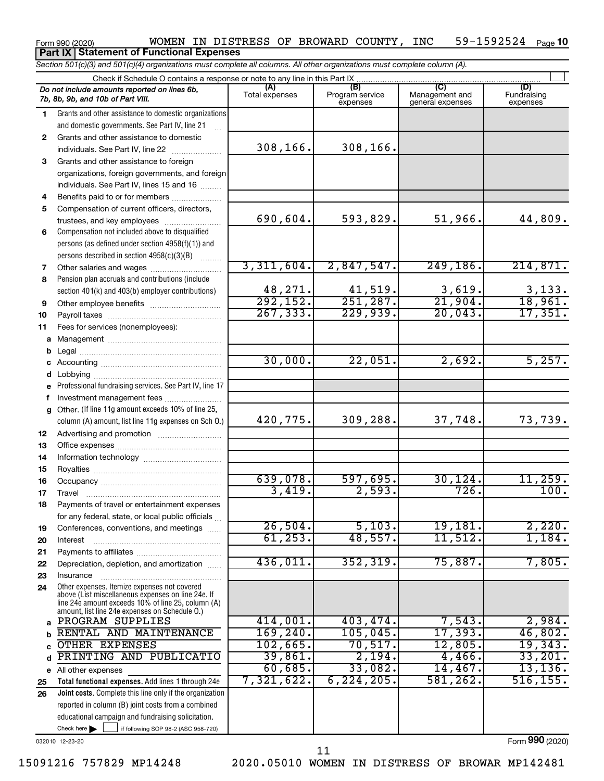#### Form 990 (2020) Page WOMEN IN DISTRESS OF BROWARD COUNTY, INC 59-1592524 59-1592524 Page 10 **Part IX Statement of Functional Expenses**

*Section 501(c)(3) and 501(c)(4) organizations must complete all columns. All other organizations must complete column (A).*

|              | Check if Schedule O contains a response or note to any line in this Part IX                          |                       |                                    |                                           |                                |
|--------------|------------------------------------------------------------------------------------------------------|-----------------------|------------------------------------|-------------------------------------------|--------------------------------|
|              | Do not include amounts reported on lines 6b,<br>7b, 8b, 9b, and 10b of Part VIII.                    | (A)<br>Total expenses | (B)<br>Program service<br>expenses | (C)<br>Management and<br>general expenses | (D)<br>Fundraising<br>expenses |
| 1.           | Grants and other assistance to domestic organizations                                                |                       |                                    |                                           |                                |
|              | and domestic governments. See Part IV, line 21                                                       |                       |                                    |                                           |                                |
| $\mathbf{2}$ | Grants and other assistance to domestic                                                              |                       |                                    |                                           |                                |
|              | individuals. See Part IV, line 22                                                                    | 308,166.              | 308,166.                           |                                           |                                |
| 3            | Grants and other assistance to foreign                                                               |                       |                                    |                                           |                                |
|              | organizations, foreign governments, and foreign                                                      |                       |                                    |                                           |                                |
|              | individuals. See Part IV, lines 15 and 16                                                            |                       |                                    |                                           |                                |
| 4            | Benefits paid to or for members                                                                      |                       |                                    |                                           |                                |
| 5            | Compensation of current officers, directors,                                                         |                       |                                    |                                           |                                |
|              | trustees, and key employees                                                                          | 690,604.              | 593,829.                           | 51,966.                                   | 44,809.                        |
| 6            | Compensation not included above to disqualified                                                      |                       |                                    |                                           |                                |
|              | persons (as defined under section 4958(f)(1)) and                                                    |                       |                                    |                                           |                                |
|              | persons described in section 4958(c)(3)(B)                                                           |                       |                                    |                                           |                                |
| 7            | Other salaries and wages                                                                             | 3,311,604.            | 2,847,547.                         | 249, 186.                                 | 214,871.                       |
| 8            | Pension plan accruals and contributions (include                                                     |                       |                                    |                                           |                                |
|              | section 401(k) and 403(b) employer contributions)                                                    | 48,271.               | 41,519.                            | 3,619.                                    | $\frac{3,133}{18,961}$         |
| 9            |                                                                                                      | $\overline{292,152.}$ | $\overline{251,287}$ .             | $\overline{21,904}$ .                     |                                |
| 10           |                                                                                                      | 267, 333.             | 229,939.                           | 20,043.                                   | 17,351.                        |
| 11           | Fees for services (nonemployees):                                                                    |                       |                                    |                                           |                                |
| a            |                                                                                                      |                       |                                    |                                           |                                |
| b            |                                                                                                      |                       |                                    |                                           |                                |
| с            |                                                                                                      | 30,000.               | 22,051.                            | 2,692.                                    | 5,257.                         |
| d            |                                                                                                      |                       |                                    |                                           |                                |
| e            | Professional fundraising services. See Part IV, line 17                                              |                       |                                    |                                           |                                |
| f            | Investment management fees                                                                           |                       |                                    |                                           |                                |
| q            | Other. (If line 11g amount exceeds 10% of line 25,                                                   | 420,775.              | 309,288.                           | 37,748.                                   | 73,739.                        |
|              | column (A) amount, list line 11g expenses on Sch O.)                                                 |                       |                                    |                                           |                                |
| 12           |                                                                                                      |                       |                                    |                                           |                                |
| 13           |                                                                                                      |                       |                                    |                                           |                                |
| 14<br>15     |                                                                                                      |                       |                                    |                                           |                                |
| 16           |                                                                                                      | 639,078.              | 597,695.                           | 30, 124.                                  | 11,259.                        |
| 17           | Travel                                                                                               | 3,419.                | 2,593.                             | 726.                                      | 100.                           |
| 18           | Payments of travel or entertainment expenses                                                         |                       |                                    |                                           |                                |
|              | for any federal, state, or local public officials                                                    |                       |                                    |                                           |                                |
| 19           | Conferences, conventions, and meetings                                                               | 26,504.               | 5,103.                             | 19,181.                                   | 2,220.                         |
| 20           | Interest                                                                                             | 61, 253.              | 48,557.                            | 11,512.                                   | 1,184.                         |
| 21           |                                                                                                      |                       |                                    |                                           |                                |
| 22           | Depreciation, depletion, and amortization                                                            | 436,011.              | 352, 319.                          | 75,887.                                   | 7,805.                         |
| 23           | Insurance                                                                                            |                       |                                    |                                           |                                |
| 24           | Other expenses. Itemize expenses not covered<br>above (List miscellaneous expenses on line 24e. If   |                       |                                    |                                           |                                |
|              | line 24e amount exceeds 10% of line 25, column (A)<br>amount, list line 24e expenses on Schedule 0.) |                       |                                    |                                           |                                |
| a            | PROGRAM SUPPLIES                                                                                     | 414,001.              | 403, 474.                          | 7,543.                                    | 2,984.                         |
| b            | RENTAL AND MAINTENANCE                                                                               | 169, 240.             | 105,045.                           | 17,393.                                   | 46,802.                        |
| C            | OTHER EXPENSES                                                                                       | 102,665.              | 70,517.                            | 12,805.                                   | 19,343.                        |
| d            | PRINTING AND PUBLICATIO                                                                              | 39,861.               | 2,194.                             | 4,466.                                    | 33,201.                        |
| е            | All other expenses                                                                                   | 60,685.               | 33,082.                            | 14,467.                                   | 13, 136.                       |
| 25           | Total functional expenses. Add lines 1 through 24e                                                   | 7,321,622.            | 6, 224, 205.                       | 581,262.                                  | 516, 155.                      |
| 26           | Joint costs. Complete this line only if the organization                                             |                       |                                    |                                           |                                |
|              | reported in column (B) joint costs from a combined                                                   |                       |                                    |                                           |                                |
|              | educational campaign and fundraising solicitation.                                                   |                       |                                    |                                           |                                |
|              | Check here $\blacktriangleright$<br>if following SOP 98-2 (ASC 958-720)                              |                       |                                    |                                           |                                |

032010 12-23-20

Form (2020) **990**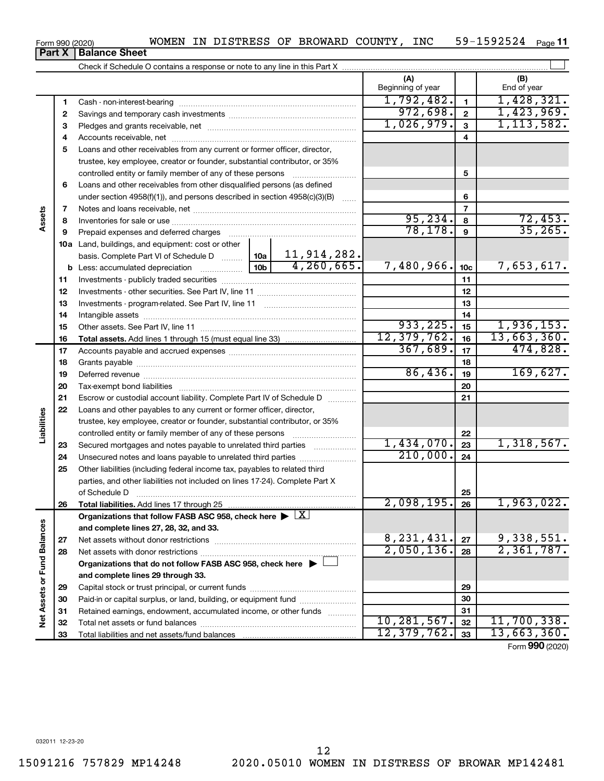$\overline{10}$ , 281, 567. 32 11, 700, 338.  $12,379,762.$  33 13,663,360.

Form (2020) **990**

|  |  |  |  |  |  | WOMEN IN DISTRESS OF BROWARD COUNTY, INC $59-1592524$ $_{Page}$ 11 |  |
|--|--|--|--|--|--|--------------------------------------------------------------------|--|
|--|--|--|--|--|--|--------------------------------------------------------------------|--|

|                             | Part X   | <b>Balance Sheet</b>                                                                                   |                 |                                  |                               |                 |                          |
|-----------------------------|----------|--------------------------------------------------------------------------------------------------------|-----------------|----------------------------------|-------------------------------|-----------------|--------------------------|
|                             |          |                                                                                                        |                 |                                  |                               |                 |                          |
|                             |          |                                                                                                        |                 |                                  | (A)<br>Beginning of year      |                 | (B)<br>End of year       |
|                             | 1        |                                                                                                        |                 |                                  | 1,792,482.                    | $\mathbf{1}$    | 1,428,321.               |
|                             | 2        |                                                                                                        |                 |                                  | 972,698.                      | $\mathbf{2}$    | 1,423,969.               |
|                             | 3        |                                                                                                        |                 |                                  | 1,026,979.                    | $\mathbf{3}$    | 1, 113, 582.             |
|                             | 4        |                                                                                                        |                 |                                  |                               | 4               |                          |
|                             | 5        | Loans and other receivables from any current or former officer, director,                              |                 |                                  |                               |                 |                          |
|                             |          | trustee, key employee, creator or founder, substantial contributor, or 35%                             |                 |                                  |                               |                 |                          |
|                             |          | controlled entity or family member of any of these persons                                             |                 |                                  |                               | 5               |                          |
|                             | 6        | Loans and other receivables from other disqualified persons (as defined                                |                 |                                  |                               |                 |                          |
|                             |          | under section $4958(f)(1)$ , and persons described in section $4958(c)(3)(B)$                          |                 | $\ldots$                         |                               | 6               |                          |
|                             | 7        |                                                                                                        |                 |                                  |                               | $\overline{7}$  |                          |
| Assets                      | 8        |                                                                                                        |                 | 95, 234.                         | 8                             | 72,453.         |                          |
|                             | 9        | Prepaid expenses and deferred charges                                                                  |                 |                                  | 78, 178.                      | 9               | 35, 265.                 |
|                             |          | 10a Land, buildings, and equipment: cost or other                                                      |                 |                                  |                               |                 |                          |
|                             |          | basis. Complete Part VI of Schedule D  10a                                                             |                 | $\frac{11,914,282.}{4,260,665.}$ |                               |                 |                          |
|                             |          |                                                                                                        | 10 <sub>b</sub> |                                  | 7,480,966.                    | 10 <sub>c</sub> | 7,653,617.               |
|                             | 11       |                                                                                                        |                 |                                  |                               | 11              |                          |
|                             | 12       |                                                                                                        |                 | 12                               |                               |                 |                          |
|                             | 13       |                                                                                                        |                 | 13                               |                               |                 |                          |
|                             | 14       |                                                                                                        |                 | 14                               |                               |                 |                          |
|                             | 15       |                                                                                                        |                 |                                  | 933, 225.                     | 15              | 1,936,153.               |
|                             | 16       |                                                                                                        |                 |                                  | 12, 379, 762.                 | 16              | 13,663,360.              |
|                             | 17       |                                                                                                        | 367,689.        | 17                               | 474,828.                      |                 |                          |
|                             | 18       |                                                                                                        |                 |                                  |                               | 18              |                          |
|                             | 19       |                                                                                                        |                 |                                  | 86,436.                       | 19              | 169,627.                 |
|                             | 20       |                                                                                                        |                 |                                  |                               | 20              |                          |
|                             | 21       | Escrow or custodial account liability. Complete Part IV of Schedule D                                  |                 |                                  |                               | 21              |                          |
|                             | 22       | Loans and other payables to any current or former officer, director,                                   |                 |                                  |                               |                 |                          |
| Liabilities                 |          | trustee, key employee, creator or founder, substantial contributor, or 35%                             |                 |                                  |                               |                 |                          |
|                             |          |                                                                                                        |                 |                                  |                               | 22              |                          |
|                             | 23       | Secured mortgages and notes payable to unrelated third parties                                         |                 |                                  | 1,434,070.<br>210,000.        | 23              | 1,318,567.               |
|                             | 24       | Unsecured notes and loans payable to unrelated third parties                                           |                 |                                  |                               | 24              |                          |
|                             | 25       | Other liabilities (including federal income tax, payables to related third                             |                 |                                  |                               |                 |                          |
|                             |          | parties, and other liabilities not included on lines 17-24). Complete Part X                           |                 |                                  |                               |                 |                          |
|                             |          | of Schedule D                                                                                          |                 |                                  | 2,098,195.                    | 25              | 1,963,022.               |
|                             | 26       | Total liabilities. Add lines 17 through 25                                                             |                 |                                  |                               | 26              |                          |
|                             |          | Organizations that follow FASB ASC 958, check here $\blacktriangleright \lfloor \underline{X} \rfloor$ |                 |                                  |                               |                 |                          |
|                             |          | and complete lines 27, 28, 32, and 33.<br>Net assets without donor restrictions                        |                 |                                  |                               | 27              |                          |
|                             | 27<br>28 |                                                                                                        |                 |                                  | $\frac{8,231,431}{2,050,136}$ | 28              | 9,338,551.<br>2,361,787. |
|                             |          | Organizations that do not follow FASB ASC 958, check here $\blacktriangleright$                        |                 |                                  |                               |                 |                          |
|                             |          | and complete lines 29 through 33.                                                                      |                 |                                  |                               |                 |                          |
|                             | 29       |                                                                                                        |                 |                                  |                               | 29              |                          |
|                             | 30       | Paid-in or capital surplus, or land, building, or equipment fund                                       |                 |                                  |                               | 30              |                          |
|                             | 31       | Retained earnings, endowment, accumulated income, or other funds                                       |                 |                                  |                               | 31              |                          |
| Net Assets or Fund Balances | 32       |                                                                                                        |                 |                                  | 10, 281, 567.                 | 32              | 11,700,338.              |
|                             |          |                                                                                                        |                 |                                  |                               |                 |                          |

Total liabilities and net assets/fund balances

Form 990 (2020)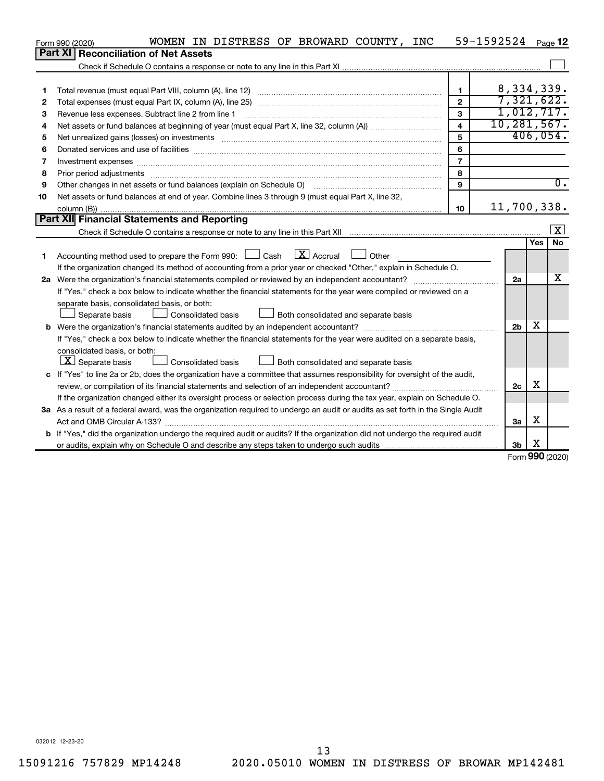|    | WOMEN IN DISTRESS OF BROWARD COUNTY, INC<br>Form 990 (2020)                                                                     |                         | 59-1592524     |            | Page 12              |
|----|---------------------------------------------------------------------------------------------------------------------------------|-------------------------|----------------|------------|----------------------|
|    | Part XI<br><b>Reconciliation of Net Assets</b>                                                                                  |                         |                |            |                      |
|    |                                                                                                                                 |                         |                |            |                      |
|    |                                                                                                                                 |                         |                |            |                      |
| 1  |                                                                                                                                 | 1                       |                |            | 8,334,339.           |
| 2  |                                                                                                                                 | $\mathbf{2}$            |                |            | 7,321,622.           |
| з  |                                                                                                                                 | 3                       |                |            | 1,012,717.           |
| 4  |                                                                                                                                 | $\overline{\mathbf{A}}$ |                |            | 10, 281, 567.        |
| 5  |                                                                                                                                 | 5                       |                |            | 406,054.             |
| 6  |                                                                                                                                 | 6                       |                |            |                      |
| 7  | Investment expenses www.communication.com/www.communication.com/www.communication.com/www.com                                   | $\overline{7}$          |                |            |                      |
| 8  |                                                                                                                                 | 8                       |                |            |                      |
| 9  |                                                                                                                                 | 9                       |                |            | $\overline{0}$ .     |
| 10 | Net assets or fund balances at end of year. Combine lines 3 through 9 (must equal Part X, line 32,                              |                         |                |            |                      |
|    |                                                                                                                                 | 10                      | 11,700,338.    |            |                      |
|    | Part XII Financial Statements and Reporting                                                                                     |                         |                |            |                      |
|    |                                                                                                                                 |                         |                |            | $\boxed{\textbf{X}}$ |
|    |                                                                                                                                 |                         |                | <b>Yes</b> | <b>No</b>            |
| 1  | Accounting method used to prepare the Form 990: $\Box$ Cash $\Box X$ Accrual<br>$\Box$ Other                                    |                         |                |            |                      |
|    | If the organization changed its method of accounting from a prior year or checked "Other," explain in Schedule O.               |                         |                |            |                      |
|    |                                                                                                                                 |                         | 2a             |            | x                    |
|    | If "Yes," check a box below to indicate whether the financial statements for the year were compiled or reviewed on a            |                         |                |            |                      |
|    | separate basis, consolidated basis, or both:                                                                                    |                         |                |            |                      |
|    | Both consolidated and separate basis<br>Separate basis<br>Consolidated basis                                                    |                         |                |            |                      |
|    |                                                                                                                                 |                         | 2 <sub>b</sub> | х          |                      |
|    | If "Yes," check a box below to indicate whether the financial statements for the year were audited on a separate basis,         |                         |                |            |                      |
|    | consolidated basis, or both:                                                                                                    |                         |                |            |                      |
|    | $\lfloor \underline{X} \rfloor$ Separate basis<br><b>Consolidated basis</b><br>Both consolidated and separate basis             |                         |                |            |                      |
|    | c If "Yes" to line 2a or 2b, does the organization have a committee that assumes responsibility for oversight of the audit,     |                         |                |            |                      |
|    |                                                                                                                                 |                         | 2c             | х          |                      |
|    | If the organization changed either its oversight process or selection process during the tax year, explain on Schedule O.       |                         |                |            |                      |
|    | 3a As a result of a federal award, was the organization required to undergo an audit or audits as set forth in the Single Audit |                         |                |            |                      |
|    |                                                                                                                                 |                         | За             | X          |                      |
|    | b If "Yes," did the organization undergo the required audit or audits? If the organization did not undergo the required audit   |                         |                |            |                      |
|    |                                                                                                                                 |                         | 3 <sub>b</sub> | х          |                      |

Form (2020) **990**

032012 12-23-20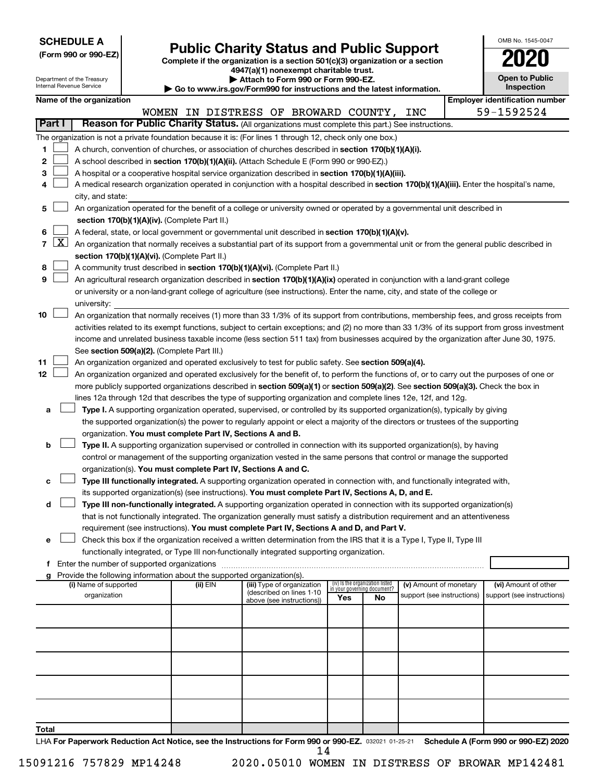| <b>SCHEDULE A</b> |  |
|-------------------|--|
|-------------------|--|

Department of the Treasury

| (Form 990 or 990-EZ) |  |  |
|----------------------|--|--|
|----------------------|--|--|

Form 990 or 990-EZ) **Public Charity Status and Public Support**<br>
Complete if the organization is a section 501(c)(3) organization or a section<br> **2020 4947(a)(1) nonexempt charitable trust.**

**| Attach to Form 990 or Form 990-EZ.** 

| OMB No 1545-0047                    |
|-------------------------------------|
| 2020                                |
| <b>Open to Public</b><br>Inspection |

l

|                | Internal Revenue Service<br>Inspection<br>Go to www.irs.gov/Form990 for instructions and the latest information. |                                                                                                                                           |                                               |  |          |                                                                                                                                              |     |                                                                |                            |  |  |                                       |  |
|----------------|------------------------------------------------------------------------------------------------------------------|-------------------------------------------------------------------------------------------------------------------------------------------|-----------------------------------------------|--|----------|----------------------------------------------------------------------------------------------------------------------------------------------|-----|----------------------------------------------------------------|----------------------------|--|--|---------------------------------------|--|
|                |                                                                                                                  | Name of the organization                                                                                                                  |                                               |  |          |                                                                                                                                              |     |                                                                |                            |  |  | <b>Employer identification number</b> |  |
|                |                                                                                                                  |                                                                                                                                           |                                               |  |          | WOMEN IN DISTRESS OF BROWARD COUNTY,                                                                                                         |     |                                                                | INC                        |  |  | 59-1592524                            |  |
|                | Part I                                                                                                           |                                                                                                                                           |                                               |  |          | Reason for Public Charity Status. (All organizations must complete this part.) See instructions.                                             |     |                                                                |                            |  |  |                                       |  |
|                |                                                                                                                  |                                                                                                                                           |                                               |  |          | The organization is not a private foundation because it is: (For lines 1 through 12, check only one box.)                                    |     |                                                                |                            |  |  |                                       |  |
| 1.             |                                                                                                                  |                                                                                                                                           |                                               |  |          | A church, convention of churches, or association of churches described in section 170(b)(1)(A)(i).                                           |     |                                                                |                            |  |  |                                       |  |
| 2              |                                                                                                                  |                                                                                                                                           |                                               |  |          | A school described in section 170(b)(1)(A)(ii). (Attach Schedule E (Form 990 or 990-EZ).)                                                    |     |                                                                |                            |  |  |                                       |  |
| з              |                                                                                                                  |                                                                                                                                           |                                               |  |          | A hospital or a cooperative hospital service organization described in section 170(b)(1)(A)(iii).                                            |     |                                                                |                            |  |  |                                       |  |
| 4              |                                                                                                                  |                                                                                                                                           |                                               |  |          | A medical research organization operated in conjunction with a hospital described in section 170(b)(1)(A)(iii). Enter the hospital's name,   |     |                                                                |                            |  |  |                                       |  |
|                |                                                                                                                  | city, and state:                                                                                                                          |                                               |  |          |                                                                                                                                              |     |                                                                |                            |  |  |                                       |  |
| 5              |                                                                                                                  |                                                                                                                                           |                                               |  |          | An organization operated for the benefit of a college or university owned or operated by a governmental unit described in                    |     |                                                                |                            |  |  |                                       |  |
|                |                                                                                                                  |                                                                                                                                           | section 170(b)(1)(A)(iv). (Complete Part II.) |  |          |                                                                                                                                              |     |                                                                |                            |  |  |                                       |  |
| 6              |                                                                                                                  |                                                                                                                                           |                                               |  |          | A federal, state, or local government or governmental unit described in section 170(b)(1)(A)(v).                                             |     |                                                                |                            |  |  |                                       |  |
| $\overline{7}$ | $\lfloor x \rfloor$                                                                                              | An organization that normally receives a substantial part of its support from a governmental unit or from the general public described in |                                               |  |          |                                                                                                                                              |     |                                                                |                            |  |  |                                       |  |
|                |                                                                                                                  | section 170(b)(1)(A)(vi). (Complete Part II.)                                                                                             |                                               |  |          |                                                                                                                                              |     |                                                                |                            |  |  |                                       |  |
| 8              |                                                                                                                  |                                                                                                                                           |                                               |  |          | A community trust described in section 170(b)(1)(A)(vi). (Complete Part II.)                                                                 |     |                                                                |                            |  |  |                                       |  |
| 9              |                                                                                                                  |                                                                                                                                           |                                               |  |          | An agricultural research organization described in section 170(b)(1)(A)(ix) operated in conjunction with a land-grant college                |     |                                                                |                            |  |  |                                       |  |
|                |                                                                                                                  |                                                                                                                                           |                                               |  |          | or university or a non-land-grant college of agriculture (see instructions). Enter the name, city, and state of the college or               |     |                                                                |                            |  |  |                                       |  |
|                |                                                                                                                  | university:                                                                                                                               |                                               |  |          |                                                                                                                                              |     |                                                                |                            |  |  |                                       |  |
| 10             |                                                                                                                  |                                                                                                                                           |                                               |  |          | An organization that normally receives (1) more than 33 1/3% of its support from contributions, membership fees, and gross receipts from     |     |                                                                |                            |  |  |                                       |  |
|                |                                                                                                                  |                                                                                                                                           |                                               |  |          | activities related to its exempt functions, subject to certain exceptions; and (2) no more than 33 1/3% of its support from gross investment |     |                                                                |                            |  |  |                                       |  |
|                |                                                                                                                  |                                                                                                                                           |                                               |  |          | income and unrelated business taxable income (less section 511 tax) from businesses acquired by the organization after June 30, 1975.        |     |                                                                |                            |  |  |                                       |  |
| 11             |                                                                                                                  |                                                                                                                                           | See section 509(a)(2). (Complete Part III.)   |  |          | An organization organized and operated exclusively to test for public safety. See section 509(a)(4).                                         |     |                                                                |                            |  |  |                                       |  |
| 12             |                                                                                                                  |                                                                                                                                           |                                               |  |          | An organization organized and operated exclusively for the benefit of, to perform the functions of, or to carry out the purposes of one or   |     |                                                                |                            |  |  |                                       |  |
|                |                                                                                                                  |                                                                                                                                           |                                               |  |          | more publicly supported organizations described in section 509(a)(1) or section 509(a)(2). See section 509(a)(3). Check the box in           |     |                                                                |                            |  |  |                                       |  |
|                |                                                                                                                  |                                                                                                                                           |                                               |  |          | lines 12a through 12d that describes the type of supporting organization and complete lines 12e, 12f, and 12g.                               |     |                                                                |                            |  |  |                                       |  |
| а              |                                                                                                                  |                                                                                                                                           |                                               |  |          | Type I. A supporting organization operated, supervised, or controlled by its supported organization(s), typically by giving                  |     |                                                                |                            |  |  |                                       |  |
|                |                                                                                                                  |                                                                                                                                           |                                               |  |          | the supported organization(s) the power to regularly appoint or elect a majority of the directors or trustees of the supporting              |     |                                                                |                            |  |  |                                       |  |
|                |                                                                                                                  |                                                                                                                                           |                                               |  |          | organization. You must complete Part IV, Sections A and B.                                                                                   |     |                                                                |                            |  |  |                                       |  |
| b              |                                                                                                                  |                                                                                                                                           |                                               |  |          | Type II. A supporting organization supervised or controlled in connection with its supported organization(s), by having                      |     |                                                                |                            |  |  |                                       |  |
|                |                                                                                                                  |                                                                                                                                           |                                               |  |          | control or management of the supporting organization vested in the same persons that control or manage the supported                         |     |                                                                |                            |  |  |                                       |  |
|                |                                                                                                                  |                                                                                                                                           |                                               |  |          | organization(s). You must complete Part IV, Sections A and C.                                                                                |     |                                                                |                            |  |  |                                       |  |
| с              |                                                                                                                  |                                                                                                                                           |                                               |  |          | Type III functionally integrated. A supporting organization operated in connection with, and functionally integrated with,                   |     |                                                                |                            |  |  |                                       |  |
|                |                                                                                                                  |                                                                                                                                           |                                               |  |          | its supported organization(s) (see instructions). You must complete Part IV, Sections A, D, and E.                                           |     |                                                                |                            |  |  |                                       |  |
| d              |                                                                                                                  |                                                                                                                                           |                                               |  |          | Type III non-functionally integrated. A supporting organization operated in connection with its supported organization(s)                    |     |                                                                |                            |  |  |                                       |  |
|                |                                                                                                                  |                                                                                                                                           |                                               |  |          | that is not functionally integrated. The organization generally must satisfy a distribution requirement and an attentiveness                 |     |                                                                |                            |  |  |                                       |  |
|                |                                                                                                                  |                                                                                                                                           |                                               |  |          | requirement (see instructions). You must complete Part IV, Sections A and D, and Part V.                                                     |     |                                                                |                            |  |  |                                       |  |
| е              |                                                                                                                  |                                                                                                                                           |                                               |  |          | Check this box if the organization received a written determination from the IRS that it is a Type I, Type II, Type III                      |     |                                                                |                            |  |  |                                       |  |
|                |                                                                                                                  |                                                                                                                                           |                                               |  |          | functionally integrated, or Type III non-functionally integrated supporting organization.                                                    |     |                                                                |                            |  |  |                                       |  |
|                |                                                                                                                  |                                                                                                                                           | f Enter the number of supported organizations |  |          |                                                                                                                                              |     |                                                                |                            |  |  |                                       |  |
|                |                                                                                                                  | (i) Name of supported                                                                                                                     |                                               |  | (ii) EIN | Provide the following information about the supported organization(s).<br>(iii) Type of organization                                         |     | (iv) Is the organization listed<br>in your governing document? | (v) Amount of monetary     |  |  | (vi) Amount of other                  |  |
|                |                                                                                                                  | organization                                                                                                                              |                                               |  |          | (described on lines 1-10                                                                                                                     | Yes | No                                                             | support (see instructions) |  |  | support (see instructions)            |  |
|                |                                                                                                                  |                                                                                                                                           |                                               |  |          | above (see instructions))                                                                                                                    |     |                                                                |                            |  |  |                                       |  |
|                |                                                                                                                  |                                                                                                                                           |                                               |  |          |                                                                                                                                              |     |                                                                |                            |  |  |                                       |  |
|                |                                                                                                                  |                                                                                                                                           |                                               |  |          |                                                                                                                                              |     |                                                                |                            |  |  |                                       |  |
|                |                                                                                                                  |                                                                                                                                           |                                               |  |          |                                                                                                                                              |     |                                                                |                            |  |  |                                       |  |
|                |                                                                                                                  |                                                                                                                                           |                                               |  |          |                                                                                                                                              |     |                                                                |                            |  |  |                                       |  |
|                |                                                                                                                  |                                                                                                                                           |                                               |  |          |                                                                                                                                              |     |                                                                |                            |  |  |                                       |  |
|                |                                                                                                                  |                                                                                                                                           |                                               |  |          |                                                                                                                                              |     |                                                                |                            |  |  |                                       |  |
|                |                                                                                                                  |                                                                                                                                           |                                               |  |          |                                                                                                                                              |     |                                                                |                            |  |  |                                       |  |
|                |                                                                                                                  |                                                                                                                                           |                                               |  |          |                                                                                                                                              |     |                                                                |                            |  |  |                                       |  |
|                |                                                                                                                  |                                                                                                                                           |                                               |  |          |                                                                                                                                              |     |                                                                |                            |  |  |                                       |  |
| Total          |                                                                                                                  |                                                                                                                                           |                                               |  |          |                                                                                                                                              |     |                                                                |                            |  |  |                                       |  |

LHA For Paperwork Reduction Act Notice, see the Instructions for Form 990 or 990-EZ. 032021 01-25-21 Schedule A (Form 990 or 990-EZ) 2020 14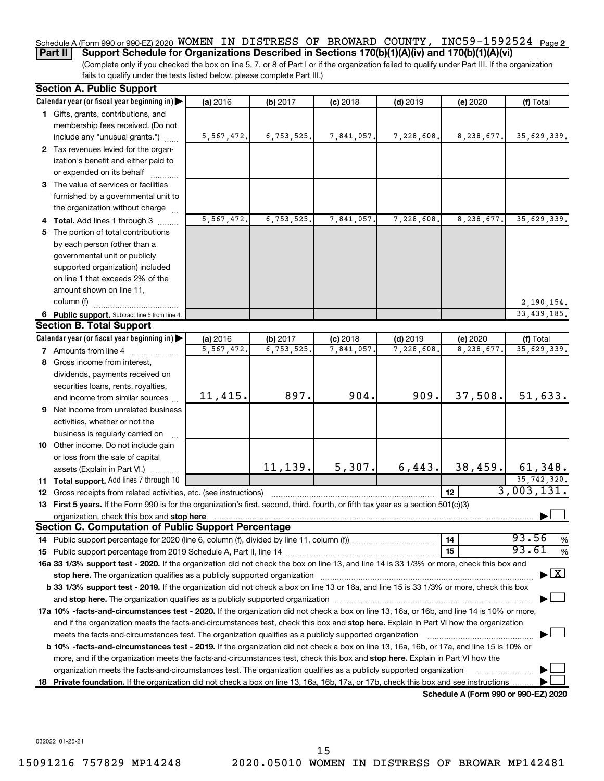### Schedule A (Form 990 or 990-EZ) 2020 WOMEN IN DISTRESS OF BROWARD COUNTY, INC59-1592524 <sub>Page 2</sub>

(Complete only if you checked the box on line 5, 7, or 8 of Part I or if the organization failed to qualify under Part III. If the organization **Part II Support Schedule for Organizations Described in Sections 170(b)(1)(A)(iv) and 170(b)(1)(A)(vi)**

fails to qualify under the tests listed below, please complete Part III.)

|    | <b>Section A. Public Support</b>                                                                                                               |              |            |            |            |                                      |                                          |
|----|------------------------------------------------------------------------------------------------------------------------------------------------|--------------|------------|------------|------------|--------------------------------------|------------------------------------------|
|    | Calendar year (or fiscal year beginning in)                                                                                                    | (a) 2016     | (b) 2017   | $(c)$ 2018 | $(d)$ 2019 | (e) 2020                             | (f) Total                                |
|    | 1 Gifts, grants, contributions, and                                                                                                            |              |            |            |            |                                      |                                          |
|    | membership fees received. (Do not                                                                                                              |              |            |            |            |                                      |                                          |
|    | include any "unusual grants.")                                                                                                                 | 5, 567, 472. | 6,753,525. | 7,841,057. | 7,228,608. | 8,238,677.                           | 35,629,339.                              |
|    | 2 Tax revenues levied for the organ-                                                                                                           |              |            |            |            |                                      |                                          |
|    | ization's benefit and either paid to                                                                                                           |              |            |            |            |                                      |                                          |
|    | or expended on its behalf                                                                                                                      |              |            |            |            |                                      |                                          |
|    | 3 The value of services or facilities                                                                                                          |              |            |            |            |                                      |                                          |
|    | furnished by a governmental unit to                                                                                                            |              |            |            |            |                                      |                                          |
|    | the organization without charge                                                                                                                |              |            |            |            |                                      |                                          |
|    | 4 Total. Add lines 1 through 3                                                                                                                 | 5,567,472.   | 6,753,525. | 7,841,057  | 7,228,608  | 8,238,677.                           | 35,629,339.                              |
| 5  | The portion of total contributions                                                                                                             |              |            |            |            |                                      |                                          |
|    | by each person (other than a                                                                                                                   |              |            |            |            |                                      |                                          |
|    | governmental unit or publicly                                                                                                                  |              |            |            |            |                                      |                                          |
|    | supported organization) included                                                                                                               |              |            |            |            |                                      |                                          |
|    | on line 1 that exceeds 2% of the                                                                                                               |              |            |            |            |                                      |                                          |
|    | amount shown on line 11,                                                                                                                       |              |            |            |            |                                      |                                          |
|    | column (f)                                                                                                                                     |              |            |            |            |                                      | 2,190,154.                               |
|    | 6 Public support. Subtract line 5 from line 4.                                                                                                 |              |            |            |            |                                      | 33, 439, 185.                            |
|    | <b>Section B. Total Support</b>                                                                                                                |              |            |            |            |                                      |                                          |
|    | Calendar year (or fiscal year beginning in)                                                                                                    | (a) 2016     | (b) 2017   | $(c)$ 2018 | $(d)$ 2019 | (e) 2020                             | (f) Total                                |
|    | <b>7</b> Amounts from line 4                                                                                                                   | 5, 567, 472. | 6,753,525. | 7,841,057  | 7,228,608  | 8,238,677                            | 35,629,339.                              |
| 8  | Gross income from interest,                                                                                                                    |              |            |            |            |                                      |                                          |
|    | dividends, payments received on                                                                                                                |              |            |            |            |                                      |                                          |
|    | securities loans, rents, royalties,                                                                                                            |              |            |            |            |                                      |                                          |
|    | and income from similar sources                                                                                                                | 11,415.      | 897.       | 904.       | 909.       | 37,508.                              | 51,633.                                  |
| 9  | Net income from unrelated business                                                                                                             |              |            |            |            |                                      |                                          |
|    | activities, whether or not the                                                                                                                 |              |            |            |            |                                      |                                          |
|    | business is regularly carried on                                                                                                               |              |            |            |            |                                      |                                          |
|    | 10 Other income. Do not include gain                                                                                                           |              |            |            |            |                                      |                                          |
|    | or loss from the sale of capital                                                                                                               |              |            |            |            |                                      |                                          |
|    | assets (Explain in Part VI.)                                                                                                                   |              | 11, 139.   | 5,307.     | 6,443.     |                                      | $38,459.$ 61,348.                        |
|    | 11 Total support. Add lines 7 through 10                                                                                                       |              |            |            |            |                                      | 35,742,320.                              |
| 12 | Gross receipts from related activities, etc. (see instructions)                                                                                |              |            |            |            | 12 <sup>2</sup>                      | 3,003,131.                               |
|    | 13 First 5 years. If the Form 990 is for the organization's first, second, third, fourth, or fifth tax year as a section 501(c)(3)             |              |            |            |            |                                      |                                          |
|    | organization, check this box and stop here                                                                                                     |              |            |            |            |                                      |                                          |
|    | <b>Section C. Computation of Public Support Percentage</b>                                                                                     |              |            |            |            |                                      |                                          |
|    |                                                                                                                                                |              |            |            |            | 14                                   | 93.56<br>%                               |
|    |                                                                                                                                                |              |            |            |            | 15                                   | 93.61<br>%                               |
|    | 16a 33 1/3% support test - 2020. If the organization did not check the box on line 13, and line 14 is 33 1/3% or more, check this box and      |              |            |            |            |                                      |                                          |
|    | stop here. The organization qualifies as a publicly supported organization                                                                     |              |            |            |            |                                      | $\blacktriangleright$ $\boxed{\text{X}}$ |
|    | b 33 1/3% support test - 2019. If the organization did not check a box on line 13 or 16a, and line 15 is 33 1/3% or more, check this box       |              |            |            |            |                                      |                                          |
|    |                                                                                                                                                |              |            |            |            |                                      |                                          |
|    | 17a 10% -facts-and-circumstances test - 2020. If the organization did not check a box on line 13, 16a, or 16b, and line 14 is 10% or more,     |              |            |            |            |                                      |                                          |
|    | and if the organization meets the facts-and-circumstances test, check this box and stop here. Explain in Part VI how the organization          |              |            |            |            |                                      |                                          |
|    | meets the facts-and-circumstances test. The organization qualifies as a publicly supported organization                                        |              |            |            |            |                                      |                                          |
|    | <b>b 10%</b> -facts-and-circumstances test - 2019. If the organization did not check a box on line 13, 16a, 16b, or 17a, and line 15 is 10% or |              |            |            |            |                                      |                                          |
|    | more, and if the organization meets the facts-and-circumstances test, check this box and <b>stop here.</b> Explain in Part VI how the          |              |            |            |            |                                      |                                          |
|    | organization meets the facts-and-circumstances test. The organization qualifies as a publicly supported organization                           |              |            |            |            |                                      |                                          |
|    | <b>Private foundation.</b> If the organization did not check a box on line 13, 16a, 16b, 17a, or 17b, check this box and see instructions      |              |            |            |            |                                      |                                          |
|    |                                                                                                                                                |              |            |            |            | Schedule A (Form 990 or 990-EZ) 2020 |                                          |

032022 01-25-21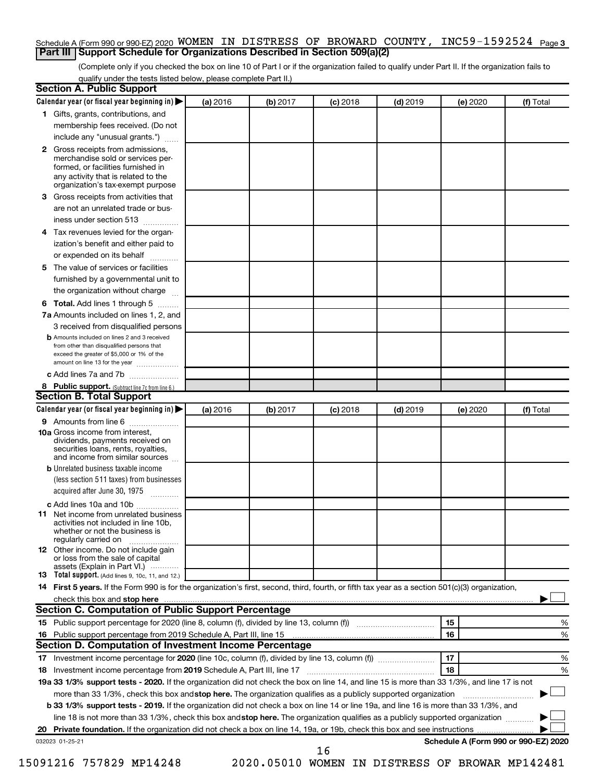#### Schedule A (Form 990 or 990-EZ) 2020 **WOMEN IN DISTRESS OF BROWARD COUNTY, INC59-1592524** Page 3 **Part III Support Schedule for Organizations Described in Section 509(a)(2)**

(Complete only if you checked the box on line 10 of Part I or if the organization failed to qualify under Part II. If the organization fails to qualify under the tests listed below, please complete Part II.)

| <b>Section A. Public Support</b>                                                                                                                                                         |          |          |            |            |          |                                      |
|------------------------------------------------------------------------------------------------------------------------------------------------------------------------------------------|----------|----------|------------|------------|----------|--------------------------------------|
| Calendar year (or fiscal year beginning in)                                                                                                                                              | (a) 2016 | (b) 2017 | $(c)$ 2018 | $(d)$ 2019 | (e) 2020 | (f) Total                            |
| 1 Gifts, grants, contributions, and                                                                                                                                                      |          |          |            |            |          |                                      |
| membership fees received. (Do not                                                                                                                                                        |          |          |            |            |          |                                      |
| include any "unusual grants.")                                                                                                                                                           |          |          |            |            |          |                                      |
| 2 Gross receipts from admissions,<br>merchandise sold or services per-<br>formed, or facilities furnished in<br>any activity that is related to the<br>organization's tax-exempt purpose |          |          |            |            |          |                                      |
| <b>3</b> Gross receipts from activities that                                                                                                                                             |          |          |            |            |          |                                      |
| are not an unrelated trade or bus-                                                                                                                                                       |          |          |            |            |          |                                      |
| iness under section 513                                                                                                                                                                  |          |          |            |            |          |                                      |
| 4 Tax revenues levied for the organ-                                                                                                                                                     |          |          |            |            |          |                                      |
| ization's benefit and either paid to                                                                                                                                                     |          |          |            |            |          |                                      |
| or expended on its behalf                                                                                                                                                                |          |          |            |            |          |                                      |
| 5 The value of services or facilities                                                                                                                                                    |          |          |            |            |          |                                      |
| furnished by a governmental unit to                                                                                                                                                      |          |          |            |            |          |                                      |
| the organization without charge                                                                                                                                                          |          |          |            |            |          |                                      |
| <b>6 Total.</b> Add lines 1 through 5                                                                                                                                                    |          |          |            |            |          |                                      |
| 7a Amounts included on lines 1, 2, and                                                                                                                                                   |          |          |            |            |          |                                      |
| 3 received from disqualified persons                                                                                                                                                     |          |          |            |            |          |                                      |
| <b>b</b> Amounts included on lines 2 and 3 received<br>from other than disqualified persons that<br>exceed the greater of \$5,000 or 1% of the<br>amount on line 13 for the year         |          |          |            |            |          |                                      |
| c Add lines 7a and 7b                                                                                                                                                                    |          |          |            |            |          |                                      |
| 8 Public support. (Subtract line 7c from line 6.)<br><b>Section B. Total Support</b>                                                                                                     |          |          |            |            |          |                                      |
| Calendar year (or fiscal year beginning in)                                                                                                                                              | (a) 2016 | (b) 2017 | $(c)$ 2018 | $(d)$ 2019 | (e) 2020 | (f) Total                            |
| <b>9</b> Amounts from line 6                                                                                                                                                             |          |          |            |            |          |                                      |
| <b>10a</b> Gross income from interest,<br>dividends, payments received on<br>securities loans, rents, royalties,<br>and income from similar sources                                      |          |          |            |            |          |                                      |
| <b>b</b> Unrelated business taxable income                                                                                                                                               |          |          |            |            |          |                                      |
| (less section 511 taxes) from businesses<br>acquired after June 30, 1975                                                                                                                 |          |          |            |            |          |                                      |
| c Add lines 10a and 10b                                                                                                                                                                  |          |          |            |            |          |                                      |
| <b>11</b> Net income from unrelated business<br>activities not included in line 10b.<br>whether or not the business is<br>regularly carried on                                           |          |          |            |            |          |                                      |
| <b>12</b> Other income. Do not include gain<br>or loss from the sale of capital<br>assets (Explain in Part VI.)                                                                          |          |          |            |            |          |                                      |
| <b>13</b> Total support. (Add lines 9, 10c, 11, and 12.)                                                                                                                                 |          |          |            |            |          |                                      |
| 14 First 5 years. If the Form 990 is for the organization's first, second, third, fourth, or fifth tax year as a section 501(c)(3) organization,                                         |          |          |            |            |          |                                      |
|                                                                                                                                                                                          |          |          |            |            |          |                                      |
| <b>Section C. Computation of Public Support Percentage</b>                                                                                                                               |          |          |            |            |          |                                      |
| 15 Public support percentage for 2020 (line 8, column (f), divided by line 13, column (f) <i></i>                                                                                        |          |          |            |            | 15       | ℅                                    |
| 16 Public support percentage from 2019 Schedule A, Part III, line 15                                                                                                                     |          |          |            |            | 16       | %                                    |
| Section D. Computation of Investment Income Percentage                                                                                                                                   |          |          |            |            |          |                                      |
|                                                                                                                                                                                          |          |          |            |            | 17       | %                                    |
| 18 Investment income percentage from 2019 Schedule A, Part III, line 17                                                                                                                  |          |          |            |            | 18       | %                                    |
| 19a 33 1/3% support tests - 2020. If the organization did not check the box on line 14, and line 15 is more than 33 1/3%, and line 17 is not                                             |          |          |            |            |          |                                      |
| more than 33 1/3%, check this box and stop here. The organization qualifies as a publicly supported organization                                                                         |          |          |            |            |          |                                      |
| b 33 1/3% support tests - 2019. If the organization did not check a box on line 14 or line 19a, and line 16 is more than 33 1/3%, and                                                    |          |          |            |            |          |                                      |
| line 18 is not more than 33 1/3%, check this box and stop here. The organization qualifies as a publicly supported organization                                                          |          |          |            |            |          |                                      |
|                                                                                                                                                                                          |          |          |            |            |          |                                      |
| 032023 01-25-21                                                                                                                                                                          |          |          |            |            |          | Schedule A (Form 990 or 990-EZ) 2020 |
|                                                                                                                                                                                          |          |          | 16         |            |          |                                      |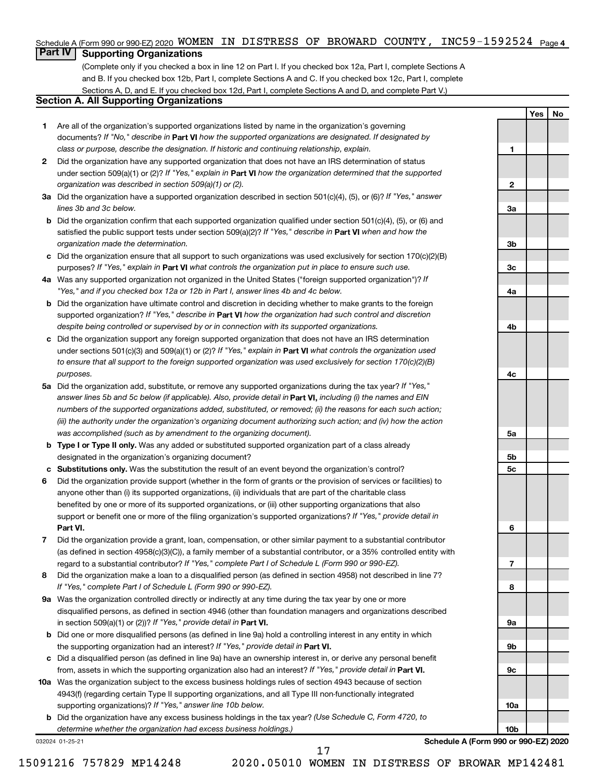#### Schedule A (Form 990 or 990-EZ) 2020 WOMEN IN DISTRESS OF BROWARD COUNTY, INC59-1592524 <sub>Page 4</sub>

## **Part IV Supporting Organizations**

(Complete only if you checked a box in line 12 on Part I. If you checked box 12a, Part I, complete Sections A and B. If you checked box 12b, Part I, complete Sections A and C. If you checked box 12c, Part I, complete Sections A, D, and E. If you checked box 12d, Part I, complete Sections A and D, and complete Part V.)

#### **Section A. All Supporting Organizations**

- **1** Are all of the organization's supported organizations listed by name in the organization's governing documents? If "No," describe in Part VI how the supported organizations are designated. If designated by *class or purpose, describe the designation. If historic and continuing relationship, explain.*
- **2** Did the organization have any supported organization that does not have an IRS determination of status under section 509(a)(1) or (2)? If "Yes," explain in Part **VI** how the organization determined that the supported *organization was described in section 509(a)(1) or (2).*
- **3a** Did the organization have a supported organization described in section 501(c)(4), (5), or (6)? If "Yes," answer *lines 3b and 3c below.*
- **b** Did the organization confirm that each supported organization qualified under section 501(c)(4), (5), or (6) and satisfied the public support tests under section 509(a)(2)? If "Yes," describe in Part VI when and how the *organization made the determination.*
- **c** Did the organization ensure that all support to such organizations was used exclusively for section 170(c)(2)(B) purposes? If "Yes," explain in Part VI what controls the organization put in place to ensure such use.
- **4 a** *If* Was any supported organization not organized in the United States ("foreign supported organization")? *"Yes," and if you checked box 12a or 12b in Part I, answer lines 4b and 4c below.*
- **b** Did the organization have ultimate control and discretion in deciding whether to make grants to the foreign supported organization? If "Yes," describe in Part VI how the organization had such control and discretion *despite being controlled or supervised by or in connection with its supported organizations.*
- **c** Did the organization support any foreign supported organization that does not have an IRS determination under sections 501(c)(3) and 509(a)(1) or (2)? If "Yes," explain in Part VI what controls the organization used *to ensure that all support to the foreign supported organization was used exclusively for section 170(c)(2)(B) purposes.*
- **5a** Did the organization add, substitute, or remove any supported organizations during the tax year? If "Yes," answer lines 5b and 5c below (if applicable). Also, provide detail in **Part VI,** including (i) the names and EIN *numbers of the supported organizations added, substituted, or removed; (ii) the reasons for each such action; (iii) the authority under the organization's organizing document authorizing such action; and (iv) how the action was accomplished (such as by amendment to the organizing document).*
- **b Type I or Type II only.** Was any added or substituted supported organization part of a class already designated in the organization's organizing document?
- **c Substitutions only.**  Was the substitution the result of an event beyond the organization's control?
- **6** Did the organization provide support (whether in the form of grants or the provision of services or facilities) to **Part VI.** support or benefit one or more of the filing organization's supported organizations? If "Yes," provide detail in anyone other than (i) its supported organizations, (ii) individuals that are part of the charitable class benefited by one or more of its supported organizations, or (iii) other supporting organizations that also
- **7** Did the organization provide a grant, loan, compensation, or other similar payment to a substantial contributor regard to a substantial contributor? If "Yes," complete Part I of Schedule L (Form 990 or 990-EZ). (as defined in section 4958(c)(3)(C)), a family member of a substantial contributor, or a 35% controlled entity with
- **8** Did the organization make a loan to a disqualified person (as defined in section 4958) not described in line 7? *If "Yes," complete Part I of Schedule L (Form 990 or 990-EZ).*
- **9 a** Was the organization controlled directly or indirectly at any time during the tax year by one or more in section 509(a)(1) or (2))? If "Yes," provide detail in **Part VI.** disqualified persons, as defined in section 4946 (other than foundation managers and organizations described
- **b** Did one or more disqualified persons (as defined in line 9a) hold a controlling interest in any entity in which the supporting organization had an interest? If "Yes," provide detail in Part VI.
- **c** Did a disqualified person (as defined in line 9a) have an ownership interest in, or derive any personal benefit from, assets in which the supporting organization also had an interest? If "Yes," provide detail in Part VI.
- **10 a** Was the organization subject to the excess business holdings rules of section 4943 because of section supporting organizations)? If "Yes," answer line 10b below. 4943(f) (regarding certain Type II supporting organizations, and all Type III non-functionally integrated
	- **b** Did the organization have any excess business holdings in the tax year? (Use Schedule C, Form 4720, to *determine whether the organization had excess business holdings.)*

032024 01-25-21

**Schedule A (Form 990 or 990-EZ) 2020**

**Yes No**

**1**

**2**

**3a**

**3b**

**3c**

**4a**

**4b**

**4c**

**5a**

**5b 5c**

**6**

**7**

**8**

**9a**

**9b**

**9c**

**10a**

**10b**

15091216 757829 MP14248 2020.05010 WOMEN IN DISTRESS OF BROWAR MP142481

17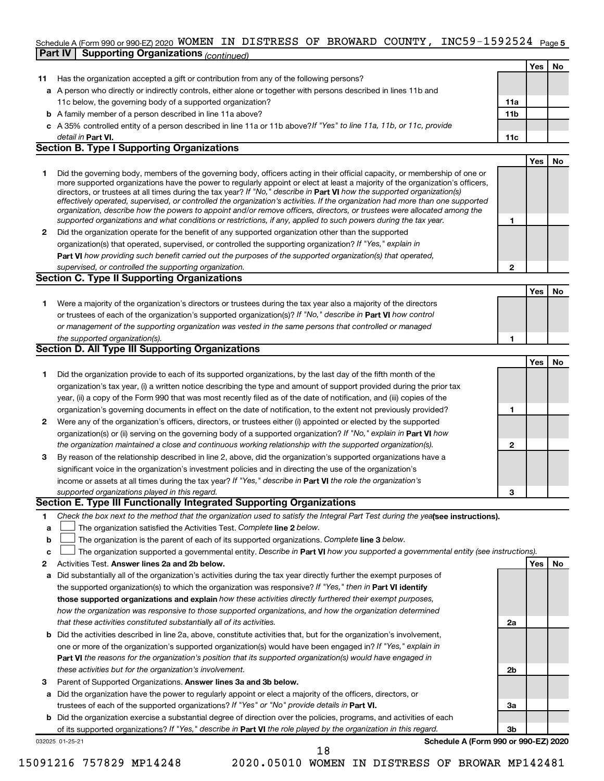# Schedule A (Form 990 or 990-EZ) 2020 WOMEN IN DISTRESS OF BROWARD COUNTY, INC59-1592524 <sub>Page 5</sub>

|    | Part IV   Supporting Organizations (continued)                                                                                                                                                                                                           |                 |     |    |
|----|----------------------------------------------------------------------------------------------------------------------------------------------------------------------------------------------------------------------------------------------------------|-----------------|-----|----|
|    |                                                                                                                                                                                                                                                          |                 | Yes | No |
| 11 | Has the organization accepted a gift or contribution from any of the following persons?                                                                                                                                                                  |                 |     |    |
|    | a A person who directly or indirectly controls, either alone or together with persons described in lines 11b and                                                                                                                                         |                 |     |    |
|    | 11c below, the governing body of a supported organization?                                                                                                                                                                                               | 11a             |     |    |
|    | <b>b</b> A family member of a person described in line 11a above?                                                                                                                                                                                        | 11 <sub>b</sub> |     |    |
|    | c A 35% controlled entity of a person described in line 11a or 11b above?If "Yes" to line 11a, 11b, or 11c, provide                                                                                                                                      |                 |     |    |
|    | detail in Part VI.                                                                                                                                                                                                                                       | 11c             |     |    |
|    | <b>Section B. Type I Supporting Organizations</b>                                                                                                                                                                                                        |                 |     |    |
|    |                                                                                                                                                                                                                                                          |                 | Yes | No |
| 1. | Did the governing body, members of the governing body, officers acting in their official capacity, or membership of one or                                                                                                                               |                 |     |    |
|    | more supported organizations have the power to regularly appoint or elect at least a majority of the organization's officers,<br>directors, or trustees at all times during the tax year? If "No," describe in Part VI how the supported organization(s) |                 |     |    |
|    | effectively operated, supervised, or controlled the organization's activities. If the organization had more than one supported                                                                                                                           |                 |     |    |
|    | organization, describe how the powers to appoint and/or remove officers, directors, or trustees were allocated among the                                                                                                                                 |                 |     |    |
|    | supported organizations and what conditions or restrictions, if any, applied to such powers during the tax year.                                                                                                                                         | 1               |     |    |
| 2  | Did the organization operate for the benefit of any supported organization other than the supported                                                                                                                                                      |                 |     |    |
|    | organization(s) that operated, supervised, or controlled the supporting organization? If "Yes," explain in                                                                                                                                               |                 |     |    |
|    | Part VI how providing such benefit carried out the purposes of the supported organization(s) that operated,                                                                                                                                              |                 |     |    |
|    | supervised, or controlled the supporting organization.                                                                                                                                                                                                   | 2               |     |    |
|    | <b>Section C. Type II Supporting Organizations</b>                                                                                                                                                                                                       |                 |     |    |
|    |                                                                                                                                                                                                                                                          |                 | Yes | No |
| 1. | Were a majority of the organization's directors or trustees during the tax year also a majority of the directors                                                                                                                                         |                 |     |    |
|    | or trustees of each of the organization's supported organization(s)? If "No," describe in Part VI how control                                                                                                                                            |                 |     |    |
|    | or management of the supporting organization was vested in the same persons that controlled or managed                                                                                                                                                   |                 |     |    |
|    | the supported organization(s).<br><b>Section D. All Type III Supporting Organizations</b>                                                                                                                                                                | 1               |     |    |
|    |                                                                                                                                                                                                                                                          |                 |     |    |
|    |                                                                                                                                                                                                                                                          |                 | Yes | No |
| 1. | Did the organization provide to each of its supported organizations, by the last day of the fifth month of the                                                                                                                                           |                 |     |    |
|    | organization's tax year, (i) a written notice describing the type and amount of support provided during the prior tax                                                                                                                                    |                 |     |    |
|    | year, (ii) a copy of the Form 990 that was most recently filed as of the date of notification, and (iii) copies of the                                                                                                                                   |                 |     |    |
|    | organization's governing documents in effect on the date of notification, to the extent not previously provided?<br>Were any of the organization's officers, directors, or trustees either (i) appointed or elected by the supported                     | 1               |     |    |
| 2  |                                                                                                                                                                                                                                                          |                 |     |    |
|    | organization(s) or (ii) serving on the governing body of a supported organization? If "No," explain in Part VI how                                                                                                                                       | $\mathbf{2}$    |     |    |
|    | the organization maintained a close and continuous working relationship with the supported organization(s).                                                                                                                                              |                 |     |    |
| 3  | By reason of the relationship described in line 2, above, did the organization's supported organizations have a                                                                                                                                          |                 |     |    |
|    | significant voice in the organization's investment policies and in directing the use of the organization's<br>income or assets at all times during the tax year? If "Yes," describe in Part VI the role the organization's                               |                 |     |    |
|    | supported organizations played in this regard.                                                                                                                                                                                                           | з               |     |    |
|    | Section E. Type III Functionally Integrated Supporting Organizations                                                                                                                                                                                     |                 |     |    |
| 1. | Check the box next to the method that the organization used to satisfy the Integral Part Test during the yealsee instructions).                                                                                                                          |                 |     |    |
| a  | The organization satisfied the Activities Test. Complete line 2 below.                                                                                                                                                                                   |                 |     |    |
| b  | The organization is the parent of each of its supported organizations. Complete line 3 below.                                                                                                                                                            |                 |     |    |
| c  | The organization supported a governmental entity. Describe in Part VI how you supported a governmental entity (see instructions).                                                                                                                        |                 |     |    |
| 2  | Activities Test. Answer lines 2a and 2b below.                                                                                                                                                                                                           |                 | Yes | No |
| a  | Did substantially all of the organization's activities during the tax year directly further the exempt purposes of                                                                                                                                       |                 |     |    |
|    | the supported organization(s) to which the organization was responsive? If "Yes," then in Part VI identify                                                                                                                                               |                 |     |    |
|    | those supported organizations and explain how these activities directly furthered their exempt purposes,                                                                                                                                                 |                 |     |    |
|    | how the organization was responsive to those supported organizations, and how the organization determined                                                                                                                                                |                 |     |    |
|    | that these activities constituted substantially all of its activities.                                                                                                                                                                                   | 2a              |     |    |
| b  | Did the activities described in line 2a, above, constitute activities that, but for the organization's involvement,                                                                                                                                      |                 |     |    |
|    | one or more of the organization's supported organization(s) would have been engaged in? If "Yes," explain in                                                                                                                                             |                 |     |    |
|    | Part VI the reasons for the organization's position that its supported organization(s) would have engaged in                                                                                                                                             |                 |     |    |
|    | these activities but for the organization's involvement.                                                                                                                                                                                                 | 2 <sub>b</sub>  |     |    |

- 3 Parent of Supported Organizations. Answer lines 3a and 3b below.
- **a** Did the organization have the power to regularly appoint or elect a majority of the officers, directors, or trustees of each of the supported organizations? If "Yes" or "No" provide details in Part VI.
- **b** Did the organization exercise a substantial degree of direction over the policies, programs, and activities of each of its supported organizations? If "Yes," describe in Part VI the role played by the organization in this regard.

032025 01-25-21

**Schedule A (Form 990 or 990-EZ) 2020**

**3a**

**3b**

18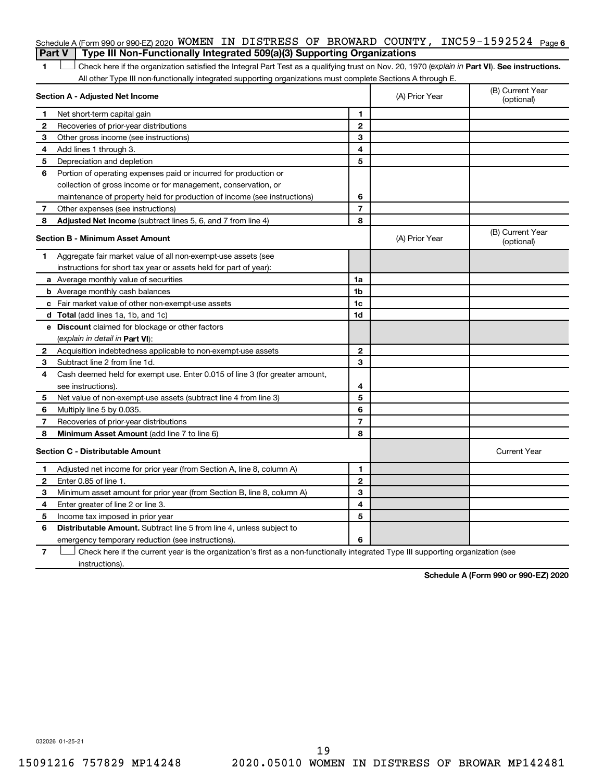#### Schedule A (Form 990 or 990-EZ) 2020 WOMEN IN DISTRESS OF BROWARD COUNTY, INC59-1592524 <sub>Page 6</sub> **Part V Type III Non-Functionally Integrated 509(a)(3) Supporting Organizations**

1 **Letter See instructions.** Check here if the organization satisfied the Integral Part Test as a qualifying trust on Nov. 20, 1970 (*explain in* Part **VI**). See instructions. All other Type III non-functionally integrated supporting organizations must complete Sections A through E.

|    | Section A - Adjusted Net Income                                                                                                   |                | (A) Prior Year | (B) Current Year<br>(optional) |
|----|-----------------------------------------------------------------------------------------------------------------------------------|----------------|----------------|--------------------------------|
| 1  | Net short-term capital gain                                                                                                       | 1              |                |                                |
| 2  | Recoveries of prior-year distributions                                                                                            | $\mathbf{2}$   |                |                                |
| З  | Other gross income (see instructions)                                                                                             | 3              |                |                                |
| 4  | Add lines 1 through 3.                                                                                                            | 4              |                |                                |
| 5  | Depreciation and depletion                                                                                                        | 5              |                |                                |
| 6  | Portion of operating expenses paid or incurred for production or                                                                  |                |                |                                |
|    | collection of gross income or for management, conservation, or                                                                    |                |                |                                |
|    | maintenance of property held for production of income (see instructions)                                                          | 6              |                |                                |
| 7  | Other expenses (see instructions)                                                                                                 | $\overline{7}$ |                |                                |
| 8  | Adjusted Net Income (subtract lines 5, 6, and 7 from line 4)                                                                      | 8              |                |                                |
|    | Section B - Minimum Asset Amount                                                                                                  |                | (A) Prior Year | (B) Current Year<br>(optional) |
| 1. | Aggregate fair market value of all non-exempt-use assets (see                                                                     |                |                |                                |
|    | instructions for short tax year or assets held for part of year):                                                                 |                |                |                                |
|    | a Average monthly value of securities                                                                                             | 1a             |                |                                |
|    | <b>b</b> Average monthly cash balances                                                                                            | 1 <sub>b</sub> |                |                                |
|    | c Fair market value of other non-exempt-use assets                                                                                | 1c             |                |                                |
|    | <b>d</b> Total (add lines 1a, 1b, and 1c)                                                                                         | 1d             |                |                                |
|    | e Discount claimed for blockage or other factors                                                                                  |                |                |                                |
|    | (explain in detail in Part VI):                                                                                                   |                |                |                                |
| 2  | Acquisition indebtedness applicable to non-exempt-use assets                                                                      | $\mathbf{2}$   |                |                                |
| З  | Subtract line 2 from line 1d.                                                                                                     | 3              |                |                                |
| 4  | Cash deemed held for exempt use. Enter 0.015 of line 3 (for greater amount,                                                       |                |                |                                |
|    | see instructions).                                                                                                                | 4              |                |                                |
| 5  | Net value of non-exempt-use assets (subtract line 4 from line 3)                                                                  | 5              |                |                                |
| 6  | Multiply line 5 by 0.035.                                                                                                         | 6              |                |                                |
| 7  | Recoveries of prior-year distributions                                                                                            | $\overline{7}$ |                |                                |
| 8  | Minimum Asset Amount (add line 7 to line 6)                                                                                       | 8              |                |                                |
|    | <b>Section C - Distributable Amount</b>                                                                                           |                |                | <b>Current Year</b>            |
| 1  | Adjusted net income for prior year (from Section A, line 8, column A)                                                             | 1              |                |                                |
| 2  | Enter 0.85 of line 1.                                                                                                             | $\overline{2}$ |                |                                |
| 3  | Minimum asset amount for prior year (from Section B, line 8, column A)                                                            | 3              |                |                                |
| 4  | Enter greater of line 2 or line 3.                                                                                                | 4              |                |                                |
| 5  | Income tax imposed in prior year                                                                                                  | 5              |                |                                |
| 6  | <b>Distributable Amount.</b> Subtract line 5 from line 4, unless subject to                                                       |                |                |                                |
|    | emergency temporary reduction (see instructions).                                                                                 | 6              |                |                                |
| 7  | Check here if the current year is the organization's first as a non-functionally integrated Type III supporting organization (see |                |                |                                |

instructions).

**Schedule A (Form 990 or 990-EZ) 2020**

032026 01-25-21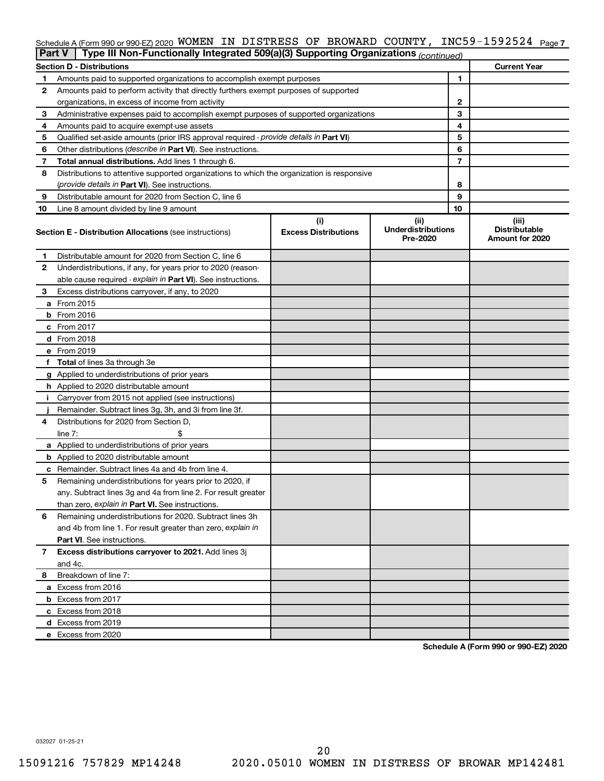#### Schedule A (Form 990 or 990-EZ) 2020 **WOMEN IN DISTRESS OF BROWARD COUNTY, INC59-1592524** Page **7**

| Part V | Type III Non-Functionally Integrated 509(a)(3) Supporting Organizations (continued)        |                                    |                                               |    |                                                  |
|--------|--------------------------------------------------------------------------------------------|------------------------------------|-----------------------------------------------|----|--------------------------------------------------|
|        | <b>Section D - Distributions</b>                                                           |                                    |                                               |    | <b>Current Year</b>                              |
| 1      | Amounts paid to supported organizations to accomplish exempt purposes                      |                                    |                                               | 1  |                                                  |
| 2      | Amounts paid to perform activity that directly furthers exempt purposes of supported       |                                    |                                               |    |                                                  |
|        | organizations, in excess of income from activity                                           | 2                                  |                                               |    |                                                  |
| 3      | Administrative expenses paid to accomplish exempt purposes of supported organizations      |                                    |                                               | 3  |                                                  |
| 4      | Amounts paid to acquire exempt-use assets                                                  |                                    |                                               | 4  |                                                  |
| 5      | Qualified set-aside amounts (prior IRS approval required - provide details in Part VI)     |                                    |                                               | 5  |                                                  |
| 6      | Other distributions (describe in Part VI). See instructions.                               |                                    |                                               | 6  |                                                  |
| 7      | Total annual distributions. Add lines 1 through 6.                                         |                                    |                                               | 7  |                                                  |
| 8      | Distributions to attentive supported organizations to which the organization is responsive |                                    |                                               |    |                                                  |
|        | ( <i>provide details in Part VI</i> ). See instructions.                                   |                                    |                                               | 8  |                                                  |
| 9      | Distributable amount for 2020 from Section C, line 6                                       |                                    |                                               | 9  |                                                  |
| 10     | Line 8 amount divided by line 9 amount                                                     |                                    |                                               | 10 |                                                  |
|        | <b>Section E - Distribution Allocations (see instructions)</b>                             | (i)<br><b>Excess Distributions</b> | (ii)<br><b>Underdistributions</b><br>Pre-2020 |    | (iii)<br><b>Distributable</b><br>Amount for 2020 |
| 1      | Distributable amount for 2020 from Section C, line 6                                       |                                    |                                               |    |                                                  |
| 2      | Underdistributions, if any, for years prior to 2020 (reason-                               |                                    |                                               |    |                                                  |
|        | able cause required - explain in Part VI). See instructions.                               |                                    |                                               |    |                                                  |
| З      | Excess distributions carryover, if any, to 2020                                            |                                    |                                               |    |                                                  |
|        | a From 2015                                                                                |                                    |                                               |    |                                                  |
|        | $b$ From 2016                                                                              |                                    |                                               |    |                                                  |
|        | c From 2017                                                                                |                                    |                                               |    |                                                  |
|        | <b>d</b> From 2018                                                                         |                                    |                                               |    |                                                  |
|        | e From 2019                                                                                |                                    |                                               |    |                                                  |
|        | f Total of lines 3a through 3e                                                             |                                    |                                               |    |                                                  |
|        | g Applied to underdistributions of prior years                                             |                                    |                                               |    |                                                  |
|        | <b>h</b> Applied to 2020 distributable amount                                              |                                    |                                               |    |                                                  |
| Ť.     | Carryover from 2015 not applied (see instructions)                                         |                                    |                                               |    |                                                  |
|        | Remainder. Subtract lines 3g, 3h, and 3i from line 3f.                                     |                                    |                                               |    |                                                  |
| 4      | Distributions for 2020 from Section D,                                                     |                                    |                                               |    |                                                  |
|        | line 7:                                                                                    |                                    |                                               |    |                                                  |
|        | a Applied to underdistributions of prior years                                             |                                    |                                               |    |                                                  |
|        | <b>b</b> Applied to 2020 distributable amount                                              |                                    |                                               |    |                                                  |
|        | c Remainder. Subtract lines 4a and 4b from line 4.                                         |                                    |                                               |    |                                                  |
| 5      | Remaining underdistributions for years prior to 2020, if                                   |                                    |                                               |    |                                                  |
|        | any. Subtract lines 3g and 4a from line 2. For result greater                              |                                    |                                               |    |                                                  |
|        | than zero, explain in Part VI. See instructions.                                           |                                    |                                               |    |                                                  |
| 6      | Remaining underdistributions for 2020. Subtract lines 3h                                   |                                    |                                               |    |                                                  |
|        | and 4b from line 1. For result greater than zero, explain in                               |                                    |                                               |    |                                                  |
|        | <b>Part VI.</b> See instructions.                                                          |                                    |                                               |    |                                                  |
| 7      | Excess distributions carryover to 2021. Add lines 3j                                       |                                    |                                               |    |                                                  |
|        | and 4c.                                                                                    |                                    |                                               |    |                                                  |
| 8      | Breakdown of line 7:                                                                       |                                    |                                               |    |                                                  |
|        | a Excess from 2016                                                                         |                                    |                                               |    |                                                  |
|        | <b>b</b> Excess from 2017                                                                  |                                    |                                               |    |                                                  |
|        | c Excess from 2018                                                                         |                                    |                                               |    |                                                  |
|        | d Excess from 2019                                                                         |                                    |                                               |    |                                                  |
|        | e Excess from 2020                                                                         |                                    |                                               |    |                                                  |

**Schedule A (Form 990 or 990-EZ) 2020**

032027 01-25-21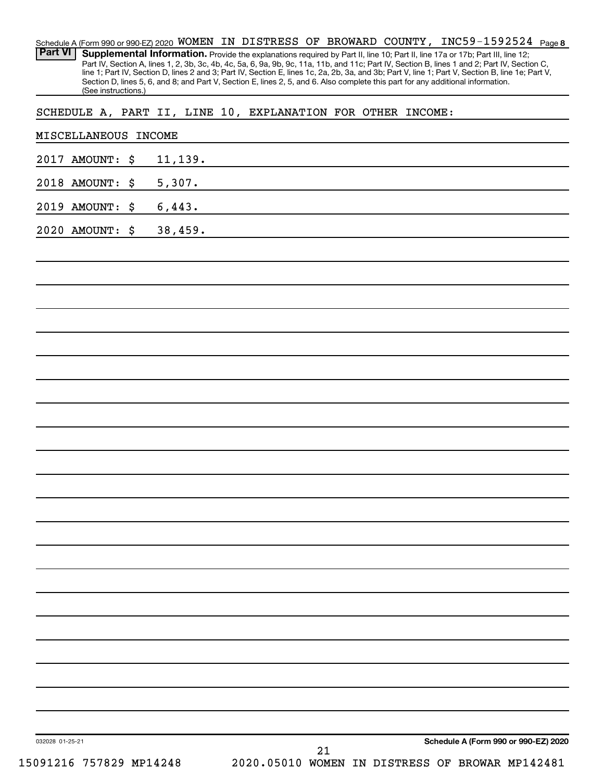|                 | Schedule A (Form 990 or 990-EZ) 2020 WOMEN IN DISTRESS OF BROWARD COUNTY, INC59-1592524 Page 8 |              |          |  |    |  |  |                                                                                                                                                                                                                                                                                                                                                                                                                                                                                                                                                                      |  |
|-----------------|------------------------------------------------------------------------------------------------|--------------|----------|--|----|--|--|----------------------------------------------------------------------------------------------------------------------------------------------------------------------------------------------------------------------------------------------------------------------------------------------------------------------------------------------------------------------------------------------------------------------------------------------------------------------------------------------------------------------------------------------------------------------|--|
| Part VI         | (See instructions.)                                                                            |              |          |  |    |  |  | Supplemental Information. Provide the explanations required by Part II, line 10; Part II, line 17a or 17b; Part III, line 12;<br>Part IV, Section A, lines 1, 2, 3b, 3c, 4b, 4c, 5a, 6, 9a, 9b, 9c, 11a, 11b, and 11c; Part IV, Section B, lines 1 and 2; Part IV, Section C,<br>line 1; Part IV, Section D, lines 2 and 3; Part IV, Section E, lines 1c, 2a, 2b, 3a, and 3b; Part V, line 1; Part V, Section B, line 1e; Part V,<br>Section D, lines 5, 6, and 8; and Part V, Section E, lines 2, 5, and 6. Also complete this part for any additional information. |  |
|                 | SCHEDULE A, PART II, LINE 10, EXPLANATION FOR OTHER INCOME:                                    |              |          |  |    |  |  |                                                                                                                                                                                                                                                                                                                                                                                                                                                                                                                                                                      |  |
|                 | MISCELLANEOUS INCOME                                                                           |              |          |  |    |  |  |                                                                                                                                                                                                                                                                                                                                                                                                                                                                                                                                                                      |  |
|                 | 2017 AMOUNT: \$                                                                                |              | 11, 139. |  |    |  |  |                                                                                                                                                                                                                                                                                                                                                                                                                                                                                                                                                                      |  |
|                 | 2018 AMOUNT:                                                                                   | \$<br>5,307. |          |  |    |  |  |                                                                                                                                                                                                                                                                                                                                                                                                                                                                                                                                                                      |  |
|                 | 2019 AMOUNT:                                                                                   | \$<br>6,443. |          |  |    |  |  |                                                                                                                                                                                                                                                                                                                                                                                                                                                                                                                                                                      |  |
|                 | 2020 AMOUNT: \$                                                                                |              | 38,459.  |  |    |  |  |                                                                                                                                                                                                                                                                                                                                                                                                                                                                                                                                                                      |  |
|                 |                                                                                                |              |          |  |    |  |  |                                                                                                                                                                                                                                                                                                                                                                                                                                                                                                                                                                      |  |
|                 |                                                                                                |              |          |  |    |  |  |                                                                                                                                                                                                                                                                                                                                                                                                                                                                                                                                                                      |  |
|                 |                                                                                                |              |          |  |    |  |  |                                                                                                                                                                                                                                                                                                                                                                                                                                                                                                                                                                      |  |
|                 |                                                                                                |              |          |  |    |  |  |                                                                                                                                                                                                                                                                                                                                                                                                                                                                                                                                                                      |  |
|                 |                                                                                                |              |          |  |    |  |  |                                                                                                                                                                                                                                                                                                                                                                                                                                                                                                                                                                      |  |
|                 |                                                                                                |              |          |  |    |  |  |                                                                                                                                                                                                                                                                                                                                                                                                                                                                                                                                                                      |  |
|                 |                                                                                                |              |          |  |    |  |  |                                                                                                                                                                                                                                                                                                                                                                                                                                                                                                                                                                      |  |
|                 |                                                                                                |              |          |  |    |  |  |                                                                                                                                                                                                                                                                                                                                                                                                                                                                                                                                                                      |  |
|                 |                                                                                                |              |          |  |    |  |  |                                                                                                                                                                                                                                                                                                                                                                                                                                                                                                                                                                      |  |
|                 |                                                                                                |              |          |  |    |  |  |                                                                                                                                                                                                                                                                                                                                                                                                                                                                                                                                                                      |  |
|                 |                                                                                                |              |          |  |    |  |  |                                                                                                                                                                                                                                                                                                                                                                                                                                                                                                                                                                      |  |
|                 |                                                                                                |              |          |  |    |  |  |                                                                                                                                                                                                                                                                                                                                                                                                                                                                                                                                                                      |  |
|                 |                                                                                                |              |          |  |    |  |  |                                                                                                                                                                                                                                                                                                                                                                                                                                                                                                                                                                      |  |
|                 |                                                                                                |              |          |  |    |  |  |                                                                                                                                                                                                                                                                                                                                                                                                                                                                                                                                                                      |  |
|                 |                                                                                                |              |          |  |    |  |  |                                                                                                                                                                                                                                                                                                                                                                                                                                                                                                                                                                      |  |
|                 |                                                                                                |              |          |  |    |  |  |                                                                                                                                                                                                                                                                                                                                                                                                                                                                                                                                                                      |  |
|                 |                                                                                                |              |          |  |    |  |  |                                                                                                                                                                                                                                                                                                                                                                                                                                                                                                                                                                      |  |
|                 |                                                                                                |              |          |  |    |  |  |                                                                                                                                                                                                                                                                                                                                                                                                                                                                                                                                                                      |  |
|                 |                                                                                                |              |          |  |    |  |  |                                                                                                                                                                                                                                                                                                                                                                                                                                                                                                                                                                      |  |
|                 |                                                                                                |              |          |  |    |  |  |                                                                                                                                                                                                                                                                                                                                                                                                                                                                                                                                                                      |  |
|                 |                                                                                                |              |          |  |    |  |  |                                                                                                                                                                                                                                                                                                                                                                                                                                                                                                                                                                      |  |
| 032028 01-25-21 |                                                                                                |              |          |  |    |  |  | Schedule A (Form 990 or 990-EZ) 2020                                                                                                                                                                                                                                                                                                                                                                                                                                                                                                                                 |  |
|                 | 15091216 757829 MP14248                                                                        |              |          |  | 21 |  |  | 2020.05010 WOMEN IN DISTRESS OF BROWAR MP142481                                                                                                                                                                                                                                                                                                                                                                                                                                                                                                                      |  |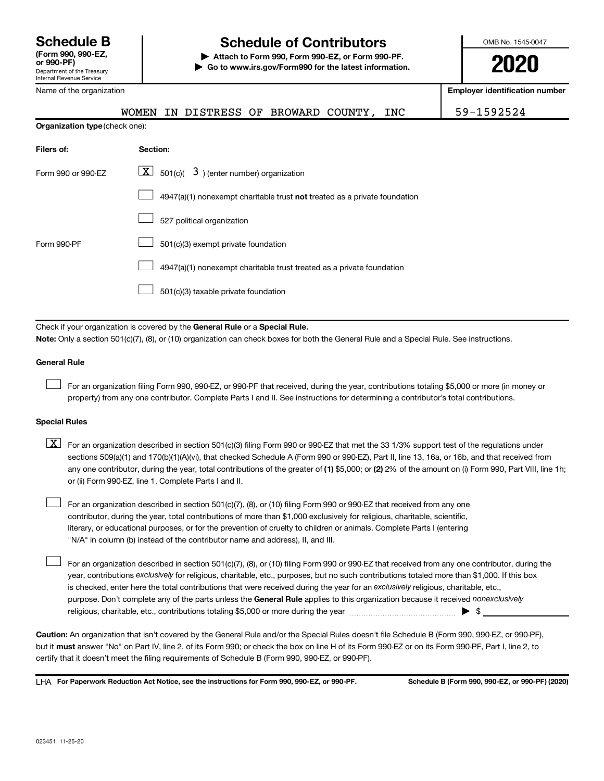## **Schedule B Schedule of Contributors**

**or 990-PF) | Attach to Form 990, Form 990-EZ, or Form 990-PF. | Go to www.irs.gov/Form990 for the latest information.** OMB No. 1545-0047

| Name of the organization       |                                                                                                                                                                                                                                                                                                                                                                                                                                                                                                                                                                       | <b>Employer identification number</b> |  |  |  |  |  |
|--------------------------------|-----------------------------------------------------------------------------------------------------------------------------------------------------------------------------------------------------------------------------------------------------------------------------------------------------------------------------------------------------------------------------------------------------------------------------------------------------------------------------------------------------------------------------------------------------------------------|---------------------------------------|--|--|--|--|--|
|                                | WOMEN IN DISTRESS OF BROWARD COUNTY,<br>INC                                                                                                                                                                                                                                                                                                                                                                                                                                                                                                                           | 59-1592524                            |  |  |  |  |  |
| Organization type (check one): |                                                                                                                                                                                                                                                                                                                                                                                                                                                                                                                                                                       |                                       |  |  |  |  |  |
| Filers of:                     | Section:                                                                                                                                                                                                                                                                                                                                                                                                                                                                                                                                                              |                                       |  |  |  |  |  |
| Form 990 or 990-EZ             | $\lfloor x \rfloor$ 501(c)( 3) (enter number) organization                                                                                                                                                                                                                                                                                                                                                                                                                                                                                                            |                                       |  |  |  |  |  |
|                                | 4947(a)(1) nonexempt charitable trust not treated as a private foundation                                                                                                                                                                                                                                                                                                                                                                                                                                                                                             |                                       |  |  |  |  |  |
|                                | 527 political organization                                                                                                                                                                                                                                                                                                                                                                                                                                                                                                                                            |                                       |  |  |  |  |  |
| Form 990-PF                    | 501(c)(3) exempt private foundation                                                                                                                                                                                                                                                                                                                                                                                                                                                                                                                                   |                                       |  |  |  |  |  |
|                                | 4947(a)(1) nonexempt charitable trust treated as a private foundation                                                                                                                                                                                                                                                                                                                                                                                                                                                                                                 |                                       |  |  |  |  |  |
|                                | 501(c)(3) taxable private foundation                                                                                                                                                                                                                                                                                                                                                                                                                                                                                                                                  |                                       |  |  |  |  |  |
|                                |                                                                                                                                                                                                                                                                                                                                                                                                                                                                                                                                                                       |                                       |  |  |  |  |  |
|                                | Check if your organization is covered by the General Rule or a Special Rule.<br>Note: Only a section 501(c)(7), (8), or (10) organization can check boxes for both the General Rule and a Special Rule. See instructions.                                                                                                                                                                                                                                                                                                                                             |                                       |  |  |  |  |  |
|                                |                                                                                                                                                                                                                                                                                                                                                                                                                                                                                                                                                                       |                                       |  |  |  |  |  |
| <b>General Rule</b>            |                                                                                                                                                                                                                                                                                                                                                                                                                                                                                                                                                                       |                                       |  |  |  |  |  |
|                                | For an organization filing Form 990, 990-EZ, or 990-PF that received, during the year, contributions totaling \$5,000 or more (in money or<br>property) from any one contributor. Complete Parts I and II. See instructions for determining a contributor's total contributions.                                                                                                                                                                                                                                                                                      |                                       |  |  |  |  |  |
| <b>Special Rules</b>           |                                                                                                                                                                                                                                                                                                                                                                                                                                                                                                                                                                       |                                       |  |  |  |  |  |
| $\lfloor x \rfloor$            | For an organization described in section 501(c)(3) filing Form 990 or 990-EZ that met the 33 1/3% support test of the regulations under<br>sections 509(a)(1) and 170(b)(1)(A)(vi), that checked Schedule A (Form 990 or 990-EZ), Part II, line 13, 16a, or 16b, and that received from<br>any one contributor, during the year, total contributions of the greater of (1) \$5,000; or (2) 2% of the amount on (i) Form 990, Part VIII, line 1h;<br>or (ii) Form 990-EZ, line 1. Complete Parts I and II.                                                             |                                       |  |  |  |  |  |
|                                | For an organization described in section 501(c)(7), (8), or (10) filing Form 990 or 990-EZ that received from any one<br>contributor, during the year, total contributions of more than \$1,000 exclusively for religious, charitable, scientific,                                                                                                                                                                                                                                                                                                                    |                                       |  |  |  |  |  |
|                                | literary, or educational purposes, or for the prevention of cruelty to children or animals. Complete Parts I (entering<br>"N/A" in column (b) instead of the contributor name and address), II, and III.                                                                                                                                                                                                                                                                                                                                                              |                                       |  |  |  |  |  |
|                                | For an organization described in section 501(c)(7), (8), or (10) filing Form 990 or 990-EZ that received from any one contributor, during the<br>year, contributions exclusively for religious, charitable, etc., purposes, but no such contributions totaled more than \$1,000. If this box<br>is checked, enter here the total contributions that were received during the year for an exclusively religious, charitable, etc.,<br>purpose. Don't complete any of the parts unless the General Rule applies to this organization because it received nonexclusively | $\blacktriangleright$ \$              |  |  |  |  |  |

**Caution:**  An organization that isn't covered by the General Rule and/or the Special Rules doesn't file Schedule B (Form 990, 990-EZ, or 990-PF),  **must** but it answer "No" on Part IV, line 2, of its Form 990; or check the box on line H of its Form 990-EZ or on its Form 990-PF, Part I, line 2, to certify that it doesn't meet the filing requirements of Schedule B (Form 990, 990-EZ, or 990-PF).

**For Paperwork Reduction Act Notice, see the instructions for Form 990, 990-EZ, or 990-PF. Schedule B (Form 990, 990-EZ, or 990-PF) (2020)** LHA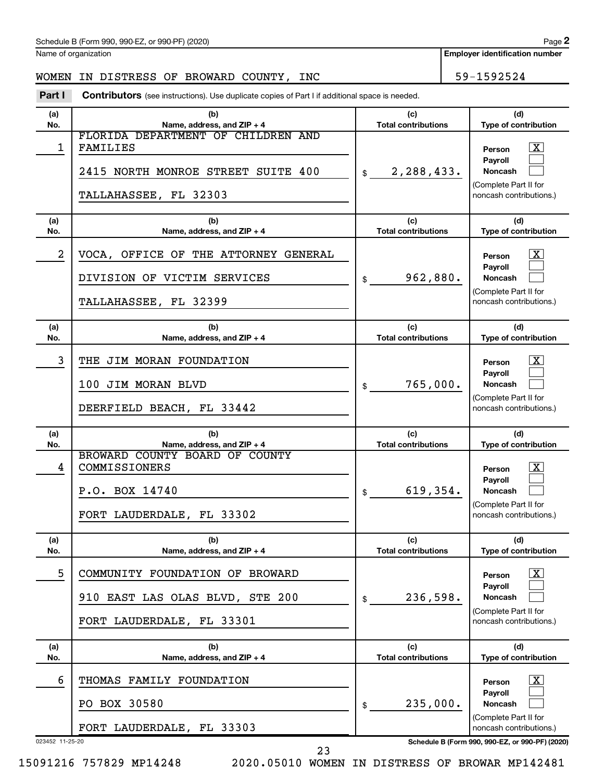#### Schedule B (Form 990, 990-EZ, or 990-PF) (2020)

Name of organization

**Employer identification number**

#### WOMEN IN DISTRESS OF BROWARD COUNTY, INC  $\vert$  59-1592524

023452 11-25-20 **Schedule B (Form 990, 990-EZ, or 990-PF) (2020) (a) No. (b) Name, address, and ZIP + 4 (c) Total contributions (d) Type of contribution Person Payroll Noncash (a) No. (b) Name, address, and ZIP + 4 (c) Total contributions (d) Type of contribution Person Payroll Noncash (a) No. (b) Name, address, and ZIP + 4 (c) Total contributions (d) Type of contribution Person Payroll Noncash (a) No. (b) Name, address, and ZIP + 4 (c) Total contributions (d) Type of contribution Person Payroll Noncash (a) No. (b) Name, address, and ZIP + 4 (c) Total contributions (d) Type of contribution Person Payroll Noncash (a) No. (b) Name, address, and ZIP + 4 (c) Total contributions (d) Type of contribution Person Payroll Noncash Part I** Contributors (see instructions). Use duplicate copies of Part I if additional space is needed. \$ (Complete Part II for noncash contributions.) \$ (Complete Part II for noncash contributions.) \$ (Complete Part II for noncash contributions.) \$ (Complete Part II for noncash contributions.) \$ (Complete Part II for noncash contributions.) \$ (Complete Part II for noncash contributions.) †  $\Box$  $\Box$  $\overline{\mathbf{X}}$  $\Box$  $\Box$  $\lceil \text{X} \rceil$  $\Box$  $\Box$  $\boxed{\textbf{X}}$  $\Box$  $\Box$  $\boxed{\textbf{X}}$  $\Box$  $\Box$  $\boxed{\textbf{X}}$  $\Box$  $\Box$ 1 FLORIDA DEPARTMENT OF CHILDREN AND FAMILIES 2415 NORTH MONROE STREET SUITE  $400$  |  $\frac{1}{3}$  2,288,433. TALLAHASSEE, FL 32303 2 VOCA, OFFICE OF THE ATTORNEY GENERAL X DIVISION OF VICTIM SERVICES  $\vert \text{ s} \vert \text{ 962,880.}$ TALLAHASSEE, FL 32399 3 THE JIM MORAN FOUNDATION  $100$  JIM MORAN BLVD  $\vert$  \$  $765,000$ . DEERFIELD BEACH, FL 33442 4 BROWARD COUNTY BOARD OF COUNTY COMMISSIONERS X **P.O.** BOX 14740  $\vert$  \$ 619,354. FORT LAUDERDALE, FL 33302 5 | COMMUNITY FOUNDATION OF BROWARD 910 EAST LAS OLAS BLVD, STE 200 236,598. FORT LAUDERDALE, FL 33301 6 | THOMAS FAMILY FOUNDATION PO BOX 30580  $\frac{1}{3}$  235,000. FORT LAUDERDALE, FL 33303

15091216 757829 MP14248 2020.05010 WOMEN IN DISTRESS OF BROWAR MP142481

23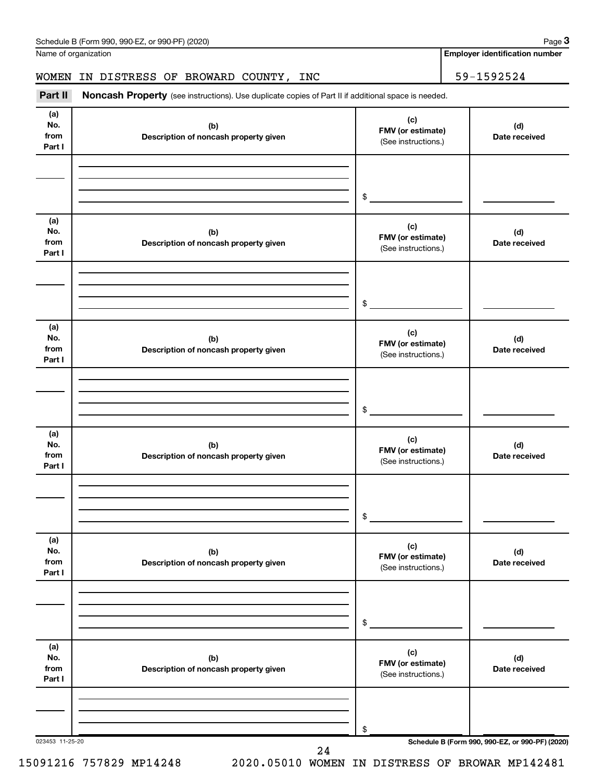Name of organization

Part II Noncash Property (see instructions). Use duplicate copies of Part II if additional space is needed.

| (a)<br>No.<br>from<br>Part I | (b)<br>Description of noncash property given | (c)<br>FMV (or estimate)<br>(See instructions.) | (d)<br>Date received                            |
|------------------------------|----------------------------------------------|-------------------------------------------------|-------------------------------------------------|
|                              |                                              |                                                 |                                                 |
|                              |                                              |                                                 |                                                 |
|                              |                                              | $\frac{1}{2}$                                   |                                                 |
| (a)                          |                                              | (c)                                             |                                                 |
| No.<br>from                  | (b)<br>Description of noncash property given | FMV (or estimate)                               | (d)<br>Date received                            |
| Part I                       |                                              | (See instructions.)                             |                                                 |
|                              |                                              |                                                 |                                                 |
|                              |                                              |                                                 |                                                 |
|                              |                                              | \$                                              |                                                 |
| (a)<br>No.                   | (b)                                          | (c)                                             | (d)                                             |
| from                         | Description of noncash property given        | FMV (or estimate)<br>(See instructions.)        | Date received                                   |
| Part I                       |                                              |                                                 |                                                 |
|                              |                                              |                                                 |                                                 |
|                              |                                              | \$                                              |                                                 |
|                              |                                              |                                                 |                                                 |
| (a)<br>No.                   | (b)                                          | (c)<br>FMV (or estimate)                        | (d)                                             |
| from<br>Part I               | Description of noncash property given        | (See instructions.)                             | Date received                                   |
|                              |                                              |                                                 |                                                 |
|                              |                                              |                                                 |                                                 |
|                              |                                              | \$                                              |                                                 |
| (a)                          |                                              |                                                 |                                                 |
| No.                          | (b)                                          | (c)<br>FMV (or estimate)                        | (d)                                             |
| from<br>Part I               | Description of noncash property given        | (See instructions.)                             | Date received                                   |
|                              |                                              |                                                 |                                                 |
|                              |                                              |                                                 |                                                 |
|                              |                                              | \$                                              |                                                 |
| (a)                          |                                              | (c)                                             |                                                 |
| No.<br>from                  | (b)<br>Description of noncash property given | FMV (or estimate)                               | (d)<br>Date received                            |
| Part I                       |                                              | (See instructions.)                             |                                                 |
|                              |                                              |                                                 |                                                 |
|                              |                                              |                                                 |                                                 |
| 023453 11-25-20              |                                              | \$                                              | Schedule B (Form 990, 990-EZ, or 990-PF) (2020) |
|                              | 24                                           |                                                 |                                                 |

15091216 757829 MP14248 2020.05010 WOMEN IN DISTRESS OF BROWAR MP142481

**3**

**Employer identification number**

WOMEN IN DISTRESS OF BROWARD COUNTY, INC 59-1592524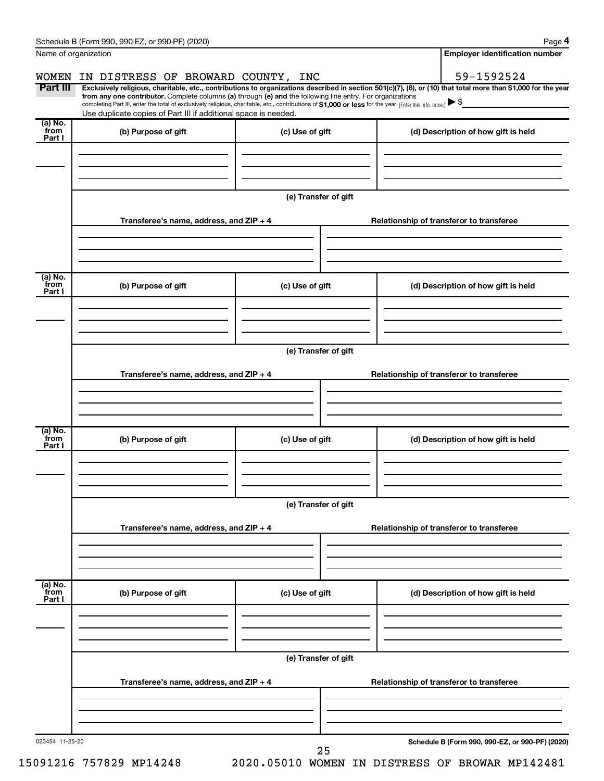|                           | Schedule B (Form 990, 990-EZ, or 990-PF) (2020)                                                                                                                                                                                                                                                 |                      | Page 4                                                                                                                                                         |  |  |  |  |
|---------------------------|-------------------------------------------------------------------------------------------------------------------------------------------------------------------------------------------------------------------------------------------------------------------------------------------------|----------------------|----------------------------------------------------------------------------------------------------------------------------------------------------------------|--|--|--|--|
| Name of organization      |                                                                                                                                                                                                                                                                                                 |                      | <b>Employer identification number</b>                                                                                                                          |  |  |  |  |
|                           | WOMEN IN DISTRESS OF BROWARD COUNTY, INC                                                                                                                                                                                                                                                        |                      | 59-1592524                                                                                                                                                     |  |  |  |  |
| Part III                  | from any one contributor. Complete columns (a) through (e) and the following line entry. For organizations<br>completing Part III, enter the total of exclusively religious, charitable, etc., contributions of \$1,000 or less for the year. (Enter this info. once.) $\blacktriangleright$ \$ |                      | Exclusively religious, charitable, etc., contributions to organizations described in section 501(c)(7), (8), or (10) that total more than \$1,000 for the year |  |  |  |  |
| (a) No.                   | Use duplicate copies of Part III if additional space is needed.                                                                                                                                                                                                                                 |                      |                                                                                                                                                                |  |  |  |  |
| from<br>Part I            | (b) Purpose of gift                                                                                                                                                                                                                                                                             | (c) Use of gift      | (d) Description of how gift is held                                                                                                                            |  |  |  |  |
|                           |                                                                                                                                                                                                                                                                                                 | (e) Transfer of gift |                                                                                                                                                                |  |  |  |  |
|                           | Transferee's name, address, and $ZIP + 4$                                                                                                                                                                                                                                                       |                      | Relationship of transferor to transferee                                                                                                                       |  |  |  |  |
| (a) No.<br>from           |                                                                                                                                                                                                                                                                                                 |                      |                                                                                                                                                                |  |  |  |  |
| Part I                    | (b) Purpose of gift                                                                                                                                                                                                                                                                             | (c) Use of gift      | (d) Description of how gift is held                                                                                                                            |  |  |  |  |
|                           |                                                                                                                                                                                                                                                                                                 | (e) Transfer of gift |                                                                                                                                                                |  |  |  |  |
|                           | Transferee's name, address, and $ZIP + 4$                                                                                                                                                                                                                                                       |                      | Relationship of transferor to transferee                                                                                                                       |  |  |  |  |
|                           |                                                                                                                                                                                                                                                                                                 |                      |                                                                                                                                                                |  |  |  |  |
| (a) No.<br>from<br>Part I | (b) Purpose of gift                                                                                                                                                                                                                                                                             | (c) Use of gift      | (d) Description of how gift is held                                                                                                                            |  |  |  |  |
|                           |                                                                                                                                                                                                                                                                                                 |                      |                                                                                                                                                                |  |  |  |  |
|                           |                                                                                                                                                                                                                                                                                                 | (e) Transfer of gift |                                                                                                                                                                |  |  |  |  |
|                           | Transferee's name, address, and ZIP + 4                                                                                                                                                                                                                                                         |                      | Relationship of transferor to transferee                                                                                                                       |  |  |  |  |
|                           |                                                                                                                                                                                                                                                                                                 |                      |                                                                                                                                                                |  |  |  |  |
| (a) No.<br>from<br>Part I | (b) Purpose of gift                                                                                                                                                                                                                                                                             | (c) Use of gift      | (d) Description of how gift is held                                                                                                                            |  |  |  |  |
|                           |                                                                                                                                                                                                                                                                                                 |                      |                                                                                                                                                                |  |  |  |  |
|                           | (e) Transfer of gift                                                                                                                                                                                                                                                                            |                      |                                                                                                                                                                |  |  |  |  |
|                           | Transferee's name, address, and ZIP + 4                                                                                                                                                                                                                                                         |                      | Relationship of transferor to transferee                                                                                                                       |  |  |  |  |
|                           |                                                                                                                                                                                                                                                                                                 |                      |                                                                                                                                                                |  |  |  |  |
| 023454 11-25-20           |                                                                                                                                                                                                                                                                                                 | 25                   | Schedule B (Form 990, 990-EZ, or 990-PF) (2020)                                                                                                                |  |  |  |  |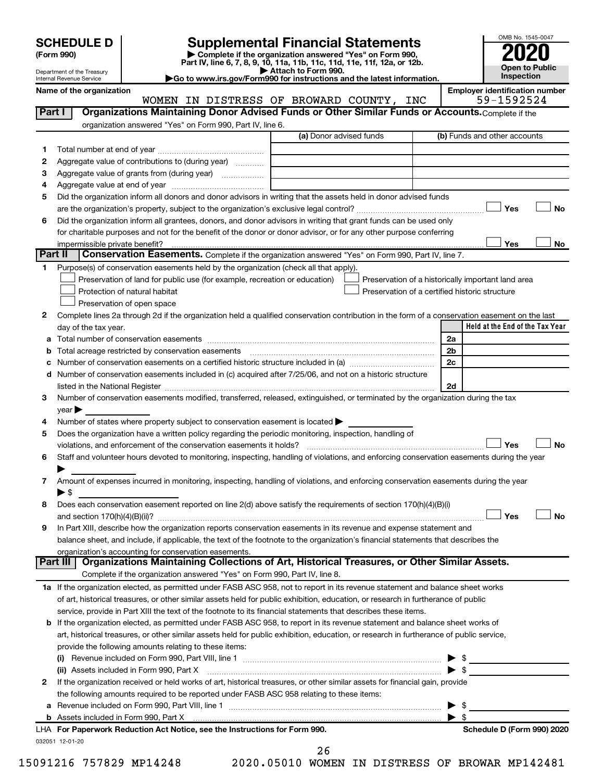| (Form 990) |  |
|------------|--|
|------------|--|

# **SCHEDULE D Supplemental Financial Statements**<br> **Form 990 2020**<br> **Part IV** line 6.7.8.9.10, 11a, 11b, 11d, 11d, 11d, 11d, 11d, 12a, 0r, 12b

**(Form 990) | Complete if the organization answered "Yes" on Form 990, Part IV, line 6, 7, 8, 9, 10, 11a, 11b, 11c, 11d, 11e, 11f, 12a, or 12b.**

**| Attach to Form 990. |Go to www.irs.gov/Form990 for instructions and the latest information.**



Department of the Treasury Internal Revenue Service

Name of the organization<br>**WOMEN IN DISTRESS OF BROWARD COUNTY, INC** 59-1592524 WOMEN IN DISTRESS OF BROWARD COUNTY, INC

| Part I  | Organizations Maintaining Donor Advised Funds or Other Similar Funds or Accounts. Complete if the                                                                 |                                                    |                         |                                 |    |
|---------|-------------------------------------------------------------------------------------------------------------------------------------------------------------------|----------------------------------------------------|-------------------------|---------------------------------|----|
|         | organization answered "Yes" on Form 990, Part IV, line 6.                                                                                                         |                                                    |                         |                                 |    |
|         |                                                                                                                                                                   | (a) Donor advised funds                            |                         | (b) Funds and other accounts    |    |
| 1       |                                                                                                                                                                   |                                                    |                         |                                 |    |
| 2       | Aggregate value of contributions to (during year)                                                                                                                 |                                                    |                         |                                 |    |
| 3       | Aggregate value of grants from (during year)                                                                                                                      |                                                    |                         |                                 |    |
| 4       |                                                                                                                                                                   |                                                    |                         |                                 |    |
| 5       | Did the organization inform all donors and donor advisors in writing that the assets held in donor advised funds                                                  |                                                    |                         |                                 |    |
|         |                                                                                                                                                                   |                                                    |                         | Yes                             | No |
| 6       | Did the organization inform all grantees, donors, and donor advisors in writing that grant funds can be used only                                                 |                                                    |                         |                                 |    |
|         | for charitable purposes and not for the benefit of the donor or donor advisor, or for any other purpose conferring                                                |                                                    |                         |                                 |    |
|         | impermissible private benefit?                                                                                                                                    |                                                    |                         | Yes                             | No |
| Part II | Conservation Easements. Complete if the organization answered "Yes" on Form 990, Part IV, line 7.                                                                 |                                                    |                         |                                 |    |
| 1       | Purpose(s) of conservation easements held by the organization (check all that apply).                                                                             |                                                    |                         |                                 |    |
|         | Preservation of land for public use (for example, recreation or education)                                                                                        | Preservation of a historically important land area |                         |                                 |    |
|         | Protection of natural habitat                                                                                                                                     | Preservation of a certified historic structure     |                         |                                 |    |
|         | Preservation of open space                                                                                                                                        |                                                    |                         |                                 |    |
| 2       | Complete lines 2a through 2d if the organization held a qualified conservation contribution in the form of a conservation easement on the last                    |                                                    |                         |                                 |    |
|         | day of the tax year.                                                                                                                                              |                                                    |                         | Held at the End of the Tax Year |    |
| а       |                                                                                                                                                                   |                                                    | 2a                      |                                 |    |
|         | Total acreage restricted by conservation easements                                                                                                                |                                                    | 2 <sub>b</sub>          |                                 |    |
|         |                                                                                                                                                                   |                                                    | 2 <sub>c</sub>          |                                 |    |
| d       | Number of conservation easements included in (c) acquired after 7/25/06, and not on a historic structure                                                          |                                                    |                         |                                 |    |
|         |                                                                                                                                                                   |                                                    | 2d                      |                                 |    |
| з       | Number of conservation easements modified, transferred, released, extinguished, or terminated by the organization during the tax                                  |                                                    |                         |                                 |    |
|         | $year \triangleright$                                                                                                                                             |                                                    |                         |                                 |    |
| 4       | Number of states where property subject to conservation easement is located >                                                                                     |                                                    |                         |                                 |    |
| 5       | Does the organization have a written policy regarding the periodic monitoring, inspection, handling of                                                            |                                                    |                         |                                 |    |
|         | violations, and enforcement of the conservation easements it holds?                                                                                               |                                                    |                         | Yes                             | No |
| 6       | Staff and volunteer hours devoted to monitoring, inspecting, handling of violations, and enforcing conservation easements during the year                         |                                                    |                         |                                 |    |
|         |                                                                                                                                                                   |                                                    |                         |                                 |    |
| 7       | Amount of expenses incurred in monitoring, inspecting, handling of violations, and enforcing conservation easements during the year                               |                                                    |                         |                                 |    |
|         | ▶ \$                                                                                                                                                              |                                                    |                         |                                 |    |
| 8       | Does each conservation easement reported on line 2(d) above satisfy the requirements of section 170(h)(4)(B)(i)                                                   |                                                    |                         |                                 |    |
|         |                                                                                                                                                                   |                                                    |                         | Yes                             | No |
| 9       | In Part XIII, describe how the organization reports conservation easements in its revenue and expense statement and                                               |                                                    |                         |                                 |    |
|         | balance sheet, and include, if applicable, the text of the footnote to the organization's financial statements that describes the                                 |                                                    |                         |                                 |    |
|         | organization's accounting for conservation easements.<br>Organizations Maintaining Collections of Art, Historical Treasures, or Other Similar Assets.<br>Part III |                                                    |                         |                                 |    |
|         | Complete if the organization answered "Yes" on Form 990, Part IV, line 8.                                                                                         |                                                    |                         |                                 |    |
|         | 1a If the organization elected, as permitted under FASB ASC 958, not to report in its revenue statement and balance sheet works                                   |                                                    |                         |                                 |    |
|         | of art, historical treasures, or other similar assets held for public exhibition, education, or research in furtherance of public                                 |                                                    |                         |                                 |    |
|         | service, provide in Part XIII the text of the footnote to its financial statements that describes these items.                                                    |                                                    |                         |                                 |    |
|         | <b>b</b> If the organization elected, as permitted under FASB ASC 958, to report in its revenue statement and balance sheet works of                              |                                                    |                         |                                 |    |
|         | art, historical treasures, or other similar assets held for public exhibition, education, or research in furtherance of public service,                           |                                                    |                         |                                 |    |
|         | provide the following amounts relating to these items:                                                                                                            |                                                    |                         |                                 |    |
|         |                                                                                                                                                                   |                                                    | \$<br>▶                 |                                 |    |
|         | (ii) Assets included in Form 990, Part X                                                                                                                          |                                                    | $\blacktriangleright$ s |                                 |    |
| 2       | If the organization received or held works of art, historical treasures, or other similar assets for financial gain, provide                                      |                                                    |                         |                                 |    |
|         | the following amounts required to be reported under FASB ASC 958 relating to these items:                                                                         |                                                    |                         |                                 |    |
| а       |                                                                                                                                                                   |                                                    | - \$<br>▶               |                                 |    |
|         | b Assets included in Form 990, Part X [[CONDITED INTERNATION IN ASSETS INCLUDED IN A SERVICE IN A SERVICE IN A                                                    |                                                    | $\blacktriangleright$ s |                                 |    |
|         | LHA For Paperwork Reduction Act Notice, see the Instructions for Form 990.                                                                                        |                                                    |                         | Schedule D (Form 990) 2020      |    |
|         | 032051 12-01-20                                                                                                                                                   |                                                    |                         |                                 |    |
|         |                                                                                                                                                                   | つん                                                 |                         |                                 |    |

26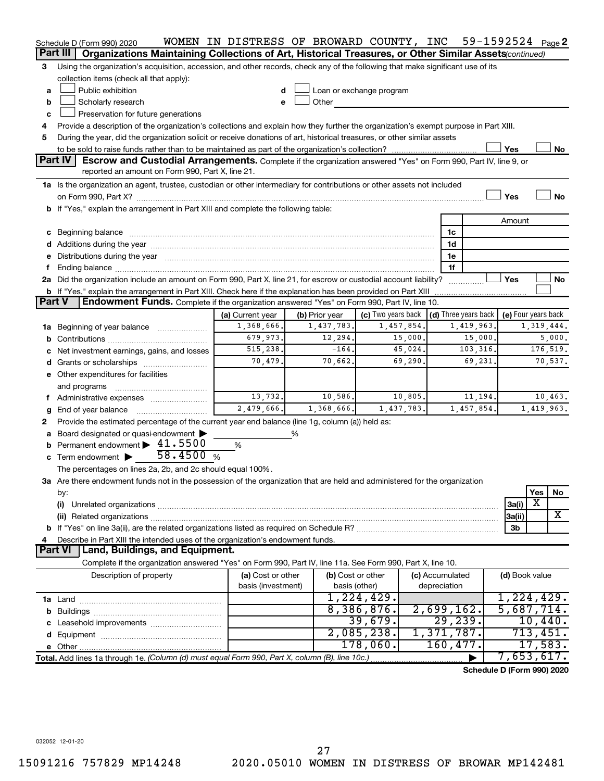|        | Schedule D (Form 990) 2020                                                                                                                                                                                                     | WOMEN IN DISTRESS OF BROWARD COUNTY, INC |                |                          |                                      | 59-1592524 $_{Page}$       |                     |                                |            |
|--------|--------------------------------------------------------------------------------------------------------------------------------------------------------------------------------------------------------------------------------|------------------------------------------|----------------|--------------------------|--------------------------------------|----------------------------|---------------------|--------------------------------|------------|
|        | Part III<br>Organizations Maintaining Collections of Art, Historical Treasures, or Other Similar Assets (continued)                                                                                                            |                                          |                |                          |                                      |                            |                     |                                |            |
| 3      | Using the organization's acquisition, accession, and other records, check any of the following that make significant use of its                                                                                                |                                          |                |                          |                                      |                            |                     |                                |            |
|        | collection items (check all that apply):                                                                                                                                                                                       |                                          |                |                          |                                      |                            |                     |                                |            |
| a      | Public exhibition                                                                                                                                                                                                              | d                                        |                | Loan or exchange program |                                      |                            |                     |                                |            |
| b      | Scholarly research                                                                                                                                                                                                             | е                                        | Other          |                          |                                      |                            |                     |                                |            |
| c      | Preservation for future generations                                                                                                                                                                                            |                                          |                |                          |                                      |                            |                     |                                |            |
| 4      | Provide a description of the organization's collections and explain how they further the organization's exempt purpose in Part XIII.                                                                                           |                                          |                |                          |                                      |                            |                     |                                |            |
| 5      | During the year, did the organization solicit or receive donations of art, historical treasures, or other similar assets                                                                                                       |                                          |                |                          |                                      |                            |                     |                                |            |
|        |                                                                                                                                                                                                                                |                                          |                |                          |                                      |                            | Yes                 |                                | No         |
|        | Part IV<br>Escrow and Custodial Arrangements. Complete if the organization answered "Yes" on Form 990, Part IV, line 9, or                                                                                                     |                                          |                |                          |                                      |                            |                     |                                |            |
|        | reported an amount on Form 990, Part X, line 21.                                                                                                                                                                               |                                          |                |                          |                                      |                            |                     |                                |            |
|        | 1a Is the organization an agent, trustee, custodian or other intermediary for contributions or other assets not included                                                                                                       |                                          |                |                          |                                      |                            |                     |                                |            |
|        |                                                                                                                                                                                                                                |                                          |                |                          |                                      |                            | Yes                 |                                | <b>No</b>  |
|        | b If "Yes," explain the arrangement in Part XIII and complete the following table:                                                                                                                                             |                                          |                |                          |                                      |                            |                     |                                |            |
|        |                                                                                                                                                                                                                                |                                          |                |                          |                                      |                            | Amount              |                                |            |
|        | c Beginning balance measurements and the contract of the contract of the contract of the contract of the contract of the contract of the contract of the contract of the contract of the contract of the contract of the contr |                                          |                |                          | 1c                                   |                            |                     |                                |            |
|        | d Additions during the year manufactured and an account of the year manufactured and account of the year manufactured and account of the year manufactured and account of the year manufactured and account of the year manufa |                                          |                |                          | 1d                                   |                            |                     |                                |            |
|        | e Distributions during the year manufactured and a control of the year manufactured and a Distributions during                                                                                                                 |                                          |                |                          | 1e                                   |                            |                     |                                |            |
|        |                                                                                                                                                                                                                                |                                          |                |                          | 1f                                   |                            |                     |                                |            |
|        | 2a Did the organization include an amount on Form 990, Part X, line 21, for escrow or custodial account liability?                                                                                                             |                                          |                |                          |                                      |                            | Yes                 |                                | No         |
|        | b If "Yes," explain the arrangement in Part XIII. Check here if the explanation has been provided on Part XIII                                                                                                                 |                                          |                |                          |                                      |                            |                     |                                |            |
| Part V | <b>Endowment Funds.</b> Complete if the organization answered "Yes" on Form 990, Part IV, line 10.                                                                                                                             |                                          |                |                          |                                      |                            |                     |                                |            |
|        |                                                                                                                                                                                                                                | (a) Current year                         | (b) Prior year | (c) Two years back       | $\vert$ (d) Three years back $\vert$ |                            | (e) Four years back |                                |            |
|        | 1a Beginning of year balance                                                                                                                                                                                                   | 1,368,666.                               | 1,437,783.     | 1,457,854.               |                                      | 1,419,963.                 |                     |                                | 1,319,444. |
|        |                                                                                                                                                                                                                                | 679,973.                                 | 12, 294.       | 15,000.                  |                                      | 15,000.                    |                     |                                | 5,000.     |
|        | c Net investment earnings, gains, and losses                                                                                                                                                                                   | 515,238.                                 | $-164.$        | 45,024.                  |                                      | 103,316.                   |                     |                                | 176,519.   |
|        |                                                                                                                                                                                                                                | 70,479.                                  | 70,662.        | 69,290.                  |                                      | 69,231.                    |                     | 70,537.                        |            |
|        | d Grants or scholarships                                                                                                                                                                                                       |                                          |                |                          |                                      |                            |                     |                                |            |
|        | e Other expenditures for facilities                                                                                                                                                                                            |                                          |                |                          |                                      |                            |                     |                                |            |
|        | and programs                                                                                                                                                                                                                   |                                          |                |                          |                                      |                            |                     |                                |            |
| Ť.     |                                                                                                                                                                                                                                | 13,732.<br>2,479,666.                    | 10,586.        | 10,805.                  |                                      | 11,194.                    |                     |                                | 10,463.    |
| g      | End of year balance                                                                                                                                                                                                            |                                          | 1,368,666.     | 1,437,783.               |                                      | 1,457,854.                 |                     |                                | 1,419,963. |
| 2      | Provide the estimated percentage of the current year end balance (line 1g, column (a)) held as:                                                                                                                                |                                          |                |                          |                                      |                            |                     |                                |            |
|        | a Board designated or quasi-endowment >                                                                                                                                                                                        |                                          | ℅              |                          |                                      |                            |                     |                                |            |
|        | <b>b</b> Permanent endowment $\blacktriangleright$ 41.5500                                                                                                                                                                     | $\%$                                     |                |                          |                                      |                            |                     |                                |            |
|        | c Term endowment $\triangleright$ 58.4500 %                                                                                                                                                                                    |                                          |                |                          |                                      |                            |                     |                                |            |
|        | The percentages on lines 2a, 2b, and 2c should equal 100%.                                                                                                                                                                     |                                          |                |                          |                                      |                            |                     |                                |            |
|        | 3a Are there endowment funds not in the possession of the organization that are held and administered for the organization                                                                                                     |                                          |                |                          |                                      |                            |                     |                                |            |
|        | by:                                                                                                                                                                                                                            |                                          |                |                          |                                      |                            |                     | Yes<br>$\overline{\textbf{x}}$ | No         |
|        | (i)                                                                                                                                                                                                                            |                                          |                |                          |                                      |                            | 3a(i)               |                                | X          |
|        |                                                                                                                                                                                                                                |                                          |                |                          |                                      |                            | 3a(ii)              |                                |            |
|        |                                                                                                                                                                                                                                |                                          |                |                          |                                      |                            | 3b                  |                                |            |
| 4      | Describe in Part XIII the intended uses of the organization's endowment funds.                                                                                                                                                 |                                          |                |                          |                                      |                            |                     |                                |            |
|        | <b>Part VI</b><br>Land, Buildings, and Equipment.                                                                                                                                                                              |                                          |                |                          |                                      |                            |                     |                                |            |
|        | Complete if the organization answered "Yes" on Form 990, Part IV, line 11a. See Form 990, Part X, line 10.                                                                                                                     |                                          |                |                          |                                      |                            |                     |                                |            |
|        | Description of property                                                                                                                                                                                                        | (a) Cost or other                        |                | (b) Cost or other        | (c) Accumulated                      |                            | (d) Book value      |                                |            |
|        |                                                                                                                                                                                                                                | basis (investment)                       |                | basis (other)            | depreciation                         |                            |                     |                                |            |
|        |                                                                                                                                                                                                                                |                                          |                | 1,224,429.               |                                      |                            | 1,224,429.          |                                |            |
|        |                                                                                                                                                                                                                                |                                          |                | 8,386,876.               | 2,699,162.                           |                            | 5,687,714.          |                                |            |
|        |                                                                                                                                                                                                                                |                                          |                | 39,679.                  | 29, 239.                             |                            |                     |                                | 10,440.    |
|        |                                                                                                                                                                                                                                |                                          |                | 2,085,238.               | 1,371,787.                           |                            |                     | 713,451.                       |            |
|        |                                                                                                                                                                                                                                |                                          |                | 178,060.                 | 160, 477.                            |                            |                     | 17,583.                        |            |
|        | Total. Add lines 1a through 1e. (Column (d) must equal Form 990, Part X, column (B), line 10c.)                                                                                                                                |                                          |                |                          |                                      |                            | 7,653,617.          |                                |            |
|        |                                                                                                                                                                                                                                |                                          |                |                          |                                      | Schedule D (Form 990) 2020 |                     |                                |            |

032052 12-01-20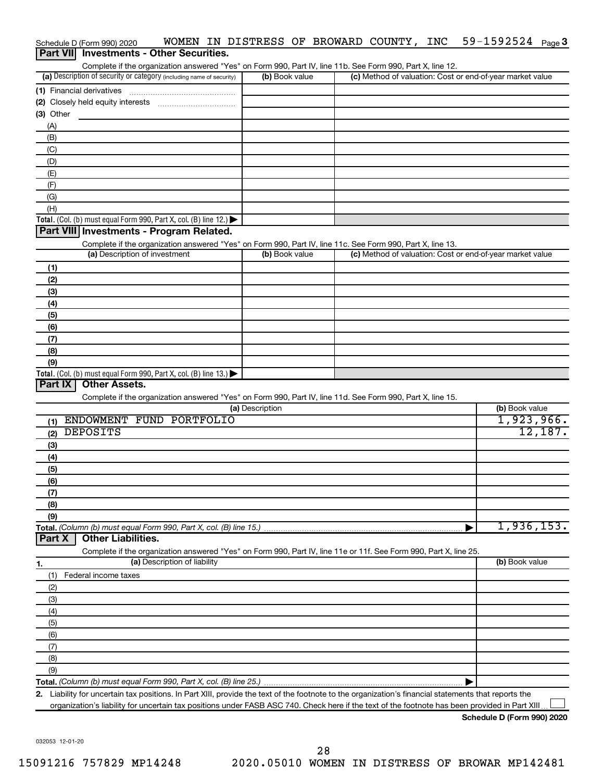|                  | Schedule D (Form 990) 2020                                                                                                                           |                              |                 |  | WOMEN IN DISTRESS OF BROWARD COUNTY, INC | $59 - 1592524$ Page 3                                                                                                                          |            |
|------------------|------------------------------------------------------------------------------------------------------------------------------------------------------|------------------------------|-----------------|--|------------------------------------------|------------------------------------------------------------------------------------------------------------------------------------------------|------------|
| <b>Part VIII</b> | <b>Investments - Other Securities.</b>                                                                                                               |                              |                 |  |                                          |                                                                                                                                                |            |
|                  | Complete if the organization answered "Yes" on Form 990, Part IV, line 11b. See Form 990, Part X, line 12.                                           |                              |                 |  |                                          |                                                                                                                                                |            |
|                  | (a) Description of security or category (including name of security)                                                                                 |                              | (b) Book value  |  |                                          | (c) Method of valuation: Cost or end-of-year market value                                                                                      |            |
|                  | (1) Financial derivatives                                                                                                                            |                              |                 |  |                                          |                                                                                                                                                |            |
|                  |                                                                                                                                                      |                              |                 |  |                                          |                                                                                                                                                |            |
| $(3)$ Other      |                                                                                                                                                      |                              |                 |  |                                          |                                                                                                                                                |            |
| (A)              |                                                                                                                                                      |                              |                 |  |                                          |                                                                                                                                                |            |
| (B)              |                                                                                                                                                      |                              |                 |  |                                          |                                                                                                                                                |            |
| (C)              |                                                                                                                                                      |                              |                 |  |                                          |                                                                                                                                                |            |
| (D)              |                                                                                                                                                      |                              |                 |  |                                          |                                                                                                                                                |            |
| (E)              |                                                                                                                                                      |                              |                 |  |                                          |                                                                                                                                                |            |
| (F)              |                                                                                                                                                      |                              |                 |  |                                          |                                                                                                                                                |            |
| (G)              |                                                                                                                                                      |                              |                 |  |                                          |                                                                                                                                                |            |
| (H)              |                                                                                                                                                      |                              |                 |  |                                          |                                                                                                                                                |            |
|                  | Total. (Col. (b) must equal Form 990, Part X, col. (B) line 12.) $\blacktriangleright$                                                               |                              |                 |  |                                          |                                                                                                                                                |            |
|                  | Part VIII Investments - Program Related.                                                                                                             |                              |                 |  |                                          |                                                                                                                                                |            |
|                  | Complete if the organization answered "Yes" on Form 990, Part IV, line 11c. See Form 990, Part X, line 13.<br>(a) Description of investment          |                              | (b) Book value  |  |                                          | (c) Method of valuation: Cost or end-of-year market value                                                                                      |            |
|                  |                                                                                                                                                      |                              |                 |  |                                          |                                                                                                                                                |            |
| (1)              |                                                                                                                                                      |                              |                 |  |                                          |                                                                                                                                                |            |
| (2)              |                                                                                                                                                      |                              |                 |  |                                          |                                                                                                                                                |            |
| (3)              |                                                                                                                                                      |                              |                 |  |                                          |                                                                                                                                                |            |
| (4)              |                                                                                                                                                      |                              |                 |  |                                          |                                                                                                                                                |            |
| (5)              |                                                                                                                                                      |                              |                 |  |                                          |                                                                                                                                                |            |
| (6)              |                                                                                                                                                      |                              |                 |  |                                          |                                                                                                                                                |            |
| (7)              |                                                                                                                                                      |                              |                 |  |                                          |                                                                                                                                                |            |
| (8)              |                                                                                                                                                      |                              |                 |  |                                          |                                                                                                                                                |            |
| (9)              |                                                                                                                                                      |                              |                 |  |                                          |                                                                                                                                                |            |
| Part IX          | Total. (Col. (b) must equal Form 990, Part X, col. (B) line 13.) $\blacktriangleright$<br><b>Other Assets.</b>                                       |                              |                 |  |                                          |                                                                                                                                                |            |
|                  | Complete if the organization answered "Yes" on Form 990, Part IV, line 11d. See Form 990, Part X, line 15.                                           |                              |                 |  |                                          |                                                                                                                                                |            |
|                  |                                                                                                                                                      |                              | (a) Description |  |                                          | (b) Book value                                                                                                                                 |            |
| (1)              | ENDOWMENT FUND PORTFOLIO                                                                                                                             |                              |                 |  |                                          |                                                                                                                                                | 1,923,966. |
| (2)              | <b>DEPOSITS</b>                                                                                                                                      |                              |                 |  |                                          |                                                                                                                                                | 12,187.    |
| (3)              |                                                                                                                                                      |                              |                 |  |                                          |                                                                                                                                                |            |
| (4)              |                                                                                                                                                      |                              |                 |  |                                          |                                                                                                                                                |            |
| (5)              |                                                                                                                                                      |                              |                 |  |                                          |                                                                                                                                                |            |
| (6)              |                                                                                                                                                      |                              |                 |  |                                          |                                                                                                                                                |            |
| (7)              |                                                                                                                                                      |                              |                 |  |                                          |                                                                                                                                                |            |
| (8)              |                                                                                                                                                      |                              |                 |  |                                          |                                                                                                                                                |            |
| (9)              |                                                                                                                                                      |                              |                 |  |                                          |                                                                                                                                                |            |
|                  | Total. (Column (b) must equal Form 990, Part X, col. (B) line 15.)                                                                                   |                              |                 |  |                                          |                                                                                                                                                | 1,936,153. |
| Part X           | <b>Other Liabilities.</b>                                                                                                                            |                              |                 |  |                                          |                                                                                                                                                |            |
|                  | Complete if the organization answered "Yes" on Form 990, Part IV, line 11e or 11f. See Form 990, Part X, line 25.                                    |                              |                 |  |                                          |                                                                                                                                                |            |
| 1.               |                                                                                                                                                      | (a) Description of liability |                 |  |                                          | (b) Book value                                                                                                                                 |            |
| (1)              | Federal income taxes                                                                                                                                 |                              |                 |  |                                          |                                                                                                                                                |            |
| (2)              |                                                                                                                                                      |                              |                 |  |                                          |                                                                                                                                                |            |
| (3)              |                                                                                                                                                      |                              |                 |  |                                          |                                                                                                                                                |            |
| (4)              |                                                                                                                                                      |                              |                 |  |                                          |                                                                                                                                                |            |
| (5)              |                                                                                                                                                      |                              |                 |  |                                          |                                                                                                                                                |            |
| (6)              |                                                                                                                                                      |                              |                 |  |                                          |                                                                                                                                                |            |
| (7)              |                                                                                                                                                      |                              |                 |  |                                          |                                                                                                                                                |            |
| (8)              |                                                                                                                                                      |                              |                 |  |                                          |                                                                                                                                                |            |
| (9)              |                                                                                                                                                      |                              |                 |  |                                          |                                                                                                                                                |            |
|                  |                                                                                                                                                      |                              |                 |  |                                          |                                                                                                                                                |            |
|                  | 2. Liability for uncertain tax positions. In Part XIII, provide the text of the footnote to the organization's financial statements that reports the |                              |                 |  |                                          |                                                                                                                                                |            |
|                  |                                                                                                                                                      |                              |                 |  |                                          | organization's liability for uncertain tax positions under FASB ASC 740. Check here if the text of the footnote has been provided in Part XIII |            |

**Schedule D (Form 990) 2020**

032053 12-01-20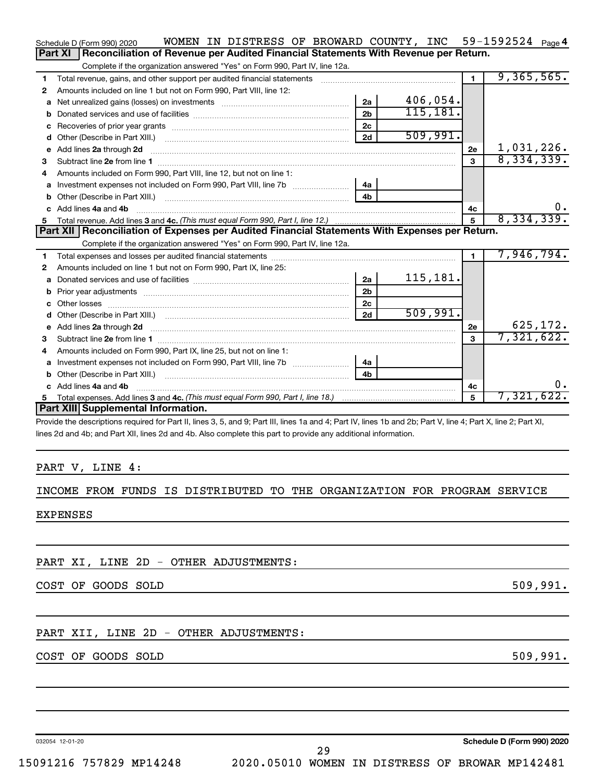|    | WOMEN IN DISTRESS OF BROWARD COUNTY, INC $59-1592524$ Page 4<br>Schedule D (Form 990) 2020                                                                                                                                          |                |           |                |            |  |
|----|-------------------------------------------------------------------------------------------------------------------------------------------------------------------------------------------------------------------------------------|----------------|-----------|----------------|------------|--|
|    | Reconciliation of Revenue per Audited Financial Statements With Revenue per Return.<br>Part XI                                                                                                                                      |                |           |                |            |  |
|    | Complete if the organization answered "Yes" on Form 990, Part IV, line 12a.                                                                                                                                                         |                |           |                |            |  |
| 1  | Total revenue, gains, and other support per audited financial statements                                                                                                                                                            |                |           | $\overline{1}$ | 9,365,565. |  |
| 2  | Amounts included on line 1 but not on Form 990, Part VIII, line 12:                                                                                                                                                                 |                |           |                |            |  |
| a  | Net unrealized gains (losses) on investments [111] Net unrealized mains (losses) on investments [11] Metamanian                                                                                                                     | 2a             | 406,054.  |                |            |  |
|    |                                                                                                                                                                                                                                     | 2 <sub>b</sub> | 115, 181. |                |            |  |
|    |                                                                                                                                                                                                                                     | 2c             |           |                |            |  |
| d  |                                                                                                                                                                                                                                     | 2d             | 509,991.  |                |            |  |
| e  | Add lines 2a through 2d                                                                                                                                                                                                             |                |           | <b>2e</b>      | 1,031,226. |  |
| 3  |                                                                                                                                                                                                                                     |                |           | 3              | 8,334,339. |  |
| 4  | Amounts included on Form 990. Part VIII. line 12, but not on line 1:                                                                                                                                                                |                |           |                |            |  |
|    | Investment expenses not included on Form 990, Part VIII, line 7b [[[[[[[[[[[[[[[[[[[[[[]]]]]]]]                                                                                                                                     | 4a             |           |                |            |  |
|    |                                                                                                                                                                                                                                     | 4 <sub>b</sub> |           |                |            |  |
|    | c Add lines 4a and 4b                                                                                                                                                                                                               |                |           | 4c             |            |  |
|    |                                                                                                                                                                                                                                     |                |           | 5              | 8,334,339. |  |
|    |                                                                                                                                                                                                                                     |                |           |                |            |  |
|    | Part XII   Reconciliation of Expenses per Audited Financial Statements With Expenses per Return.                                                                                                                                    |                |           |                |            |  |
|    | Complete if the organization answered "Yes" on Form 990, Part IV, line 12a.                                                                                                                                                         |                |           |                |            |  |
| 1. |                                                                                                                                                                                                                                     |                |           |                | 7,946,794. |  |
| 2  | Amounts included on line 1 but not on Form 990, Part IX, line 25:                                                                                                                                                                   |                |           |                |            |  |
| a  |                                                                                                                                                                                                                                     | 2a             | 115, 181. |                |            |  |
| b  |                                                                                                                                                                                                                                     | 2 <sub>b</sub> |           |                |            |  |
|    |                                                                                                                                                                                                                                     | 2 <sub>c</sub> |           |                |            |  |
|    |                                                                                                                                                                                                                                     | 2d             | 509,991.  |                |            |  |
|    | e Add lines 2a through 2d <b>contract and a contract and a contract a</b> contract a contract and a contract a contract a contract a contract a contract a contract a contract a contract a contract a contract a contract a contra |                |           | 2e             | 625,172.   |  |
| з  |                                                                                                                                                                                                                                     |                |           | $\mathbf{a}$   | 7,321,622. |  |
| 4  | Amounts included on Form 990, Part IX, line 25, but not on line 1:                                                                                                                                                                  |                |           |                |            |  |
| a  |                                                                                                                                                                                                                                     | 4a             |           |                |            |  |
| b  |                                                                                                                                                                                                                                     | 4 <sub>h</sub> |           |                |            |  |
|    | c Add lines 4a and 4b                                                                                                                                                                                                               |                |           | 4c             | υ.         |  |
|    | Part XIII Supplemental Information.                                                                                                                                                                                                 |                |           |                | 7,321,622. |  |

Provide the descriptions required for Part II, lines 3, 5, and 9; Part III, lines 1a and 4; Part IV, lines 1b and 2b; Part V, line 4; Part X, line 2; Part XI, lines 2d and 4b; and Part XII, lines 2d and 4b. Also complete this part to provide any additional information.

#### PART V, LINE 4:

#### INCOME FROM FUNDS IS DISTRIBUTED TO THE ORGANIZATION FOR PROGRAM SERVICE

EXPENSES

PART XI, LINE 2D - OTHER ADJUSTMENTS:

COST OF GOODS SOLD 509,991.

#### PART XII, LINE 2D - OTHER ADJUSTMENTS:

COST OF GOODS SOLD 509,991.

032054 12-01-20

**Schedule D (Form 990) 2020**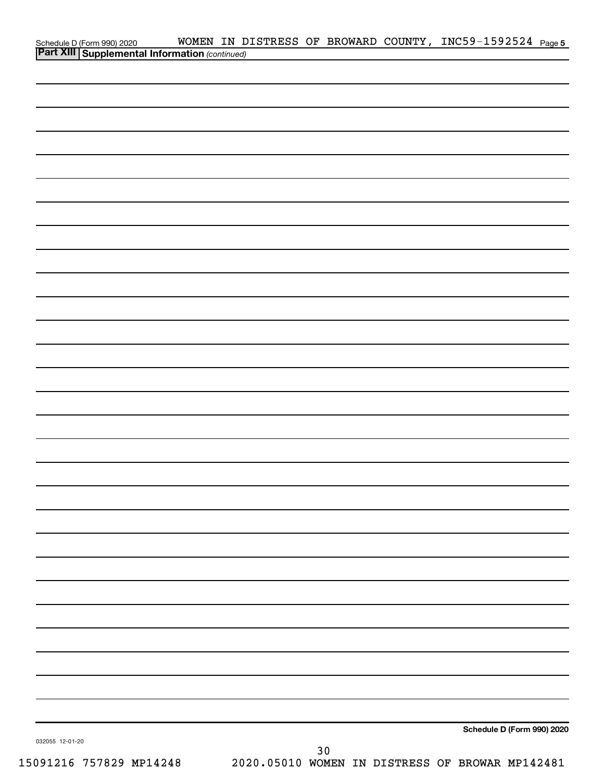| Schedule D (Form 990) 2020 WOMEN IN D<br><b>Part XIII Supplemental Information</b> (continued) |  |  |      | WOMEN IN DISTRESS OF BROWARD COUNTY, INC59-1592524 Page 5 |  |
|------------------------------------------------------------------------------------------------|--|--|------|-----------------------------------------------------------|--|
|                                                                                                |  |  |      |                                                           |  |
|                                                                                                |  |  |      |                                                           |  |
|                                                                                                |  |  |      |                                                           |  |
|                                                                                                |  |  |      |                                                           |  |
|                                                                                                |  |  |      |                                                           |  |
|                                                                                                |  |  |      |                                                           |  |
|                                                                                                |  |  |      |                                                           |  |
|                                                                                                |  |  |      |                                                           |  |
|                                                                                                |  |  |      |                                                           |  |
|                                                                                                |  |  |      |                                                           |  |
|                                                                                                |  |  |      |                                                           |  |
|                                                                                                |  |  |      |                                                           |  |
|                                                                                                |  |  |      |                                                           |  |
|                                                                                                |  |  |      |                                                           |  |
|                                                                                                |  |  |      |                                                           |  |
|                                                                                                |  |  |      |                                                           |  |
|                                                                                                |  |  |      |                                                           |  |
|                                                                                                |  |  |      |                                                           |  |
|                                                                                                |  |  |      |                                                           |  |
|                                                                                                |  |  |      |                                                           |  |
|                                                                                                |  |  |      |                                                           |  |
|                                                                                                |  |  |      |                                                           |  |
|                                                                                                |  |  |      |                                                           |  |
|                                                                                                |  |  |      |                                                           |  |
|                                                                                                |  |  |      |                                                           |  |
|                                                                                                |  |  |      |                                                           |  |
|                                                                                                |  |  |      |                                                           |  |
|                                                                                                |  |  |      |                                                           |  |
|                                                                                                |  |  |      |                                                           |  |
|                                                                                                |  |  |      |                                                           |  |
|                                                                                                |  |  |      |                                                           |  |
|                                                                                                |  |  |      |                                                           |  |
|                                                                                                |  |  |      |                                                           |  |
|                                                                                                |  |  |      |                                                           |  |
|                                                                                                |  |  |      |                                                           |  |
|                                                                                                |  |  |      |                                                           |  |
|                                                                                                |  |  |      |                                                           |  |
|                                                                                                |  |  |      |                                                           |  |
|                                                                                                |  |  |      |                                                           |  |
|                                                                                                |  |  |      |                                                           |  |
| 032055 12-01-20                                                                                |  |  |      | Schedule D (Form 990) 2020                                |  |
|                                                                                                |  |  | $30$ |                                                           |  |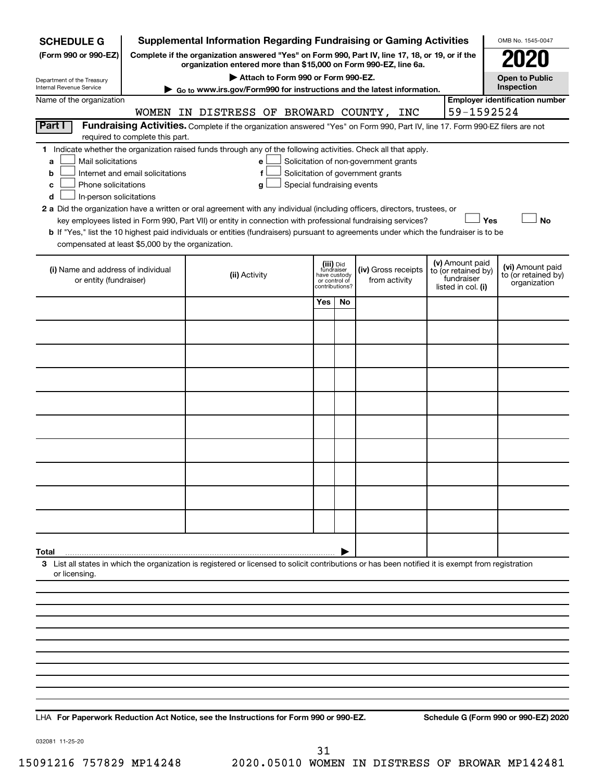| <b>SCHEDULE G</b>                                            |                                  | <b>Supplemental Information Regarding Fundraising or Gaming Activities</b>                                                                                          |                                                          |                |                                                                            |                                                                            | OMB No. 1545-0047                                       |
|--------------------------------------------------------------|----------------------------------|---------------------------------------------------------------------------------------------------------------------------------------------------------------------|----------------------------------------------------------|----------------|----------------------------------------------------------------------------|----------------------------------------------------------------------------|---------------------------------------------------------|
| (Form 990 or 990-EZ)                                         |                                  | Complete if the organization answered "Yes" on Form 990, Part IV, line 17, 18, or 19, or if the<br>organization entered more than \$15,000 on Form 990-EZ, line 6a. |                                                          |                |                                                                            |                                                                            |                                                         |
| Department of the Treasury                                   |                                  | Attach to Form 990 or Form 990-EZ.                                                                                                                                  |                                                          |                |                                                                            |                                                                            | <b>Open to Public</b>                                   |
| <b>Internal Revenue Service</b>                              |                                  | Go to www.irs.gov/Form990 for instructions and the latest information.                                                                                              |                                                          |                |                                                                            |                                                                            | Inspection                                              |
| Name of the organization                                     |                                  | WOMEN IN DISTRESS OF BROWARD COUNTY,                                                                                                                                |                                                          |                | INC                                                                        | 59-1592524                                                                 | <b>Employer identification number</b>                   |
| <b>Part I</b>                                                |                                  | Fundraising Activities. Complete if the organization answered "Yes" on Form 990, Part IV, line 17. Form 990-EZ filers are not                                       |                                                          |                |                                                                            |                                                                            |                                                         |
|                                                              | required to complete this part.  |                                                                                                                                                                     |                                                          |                |                                                                            |                                                                            |                                                         |
| 1.<br>Mail solicitations<br>a<br>b                           | Internet and email solicitations | Indicate whether the organization raised funds through any of the following activities. Check all that apply.<br>e<br>f                                             |                                                          |                | Solicitation of non-government grants<br>Solicitation of government grants |                                                                            |                                                         |
| Phone solicitations<br>с<br>In-person solicitations<br>d     |                                  | Special fundraising events<br>g                                                                                                                                     |                                                          |                |                                                                            |                                                                            |                                                         |
|                                                              |                                  | 2 a Did the organization have a written or oral agreement with any individual (including officers, directors, trustees, or                                          |                                                          |                |                                                                            |                                                                            |                                                         |
|                                                              |                                  | key employees listed in Form 990, Part VII) or entity in connection with professional fundraising services?                                                         |                                                          |                |                                                                            | Yes                                                                        | <b>No</b>                                               |
| compensated at least \$5,000 by the organization.            |                                  | b If "Yes," list the 10 highest paid individuals or entities (fundraisers) pursuant to agreements under which the fundraiser is to be                               |                                                          |                |                                                                            |                                                                            |                                                         |
|                                                              |                                  |                                                                                                                                                                     |                                                          |                |                                                                            |                                                                            |                                                         |
| (i) Name and address of individual<br>or entity (fundraiser) |                                  | (ii) Activity                                                                                                                                                       | (iii) Did<br>fundraiser<br>have custody<br>or control of | contributions? | (iv) Gross receipts<br>from activity                                       | (v) Amount paid<br>to (or retained by)<br>fundraiser<br>listed in col. (i) | (vi) Amount paid<br>to (or retained by)<br>organization |
|                                                              |                                  |                                                                                                                                                                     | Yes                                                      | No             |                                                                            |                                                                            |                                                         |
|                                                              |                                  |                                                                                                                                                                     |                                                          |                |                                                                            |                                                                            |                                                         |
|                                                              |                                  |                                                                                                                                                                     |                                                          |                |                                                                            |                                                                            |                                                         |
|                                                              |                                  |                                                                                                                                                                     |                                                          |                |                                                                            |                                                                            |                                                         |
|                                                              |                                  |                                                                                                                                                                     |                                                          |                |                                                                            |                                                                            |                                                         |
|                                                              |                                  |                                                                                                                                                                     |                                                          |                |                                                                            |                                                                            |                                                         |
|                                                              |                                  |                                                                                                                                                                     |                                                          |                |                                                                            |                                                                            |                                                         |
|                                                              |                                  |                                                                                                                                                                     |                                                          |                |                                                                            |                                                                            |                                                         |
|                                                              |                                  |                                                                                                                                                                     |                                                          |                |                                                                            |                                                                            |                                                         |
|                                                              |                                  |                                                                                                                                                                     |                                                          |                |                                                                            |                                                                            |                                                         |
|                                                              |                                  |                                                                                                                                                                     |                                                          |                |                                                                            |                                                                            |                                                         |
| Total                                                        |                                  |                                                                                                                                                                     |                                                          |                |                                                                            |                                                                            |                                                         |
| or licensing.                                                |                                  | 3 List all states in which the organization is registered or licensed to solicit contributions or has been notified it is exempt from registration                  |                                                          |                |                                                                            |                                                                            |                                                         |
|                                                              |                                  |                                                                                                                                                                     |                                                          |                |                                                                            |                                                                            |                                                         |
|                                                              |                                  |                                                                                                                                                                     |                                                          |                |                                                                            |                                                                            |                                                         |
|                                                              |                                  |                                                                                                                                                                     |                                                          |                |                                                                            |                                                                            |                                                         |
|                                                              |                                  |                                                                                                                                                                     |                                                          |                |                                                                            |                                                                            |                                                         |
|                                                              |                                  |                                                                                                                                                                     |                                                          |                |                                                                            |                                                                            |                                                         |
|                                                              |                                  |                                                                                                                                                                     |                                                          |                |                                                                            |                                                                            |                                                         |
|                                                              |                                  |                                                                                                                                                                     |                                                          |                |                                                                            |                                                                            |                                                         |
|                                                              |                                  |                                                                                                                                                                     |                                                          |                |                                                                            |                                                                            |                                                         |

**For Paperwork Reduction Act Notice, see the Instructions for Form 990 or 990-EZ. Schedule G (Form 990 or 990-EZ) 2020** LHA

032081 11-25-20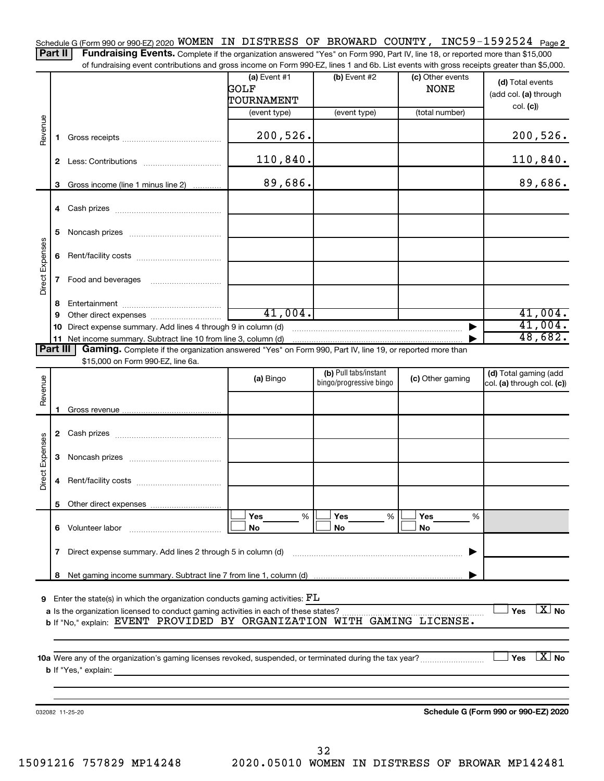Schedule G (Form 990 or 990-EZ) 2020 WOMEN IN DISTRESS OF BROWARD COUNTY, INC59-1592524 <sub>Page 2</sub>

Part II | Fundraising Events. Complete if the organization answered "Yes" on Form 990, Part IV, line 18, or reported more than \$15,000 of fundraising event contributions and gross income on Form 990-EZ, lines 1 and 6b. List events with gross receipts greater than \$5,000.

|                 |          |                                                                                                                                                                | (a) Event $#1$<br>GOLF<br>TOURNAMENT | (b) Event #2                                     | (c) Other events<br><b>NONE</b> | (d) Total events<br>(add col. (a) through           |
|-----------------|----------|----------------------------------------------------------------------------------------------------------------------------------------------------------------|--------------------------------------|--------------------------------------------------|---------------------------------|-----------------------------------------------------|
|                 |          |                                                                                                                                                                | (event type)                         | (event type)                                     | (total number)                  | col. (c)                                            |
| Revenue         |          |                                                                                                                                                                |                                      |                                                  |                                 |                                                     |
|                 | 1.       |                                                                                                                                                                | 200,526.                             |                                                  |                                 | 200,526.                                            |
|                 |          |                                                                                                                                                                | 110,840.                             |                                                  |                                 | 110,840.                                            |
|                 |          | 3 Gross income (line 1 minus line 2)                                                                                                                           | 89,686.                              |                                                  |                                 | 89,686.                                             |
|                 |          |                                                                                                                                                                |                                      |                                                  |                                 |                                                     |
|                 | 5        |                                                                                                                                                                |                                      |                                                  |                                 |                                                     |
|                 | 6        |                                                                                                                                                                |                                      |                                                  |                                 |                                                     |
| Direct Expenses | 7        |                                                                                                                                                                |                                      |                                                  |                                 |                                                     |
|                 | 8        |                                                                                                                                                                |                                      |                                                  |                                 |                                                     |
|                 | 9        |                                                                                                                                                                | 41,004.                              |                                                  |                                 | 41,004.                                             |
|                 | 10       | Direct expense summary. Add lines 4 through 9 in column (d)                                                                                                    |                                      |                                                  |                                 | 41,004.<br>48,682.                                  |
|                 | Part III | Gaming. Complete if the organization answered "Yes" on Form 990, Part IV, line 19, or reported more than                                                       |                                      |                                                  |                                 |                                                     |
|                 |          | \$15,000 on Form 990-EZ, line 6a.                                                                                                                              |                                      |                                                  |                                 |                                                     |
| Revenue         |          |                                                                                                                                                                | (a) Bingo                            | (b) Pull tabs/instant<br>bingo/progressive bingo | (c) Other gaming                | (d) Total gaming (add<br>col. (a) through col. (c)) |
|                 |          |                                                                                                                                                                |                                      |                                                  |                                 |                                                     |
|                 |          |                                                                                                                                                                |                                      |                                                  |                                 |                                                     |
|                 |          |                                                                                                                                                                |                                      |                                                  |                                 |                                                     |
|                 | 3        |                                                                                                                                                                |                                      |                                                  |                                 |                                                     |
| Direct Expenses | 4        |                                                                                                                                                                |                                      |                                                  |                                 |                                                     |
|                 |          |                                                                                                                                                                |                                      |                                                  |                                 |                                                     |
|                 | 6        | Volunteer labor                                                                                                                                                | Yes<br>%<br>No                       | Yes<br>%<br>No                                   | Yes<br>%<br>No                  |                                                     |
|                 | 7        | Direct expense summary. Add lines 2 through 5 in column (d)                                                                                                    |                                      |                                                  | ▶                               |                                                     |
|                 | 8        |                                                                                                                                                                |                                      |                                                  |                                 |                                                     |
|                 |          |                                                                                                                                                                |                                      |                                                  |                                 |                                                     |
| 9               |          | Enter the state(s) in which the organization conducts gaming activities: ${\bf FL}$<br>b If "No," explain: EVENT PROVIDED BY ORGANIZATION WITH GAMING LICENSE. |                                      |                                                  |                                 | $X_{\text{No}}$<br>Yes                              |
|                 |          | <b>b</b> If "Yes," explain:<br><u> 1989 - Johann Harry Barn, mars and deutscher Schwarzer († 1908)</u>                                                         |                                      |                                                  |                                 | $\lfloor x \rfloor$ No<br>Yes                       |
|                 |          |                                                                                                                                                                |                                      |                                                  |                                 |                                                     |
|                 |          | 032082 11-25-20                                                                                                                                                |                                      |                                                  |                                 | Schedule G (Form 990 or 990-EZ) 2020                |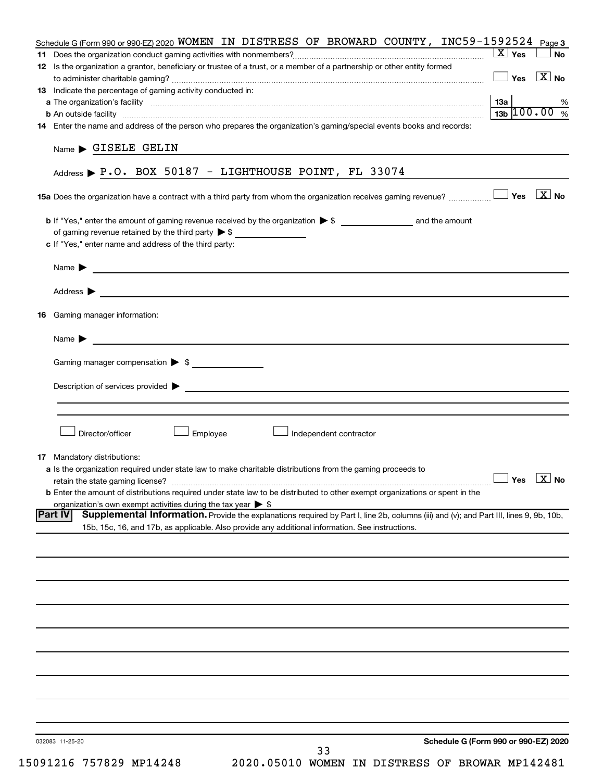|    | Schedule G (Form 990 or 990-EZ) 2020 WOMEN IN DISTRESS OF BROWARD COUNTY, INC59-1592524 $_{\text{Page 3}}$                                                                                                                                                                            |                                                            |           |
|----|---------------------------------------------------------------------------------------------------------------------------------------------------------------------------------------------------------------------------------------------------------------------------------------|------------------------------------------------------------|-----------|
| 11 |                                                                                                                                                                                                                                                                                       | $\boxed{\text{X}}$ Yes                                     | <b>No</b> |
|    | 12 Is the organization a grantor, beneficiary or trustee of a trust, or a member of a partnership or other entity formed                                                                                                                                                              |                                                            |           |
|    |                                                                                                                                                                                                                                                                                       | $\overline{\phantom{a}}$ Yes $\overline{\phantom{a}}$ X No |           |
|    | <b>13</b> Indicate the percentage of gaming activity conducted in:                                                                                                                                                                                                                    |                                                            |           |
|    |                                                                                                                                                                                                                                                                                       | $13b$ 100.00 %                                             | %         |
|    | <b>b</b> An outside facility <i>www.communicality www.communicality.communicality www.communicality www.communicality.communicality www.communicality.com</i><br>14 Enter the name and address of the person who prepares the organization's gaming/special events books and records: |                                                            |           |
|    |                                                                                                                                                                                                                                                                                       |                                                            |           |
|    | Name > GISELE GELIN                                                                                                                                                                                                                                                                   |                                                            |           |
|    |                                                                                                                                                                                                                                                                                       |                                                            |           |
|    | Address > P.O. BOX 50187 - LIGHTHOUSE POINT, FL 33074                                                                                                                                                                                                                                 |                                                            |           |
|    |                                                                                                                                                                                                                                                                                       |                                                            |           |
|    | <b>15a</b> Does the organization have a contract with a third party from whom the organization receives gaming revenue? <b>Moto South Stephane Times</b> $\boxed{\mathbf{X}}$ No                                                                                                      |                                                            |           |
|    |                                                                                                                                                                                                                                                                                       |                                                            |           |
|    |                                                                                                                                                                                                                                                                                       |                                                            |           |
|    | of gaming revenue retained by the third party $\triangleright$ \$<br>c If "Yes," enter name and address of the third party:                                                                                                                                                           |                                                            |           |
|    |                                                                                                                                                                                                                                                                                       |                                                            |           |
|    | <u> 1989 - Jan Barbara de Santo III e al Indonesia de la contrada de la contrada de la contrada de la contrada de</u><br>Name $\blacktriangleright$                                                                                                                                   |                                                            |           |
|    |                                                                                                                                                                                                                                                                                       |                                                            |           |
|    |                                                                                                                                                                                                                                                                                       |                                                            |           |
|    |                                                                                                                                                                                                                                                                                       |                                                            |           |
|    | <b>16</b> Gaming manager information:                                                                                                                                                                                                                                                 |                                                            |           |
|    |                                                                                                                                                                                                                                                                                       |                                                            |           |
|    | <u> 1980 - John Barn Barn, amerikan bernama di sebagai personal di sebagai personal di sebagai personal di sebagai</u><br>Name $\blacktriangleright$                                                                                                                                  |                                                            |           |
|    |                                                                                                                                                                                                                                                                                       |                                                            |           |
|    | Gaming manager compensation > \$                                                                                                                                                                                                                                                      |                                                            |           |
|    |                                                                                                                                                                                                                                                                                       |                                                            |           |
|    |                                                                                                                                                                                                                                                                                       |                                                            |           |
|    |                                                                                                                                                                                                                                                                                       |                                                            |           |
|    |                                                                                                                                                                                                                                                                                       |                                                            |           |
|    | Director/officer<br>Employee<br>Independent contractor                                                                                                                                                                                                                                |                                                            |           |
|    |                                                                                                                                                                                                                                                                                       |                                                            |           |
|    | <b>17</b> Mandatory distributions:                                                                                                                                                                                                                                                    |                                                            |           |
|    | a Is the organization required under state law to make charitable distributions from the gaming proceeds to                                                                                                                                                                           | $\Box$ Yes $\Box$ No                                       |           |
|    | retain the state gaming license?                                                                                                                                                                                                                                                      |                                                            |           |
|    | <b>b</b> Enter the amount of distributions required under state law to be distributed to other exempt organizations or spent in the<br>organization's own exempt activities during the tax year $\triangleright$ \$                                                                   |                                                            |           |
|    | Supplemental Information. Provide the explanations required by Part I, line 2b, columns (iii) and (v); and Part III, lines 9, 9b, 10b,<br> Part IV                                                                                                                                    |                                                            |           |
|    | 15b, 15c, 16, and 17b, as applicable. Also provide any additional information. See instructions.                                                                                                                                                                                      |                                                            |           |
|    |                                                                                                                                                                                                                                                                                       |                                                            |           |
|    |                                                                                                                                                                                                                                                                                       |                                                            |           |
|    |                                                                                                                                                                                                                                                                                       |                                                            |           |
|    |                                                                                                                                                                                                                                                                                       |                                                            |           |
|    |                                                                                                                                                                                                                                                                                       |                                                            |           |
|    |                                                                                                                                                                                                                                                                                       |                                                            |           |
|    |                                                                                                                                                                                                                                                                                       |                                                            |           |
|    |                                                                                                                                                                                                                                                                                       |                                                            |           |
|    |                                                                                                                                                                                                                                                                                       |                                                            |           |
|    |                                                                                                                                                                                                                                                                                       |                                                            |           |
|    |                                                                                                                                                                                                                                                                                       |                                                            |           |
|    |                                                                                                                                                                                                                                                                                       |                                                            |           |
|    |                                                                                                                                                                                                                                                                                       |                                                            |           |
|    |                                                                                                                                                                                                                                                                                       |                                                            |           |
|    |                                                                                                                                                                                                                                                                                       |                                                            |           |
|    |                                                                                                                                                                                                                                                                                       |                                                            |           |
|    | Schedule G (Form 990 or 990-EZ) 2020<br>032083 11-25-20<br>33                                                                                                                                                                                                                         |                                                            |           |
|    |                                                                                                                                                                                                                                                                                       |                                                            |           |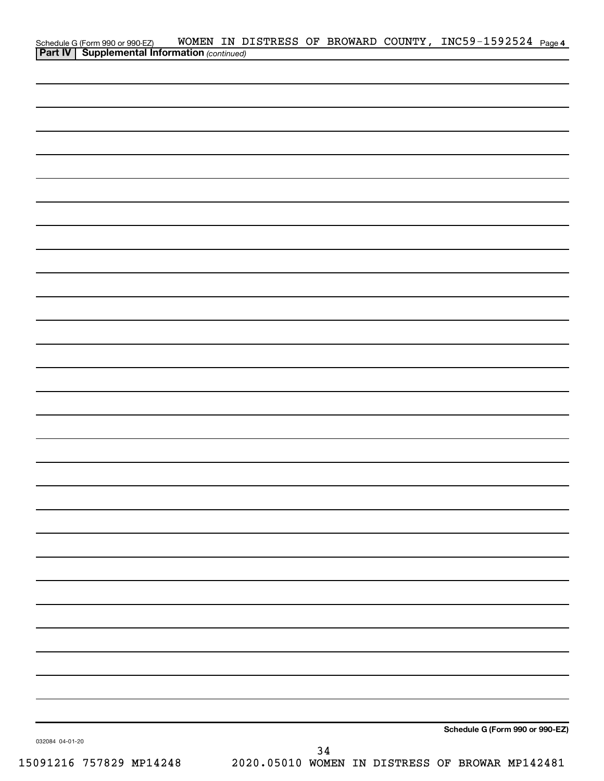| Schedule G (Form 990 or 990-EZ) WOMEN IN D<br><b>Part IV</b> Supplemental Information (continued)<br>032084 04-01-20<br>$34$ |  |  |  |  | WOMEN IN DISTRESS OF BROWARD COUNTY, INC59-1592524 Page 4 |  |
|------------------------------------------------------------------------------------------------------------------------------|--|--|--|--|-----------------------------------------------------------|--|
|                                                                                                                              |  |  |  |  |                                                           |  |
|                                                                                                                              |  |  |  |  |                                                           |  |
|                                                                                                                              |  |  |  |  |                                                           |  |
|                                                                                                                              |  |  |  |  |                                                           |  |
|                                                                                                                              |  |  |  |  |                                                           |  |
|                                                                                                                              |  |  |  |  |                                                           |  |
|                                                                                                                              |  |  |  |  |                                                           |  |
|                                                                                                                              |  |  |  |  |                                                           |  |
|                                                                                                                              |  |  |  |  |                                                           |  |
|                                                                                                                              |  |  |  |  |                                                           |  |
|                                                                                                                              |  |  |  |  |                                                           |  |
|                                                                                                                              |  |  |  |  |                                                           |  |
|                                                                                                                              |  |  |  |  |                                                           |  |
|                                                                                                                              |  |  |  |  |                                                           |  |
|                                                                                                                              |  |  |  |  |                                                           |  |
|                                                                                                                              |  |  |  |  |                                                           |  |
|                                                                                                                              |  |  |  |  |                                                           |  |
|                                                                                                                              |  |  |  |  |                                                           |  |
| Schedule G (Form 990 or 990-EZ)                                                                                              |  |  |  |  |                                                           |  |
|                                                                                                                              |  |  |  |  |                                                           |  |
|                                                                                                                              |  |  |  |  |                                                           |  |
|                                                                                                                              |  |  |  |  |                                                           |  |
|                                                                                                                              |  |  |  |  |                                                           |  |
|                                                                                                                              |  |  |  |  |                                                           |  |
|                                                                                                                              |  |  |  |  |                                                           |  |
|                                                                                                                              |  |  |  |  |                                                           |  |
|                                                                                                                              |  |  |  |  |                                                           |  |
|                                                                                                                              |  |  |  |  |                                                           |  |
|                                                                                                                              |  |  |  |  |                                                           |  |
|                                                                                                                              |  |  |  |  |                                                           |  |
|                                                                                                                              |  |  |  |  |                                                           |  |
|                                                                                                                              |  |  |  |  |                                                           |  |
|                                                                                                                              |  |  |  |  |                                                           |  |
|                                                                                                                              |  |  |  |  |                                                           |  |
|                                                                                                                              |  |  |  |  |                                                           |  |
|                                                                                                                              |  |  |  |  |                                                           |  |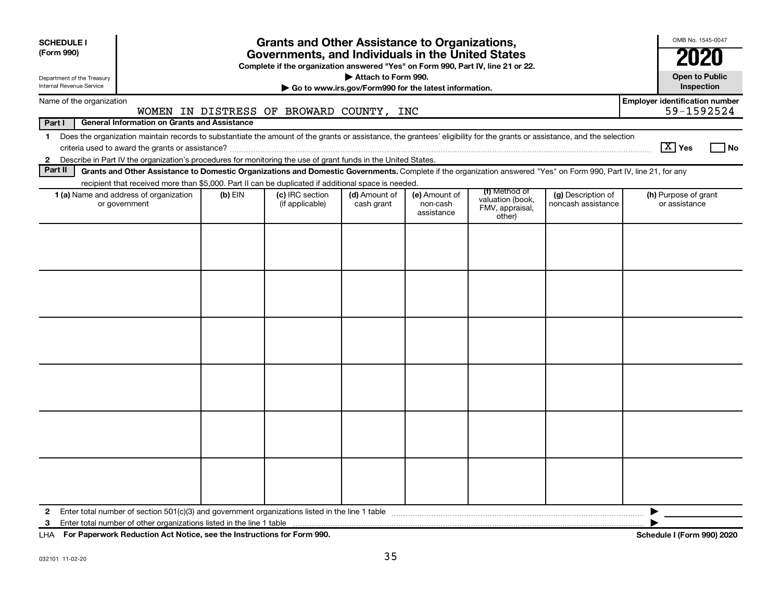| <b>SCHEDULE I</b><br>(Form 990)<br>Internal Revenue Service | Department of the Treasury                              |                                                     |           | <b>Grants and Other Assistance to Organizations,</b><br>Governments, and Individuals in the United States<br>Complete if the organization answered "Yes" on Form 990, Part IV, line 21 or 22. | Attach to Form 990.<br>Go to www.irs.gov/Form990 for the latest information. |                                         |                                                                |                                          | OMB No. 1545-0047<br><b>Open to Public</b><br>Inspection |      |
|-------------------------------------------------------------|---------------------------------------------------------|-----------------------------------------------------|-----------|-----------------------------------------------------------------------------------------------------------------------------------------------------------------------------------------------|------------------------------------------------------------------------------|-----------------------------------------|----------------------------------------------------------------|------------------------------------------|----------------------------------------------------------|------|
|                                                             | Name of the organization                                |                                                     |           |                                                                                                                                                                                               |                                                                              |                                         |                                                                |                                          | <b>Employer identification number</b>                    |      |
|                                                             |                                                         |                                                     |           | WOMEN IN DISTRESS OF BROWARD COUNTY, INC                                                                                                                                                      |                                                                              |                                         |                                                                |                                          | 59-1592524                                               |      |
| Part I                                                      |                                                         | <b>General Information on Grants and Assistance</b> |           |                                                                                                                                                                                               |                                                                              |                                         |                                                                |                                          |                                                          |      |
| 1                                                           |                                                         |                                                     |           | Does the organization maintain records to substantiate the amount of the grants or assistance, the grantees' eligibility for the grants or assistance, and the selection                      |                                                                              |                                         |                                                                |                                          | $\boxed{\text{X}}$ Yes                                   | l No |
| $\mathbf{2}$                                                |                                                         |                                                     |           | Describe in Part IV the organization's procedures for monitoring the use of grant funds in the United States.                                                                                 |                                                                              |                                         |                                                                |                                          |                                                          |      |
| Part II                                                     |                                                         |                                                     |           | Grants and Other Assistance to Domestic Organizations and Domestic Governments. Complete if the organization answered "Yes" on Form 990, Part IV, line 21, for any                            |                                                                              |                                         |                                                                |                                          |                                                          |      |
|                                                             |                                                         |                                                     |           | recipient that received more than \$5,000. Part II can be duplicated if additional space is needed.                                                                                           |                                                                              |                                         |                                                                |                                          |                                                          |      |
|                                                             | 1 (a) Name and address of organization<br>or government |                                                     | $(b)$ EIN | (c) IRC section<br>(if applicable)                                                                                                                                                            | (d) Amount of<br>cash grant                                                  | (e) Amount of<br>non-cash<br>assistance | (f) Method of<br>valuation (book,<br>FMV, appraisal,<br>other) | (g) Description of<br>noncash assistance | (h) Purpose of grant<br>or assistance                    |      |
|                                                             |                                                         |                                                     |           |                                                                                                                                                                                               |                                                                              |                                         |                                                                |                                          |                                                          |      |
|                                                             |                                                         |                                                     |           |                                                                                                                                                                                               |                                                                              |                                         |                                                                |                                          |                                                          |      |
| $\mathbf{2}$<br>3                                           |                                                         |                                                     |           |                                                                                                                                                                                               |                                                                              |                                         |                                                                |                                          |                                                          |      |

**For Paperwork Reduction Act Notice, see the Instructions for Form 990. Schedule I (Form 990) 2020** LHA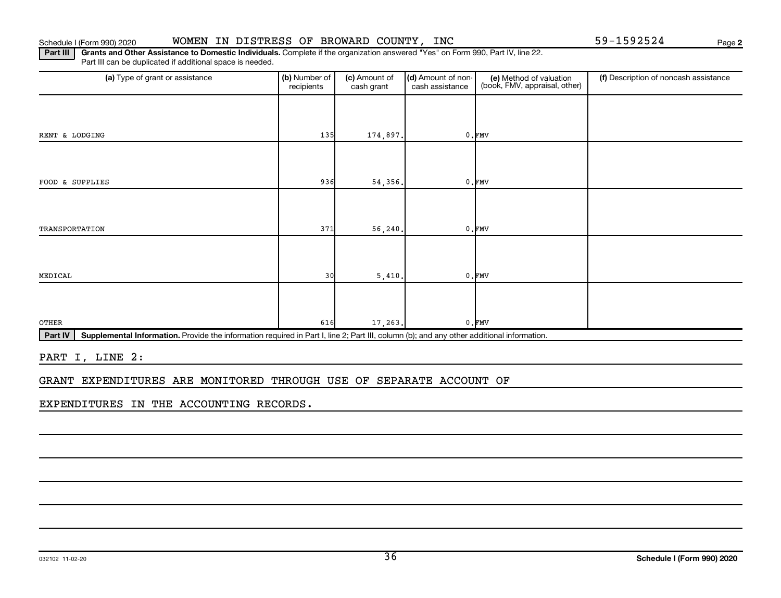#### Schedule I (Form 990) 2020 Page WOMEN IN DISTRESS OF BROWARD COUNTY, INC 59-1592524

**2**

Part III | Grants and Other Assistance to Domestic Individuals. Complete if the organization answered "Yes" on Form 990, Part IV, line 22. Part III can be duplicated if additional space is needed.

| (a) Type of grant or assistance                                                                                                                      | (b) Number of<br>recipients | (c) Amount of<br>cash grant | (d) Amount of non-<br>cash assistance | (e) Method of valuation<br>(book, FMV, appraisal, other) | (f) Description of noncash assistance |
|------------------------------------------------------------------------------------------------------------------------------------------------------|-----------------------------|-----------------------------|---------------------------------------|----------------------------------------------------------|---------------------------------------|
|                                                                                                                                                      |                             |                             |                                       |                                                          |                                       |
| RENT & LODGING                                                                                                                                       | 135                         | 174,897.                    |                                       | $0.$ $FMV$                                               |                                       |
|                                                                                                                                                      |                             |                             |                                       |                                                          |                                       |
| FOOD & SUPPLIES                                                                                                                                      | 936                         | 54,356.                     |                                       | $0.$ $FMV$                                               |                                       |
|                                                                                                                                                      |                             |                             |                                       |                                                          |                                       |
| TRANSPORTATION                                                                                                                                       | 371                         | 56,240.                     |                                       | $0.$ $FMV$                                               |                                       |
|                                                                                                                                                      |                             |                             |                                       |                                                          |                                       |
| MEDICAL                                                                                                                                              | 30                          | 5,410.                      |                                       | $0.$ $FMV$                                               |                                       |
|                                                                                                                                                      |                             |                             |                                       |                                                          |                                       |
| OTHER                                                                                                                                                | 616                         | 17,263.                     |                                       | $0.$ $FMV$                                               |                                       |
| Part IV<br>Supplemental Information. Provide the information required in Part I, line 2; Part III, column (b); and any other additional information. |                             |                             |                                       |                                                          |                                       |

PART I, LINE 2:

GRANT EXPENDITURES ARE MONITORED THROUGH USE OF SEPARATE ACCOUNT OF

EXPENDITURES IN THE ACCOUNTING RECORDS.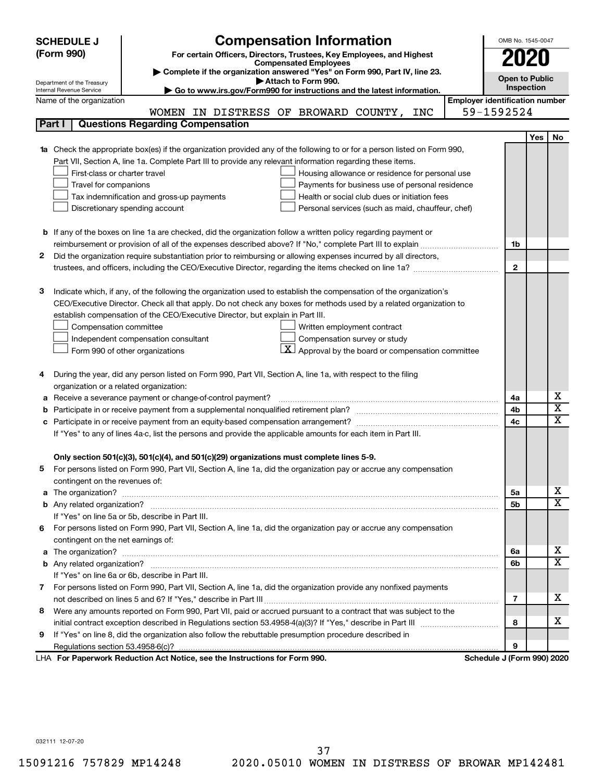|   | <b>SCHEDULE J</b>                                                                          | <b>Compensation Information</b>                                                                                          |                                       | OMB No. 1545-0047          |     |                         |  |  |  |
|---|--------------------------------------------------------------------------------------------|--------------------------------------------------------------------------------------------------------------------------|---------------------------------------|----------------------------|-----|-------------------------|--|--|--|
|   | (Form 990)                                                                                 | For certain Officers, Directors, Trustees, Key Employees, and Highest                                                    |                                       |                            |     |                         |  |  |  |
|   |                                                                                            | <b>Compensated Employees</b>                                                                                             |                                       | 2020                       |     |                         |  |  |  |
|   |                                                                                            | Complete if the organization answered "Yes" on Form 990, Part IV, line 23.<br>Attach to Form 990.                        |                                       | <b>Open to Public</b>      |     |                         |  |  |  |
|   | Department of the Treasury<br>Internal Revenue Service                                     | Go to www.irs.gov/Form990 for instructions and the latest information.                                                   |                                       | <b>Inspection</b>          |     |                         |  |  |  |
|   | Name of the organization                                                                   |                                                                                                                          | <b>Employer identification number</b> |                            |     |                         |  |  |  |
|   |                                                                                            | WOMEN IN DISTRESS OF<br>INC<br>BROWARD COUNTY,                                                                           |                                       | 59-1592524                 |     |                         |  |  |  |
|   | Part I                                                                                     | <b>Questions Regarding Compensation</b>                                                                                  |                                       |                            |     |                         |  |  |  |
|   |                                                                                            |                                                                                                                          |                                       |                            | Yes | No                      |  |  |  |
|   |                                                                                            | Check the appropriate box(es) if the organization provided any of the following to or for a person listed on Form 990,   |                                       |                            |     |                         |  |  |  |
|   |                                                                                            | Part VII, Section A, line 1a. Complete Part III to provide any relevant information regarding these items.               |                                       |                            |     |                         |  |  |  |
|   | First-class or charter travel                                                              | Housing allowance or residence for personal use                                                                          |                                       |                            |     |                         |  |  |  |
|   | Travel for companions                                                                      | Payments for business use of personal residence                                                                          |                                       |                            |     |                         |  |  |  |
|   | Health or social club dues or initiation fees<br>Tax indemnification and gross-up payments |                                                                                                                          |                                       |                            |     |                         |  |  |  |
|   |                                                                                            | Discretionary spending account<br>Personal services (such as maid, chauffeur, chef)                                      |                                       |                            |     |                         |  |  |  |
|   |                                                                                            |                                                                                                                          |                                       |                            |     |                         |  |  |  |
|   |                                                                                            | <b>b</b> If any of the boxes on line 1a are checked, did the organization follow a written policy regarding payment or   |                                       |                            |     |                         |  |  |  |
|   |                                                                                            |                                                                                                                          |                                       | 1b                         |     |                         |  |  |  |
| 2 |                                                                                            | Did the organization require substantiation prior to reimbursing or allowing expenses incurred by all directors,         |                                       |                            |     |                         |  |  |  |
|   |                                                                                            |                                                                                                                          |                                       | $\mathbf{2}$               |     |                         |  |  |  |
|   |                                                                                            |                                                                                                                          |                                       |                            |     |                         |  |  |  |
| З |                                                                                            | Indicate which, if any, of the following the organization used to establish the compensation of the organization's       |                                       |                            |     |                         |  |  |  |
|   |                                                                                            | CEO/Executive Director. Check all that apply. Do not check any boxes for methods used by a related organization to       |                                       |                            |     |                         |  |  |  |
|   |                                                                                            | establish compensation of the CEO/Executive Director, but explain in Part III.                                           |                                       |                            |     |                         |  |  |  |
|   | Compensation committee                                                                     | Written employment contract                                                                                              |                                       |                            |     |                         |  |  |  |
|   |                                                                                            | Compensation survey or study<br>Independent compensation consultant                                                      |                                       |                            |     |                         |  |  |  |
|   |                                                                                            | $\lfloor x \rfloor$ Approval by the board or compensation committee<br>Form 990 of other organizations                   |                                       |                            |     |                         |  |  |  |
|   |                                                                                            |                                                                                                                          |                                       |                            |     |                         |  |  |  |
| 4 |                                                                                            | During the year, did any person listed on Form 990, Part VII, Section A, line 1a, with respect to the filing             |                                       |                            |     |                         |  |  |  |
|   | organization or a related organization:                                                    |                                                                                                                          |                                       |                            |     | х                       |  |  |  |
| а |                                                                                            | Receive a severance payment or change-of-control payment?                                                                |                                       | 4a                         |     | $\overline{\mathbf{X}}$ |  |  |  |
|   |                                                                                            |                                                                                                                          |                                       | 4b<br>4c                   |     | X                       |  |  |  |
|   |                                                                                            |                                                                                                                          |                                       |                            |     |                         |  |  |  |
|   |                                                                                            | If "Yes" to any of lines 4a-c, list the persons and provide the applicable amounts for each item in Part III.            |                                       |                            |     |                         |  |  |  |
|   |                                                                                            | Only section 501(c)(3), 501(c)(4), and 501(c)(29) organizations must complete lines 5-9.                                 |                                       |                            |     |                         |  |  |  |
|   |                                                                                            | For persons listed on Form 990, Part VII, Section A, line 1a, did the organization pay or accrue any compensation        |                                       |                            |     |                         |  |  |  |
|   | contingent on the revenues of:                                                             |                                                                                                                          |                                       |                            |     |                         |  |  |  |
| a |                                                                                            | The organization? <b>William Commission Commission Commission</b> Commission Commission Commission Commission Commission |                                       | 5a                         |     | x                       |  |  |  |
|   |                                                                                            |                                                                                                                          |                                       | 5b                         |     | $\overline{\mathtt{x}}$ |  |  |  |
|   |                                                                                            | If "Yes" on line 5a or 5b, describe in Part III.                                                                         |                                       |                            |     |                         |  |  |  |
|   |                                                                                            | 6 For persons listed on Form 990, Part VII, Section A, line 1a, did the organization pay or accrue any compensation      |                                       |                            |     |                         |  |  |  |
|   | contingent on the net earnings of:                                                         |                                                                                                                          |                                       |                            |     |                         |  |  |  |
| a |                                                                                            |                                                                                                                          |                                       | 6a                         |     | х                       |  |  |  |
|   |                                                                                            |                                                                                                                          |                                       | 6b                         |     | $\overline{\texttt{x}}$ |  |  |  |
|   |                                                                                            | If "Yes" on line 6a or 6b, describe in Part III.                                                                         |                                       |                            |     |                         |  |  |  |
|   |                                                                                            | 7 For persons listed on Form 990, Part VII, Section A, line 1a, did the organization provide any nonfixed payments       |                                       |                            |     |                         |  |  |  |
|   |                                                                                            |                                                                                                                          |                                       | 7                          |     | x                       |  |  |  |
| 8 |                                                                                            | Were any amounts reported on Form 990, Part VII, paid or accrued pursuant to a contract that was subject to the          |                                       |                            |     |                         |  |  |  |
| 8 |                                                                                            |                                                                                                                          |                                       |                            |     | х                       |  |  |  |
| 9 |                                                                                            | If "Yes" on line 8, did the organization also follow the rebuttable presumption procedure described in                   |                                       |                            |     |                         |  |  |  |
|   |                                                                                            |                                                                                                                          |                                       | 9                          |     |                         |  |  |  |
|   |                                                                                            | LHA For Paperwork Reduction Act Notice, see the Instructions for Form 990.                                               |                                       | Schedule J (Form 990) 2020 |     |                         |  |  |  |

032111 12-07-20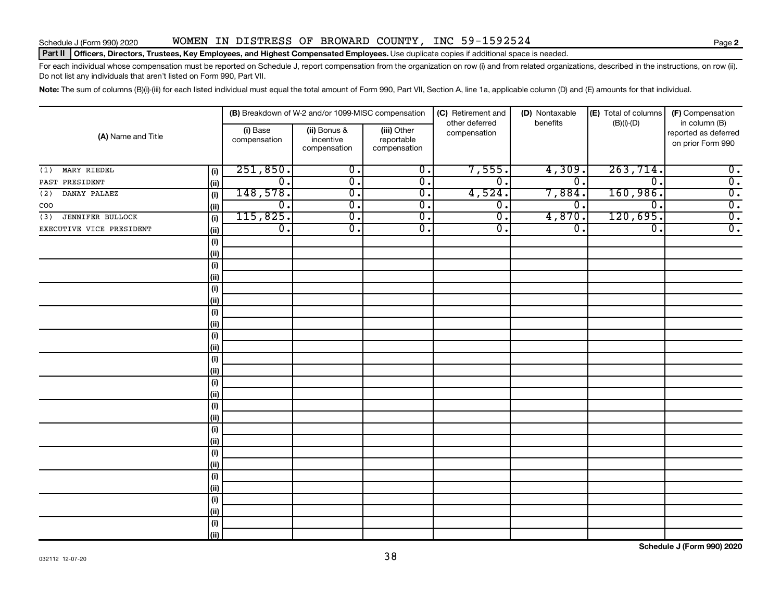#### Part II | Officers, Directors, Trustees, Key Employees, and Highest Compensated Employees. Use duplicate copies if additional space is needed.

For each individual whose compensation must be reported on Schedule J, report compensation from the organization on row (i) and from related organizations, described in the instructions, on row (ii). Do not list any individuals that aren't listed on Form 990, Part VII.

Note: The sum of columns (B)(i)-(iii) for each listed individual must equal the total amount of Form 990, Part VII, Section A, line 1a, applicable column (D) and (E) amounts for that individual.

|                                |                                      |                          | (B) Breakdown of W-2 and/or 1099-MISC compensation |                                           | (C) Retirement and | (D) Nontaxable             | (E) Total of columns<br>$(B)(i)-(D)$ | (F) Compensation                                           |
|--------------------------------|--------------------------------------|--------------------------|----------------------------------------------------|-------------------------------------------|--------------------|----------------------------|--------------------------------------|------------------------------------------------------------|
| (A) Name and Title             |                                      | (i) Base<br>compensation | (ii) Bonus &<br>incentive<br>compensation          | (iii) Other<br>reportable<br>compensation | compensation       | other deferred<br>benefits |                                      | in column (B)<br>reported as deferred<br>on prior Form 990 |
| MARY RIEDEL<br>(1)             | (i)                                  | 251,850.                 | $\overline{0}$ .                                   | $\overline{0}$ .                          | 7,555.             | 4,309.                     | 263,714.                             | $\overline{0}$ .                                           |
| PAST PRESIDENT                 | (ii)                                 | $\overline{0}$ .         | $\overline{0}$ .                                   | $\overline{0}$ .                          | σ.                 | $\overline{0}$ .           | $\mathbf{0}$ .                       | $\overline{0}$ .                                           |
| DANAY PALAEZ<br>(2)            | (i)                                  | 148,578.                 | $\overline{0}$ .                                   | $\overline{0}$ .                          | 4,524.             | 7,884.                     | 160,986.                             | $\overline{0}$ .                                           |
| COO                            | (ii)                                 | $\overline{0}$ .         | $\overline{0}$                                     | $\overline{0}$ .                          | σ.                 | 0.                         | 0.                                   | $\overline{0}$ .                                           |
| <b>JENNIFER BULLOCK</b><br>(3) | (i)                                  | 115,825.                 | $\overline{0}$                                     | $\overline{0}$ .                          | $\overline{0}$ .   | 4,870.                     | 120,695.                             | $\overline{0}$ .                                           |
| EXECUTIVE VICE PRESIDENT       | (ii)                                 | $\overline{0}$ .         | $\overline{0}$ .                                   | $\overline{0}$ .                          | σ.                 | $\overline{0}$ .           | $\overline{0}$ .                     | $\overline{0}$ .                                           |
|                                | (i)                                  |                          |                                                    |                                           |                    |                            |                                      |                                                            |
|                                | (ii)                                 |                          |                                                    |                                           |                    |                            |                                      |                                                            |
|                                | (i)                                  |                          |                                                    |                                           |                    |                            |                                      |                                                            |
|                                | (ii)                                 |                          |                                                    |                                           |                    |                            |                                      |                                                            |
|                                | $\qquad \qquad \textbf{(i)}$         |                          |                                                    |                                           |                    |                            |                                      |                                                            |
|                                | (ii)                                 |                          |                                                    |                                           |                    |                            |                                      |                                                            |
|                                | $\qquad \qquad \textbf{(i)}$         |                          |                                                    |                                           |                    |                            |                                      |                                                            |
|                                | (ii)                                 |                          |                                                    |                                           |                    |                            |                                      |                                                            |
|                                | (i)                                  |                          |                                                    |                                           |                    |                            |                                      |                                                            |
|                                | (i)                                  |                          |                                                    |                                           |                    |                            |                                      |                                                            |
|                                | (i)                                  |                          |                                                    |                                           |                    |                            |                                      |                                                            |
|                                | (ii)<br>$\qquad \qquad \textbf{(i)}$ |                          |                                                    |                                           |                    |                            |                                      |                                                            |
|                                | (ii)                                 |                          |                                                    |                                           |                    |                            |                                      |                                                            |
|                                | $(\sf{i})$                           |                          |                                                    |                                           |                    |                            |                                      |                                                            |
|                                | (ii)                                 |                          |                                                    |                                           |                    |                            |                                      |                                                            |
|                                | $(\sf{i})$                           |                          |                                                    |                                           |                    |                            |                                      |                                                            |
|                                | (ii)                                 |                          |                                                    |                                           |                    |                            |                                      |                                                            |
|                                | $(\sf{i})$                           |                          |                                                    |                                           |                    |                            |                                      |                                                            |
|                                | (ii)                                 |                          |                                                    |                                           |                    |                            |                                      |                                                            |
|                                | (i)                                  |                          |                                                    |                                           |                    |                            |                                      |                                                            |
|                                | (ii)                                 |                          |                                                    |                                           |                    |                            |                                      |                                                            |
|                                | (i)                                  |                          |                                                    |                                           |                    |                            |                                      |                                                            |
|                                | (ii)                                 |                          |                                                    |                                           |                    |                            |                                      |                                                            |
|                                | (i)                                  |                          |                                                    |                                           |                    |                            |                                      |                                                            |
|                                | (ii)                                 |                          |                                                    |                                           |                    |                            |                                      |                                                            |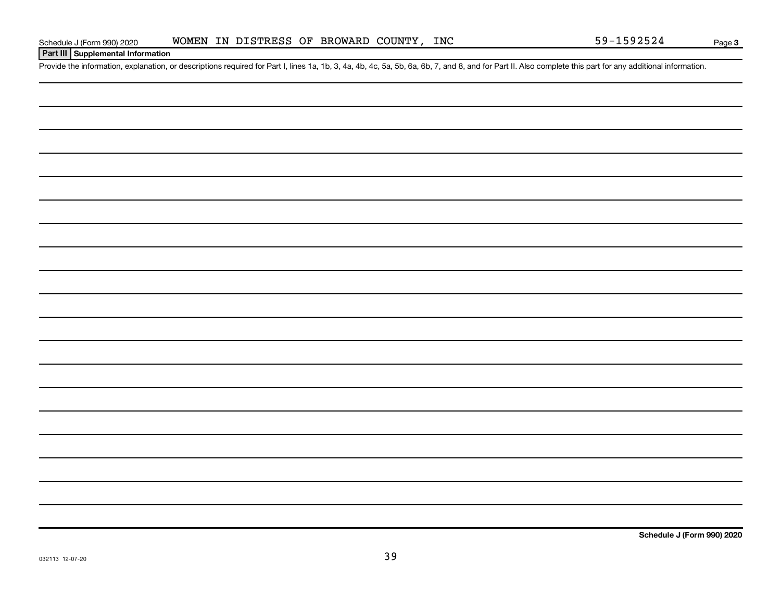#### **Part III Supplemental Information**

Provide the information, explanation, or descriptions required for Part I, lines 1a, 1b, 3, 4a, 4b, 4c, 5a, 5b, 6a, 6b, 7, and 8, and for Part II. Also complete this part for any additional information.

**Schedule J (Form 990) 2020**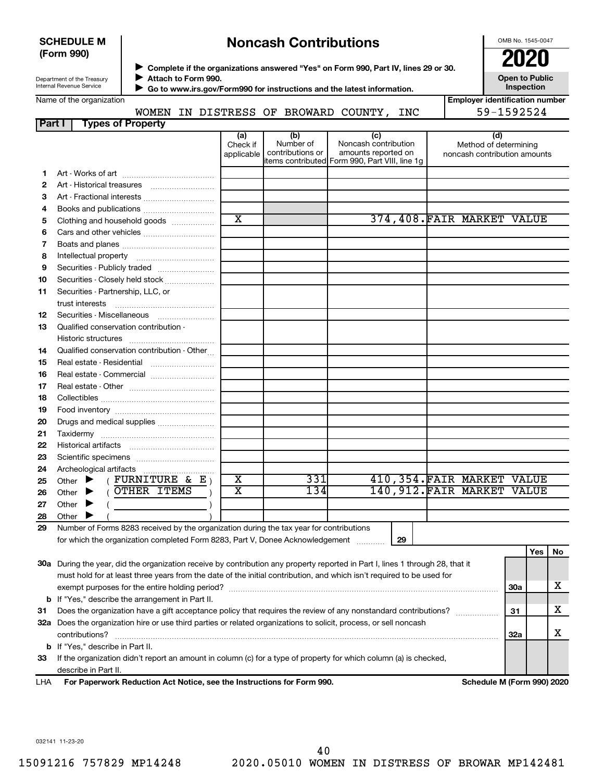#### **SCHEDULE M (Form 990)**

## **Noncash Contributions**

OMB No. 1545-0047

| Department of the Treasury |
|----------------------------|
| Internal Revenue Service   |

◆ Complete if the organizations answered "Yes" on Form 990, Part IV, lines 29 or 30.<br>● Complete if the organizations answered "Yes" on Form 990, Part IV, lines 29 or 30. **Attach to Form 990.** J

**Open to Public Inspection**

| Internal Revenue Service | Go to www.irs.gov/Form990 for instructions and the latest information. |
|--------------------------|------------------------------------------------------------------------|
| Name of the organization |                                                                        |

| <b>Employer identification number</b> |            |  |
|---------------------------------------|------------|--|
|                                       | 59-1592524 |  |

|                                                         | WOMEN IN DISTRESS OF BROWARD COUNTY, INC                                                                                       |                               |                                      |                                                                                                      |    |  | 59-1592524                                                   |     |     |            |
|---------------------------------------------------------|--------------------------------------------------------------------------------------------------------------------------------|-------------------------------|--------------------------------------|------------------------------------------------------------------------------------------------------|----|--|--------------------------------------------------------------|-----|-----|------------|
| <b>Part</b> I                                           | <b>Types of Property</b>                                                                                                       |                               |                                      |                                                                                                      |    |  |                                                              |     |     |            |
|                                                         |                                                                                                                                | (a)<br>Check if<br>applicable | (b)<br>Number of<br>contributions or | (c)<br>Noncash contribution<br>amounts reported on<br>items contributed Form 990, Part VIII, line 1g |    |  | (d)<br>Method of determining<br>noncash contribution amounts |     |     |            |
| 1.                                                      |                                                                                                                                |                               |                                      |                                                                                                      |    |  |                                                              |     |     |            |
| 2                                                       |                                                                                                                                |                               |                                      |                                                                                                      |    |  |                                                              |     |     |            |
| З                                                       | Art - Fractional interests                                                                                                     |                               |                                      |                                                                                                      |    |  |                                                              |     |     |            |
| 4                                                       |                                                                                                                                |                               |                                      |                                                                                                      |    |  |                                                              |     |     |            |
| 5                                                       | Clothing and household goods                                                                                                   | $\overline{\text{x}}$         |                                      |                                                                                                      |    |  | 374,408. FAIR MARKET VALUE                                   |     |     |            |
| 6                                                       | Cars and other vehicles                                                                                                        |                               |                                      |                                                                                                      |    |  |                                                              |     |     |            |
| 7                                                       |                                                                                                                                |                               |                                      |                                                                                                      |    |  |                                                              |     |     |            |
| 8                                                       |                                                                                                                                |                               |                                      |                                                                                                      |    |  |                                                              |     |     |            |
| 9                                                       | Securities - Publicly traded                                                                                                   |                               |                                      |                                                                                                      |    |  |                                                              |     |     |            |
| 10                                                      | Securities - Closely held stock                                                                                                |                               |                                      |                                                                                                      |    |  |                                                              |     |     |            |
| 11                                                      | Securities - Partnership, LLC, or                                                                                              |                               |                                      |                                                                                                      |    |  |                                                              |     |     |            |
|                                                         |                                                                                                                                |                               |                                      |                                                                                                      |    |  |                                                              |     |     |            |
| 12                                                      | Securities - Miscellaneous                                                                                                     |                               |                                      |                                                                                                      |    |  |                                                              |     |     |            |
| 13                                                      | Qualified conservation contribution -                                                                                          |                               |                                      |                                                                                                      |    |  |                                                              |     |     |            |
|                                                         |                                                                                                                                |                               |                                      |                                                                                                      |    |  |                                                              |     |     |            |
| 14                                                      | Qualified conservation contribution - Other                                                                                    |                               |                                      |                                                                                                      |    |  |                                                              |     |     |            |
| 15                                                      | Real estate - Residential                                                                                                      |                               |                                      |                                                                                                      |    |  |                                                              |     |     |            |
| 16                                                      | Real estate - Commercial                                                                                                       |                               |                                      |                                                                                                      |    |  |                                                              |     |     |            |
| 17                                                      |                                                                                                                                |                               |                                      |                                                                                                      |    |  |                                                              |     |     |            |
| 18                                                      |                                                                                                                                |                               |                                      |                                                                                                      |    |  |                                                              |     |     |            |
| 19                                                      |                                                                                                                                |                               |                                      |                                                                                                      |    |  |                                                              |     |     |            |
| 20                                                      | Drugs and medical supplies                                                                                                     |                               |                                      |                                                                                                      |    |  |                                                              |     |     |            |
| 21                                                      |                                                                                                                                |                               |                                      |                                                                                                      |    |  |                                                              |     |     |            |
| 22                                                      |                                                                                                                                |                               |                                      |                                                                                                      |    |  |                                                              |     |     |            |
| 23                                                      |                                                                                                                                |                               |                                      |                                                                                                      |    |  |                                                              |     |     |            |
| 24                                                      |                                                                                                                                |                               |                                      |                                                                                                      |    |  |                                                              |     |     |            |
| 25                                                      | (FURNITURE & E)<br>Other $\blacktriangleright$                                                                                 | $\overline{\mathbf{x}}$       | 331                                  |                                                                                                      |    |  | 410, 354. FAIR MARKET VALUE                                  |     |     |            |
| 26                                                      | ( OTHER ITEMS<br>Other $\blacktriangleright$                                                                                   | $\overline{\text{x}}$         | 134                                  |                                                                                                      |    |  | 140, 912. FAIR MARKET VALUE                                  |     |     |            |
| 27                                                      | Other $\blacktriangleright$                                                                                                    |                               |                                      |                                                                                                      |    |  |                                                              |     |     |            |
| 28                                                      | Other $\blacktriangleright$                                                                                                    |                               |                                      |                                                                                                      |    |  |                                                              |     |     |            |
| 29                                                      | Number of Forms 8283 received by the organization during the tax year for contributions                                        |                               |                                      |                                                                                                      |    |  |                                                              |     |     |            |
|                                                         | for which the organization completed Form 8283, Part V, Donee Acknowledgement                                                  |                               |                                      |                                                                                                      | 29 |  |                                                              |     |     |            |
|                                                         |                                                                                                                                |                               |                                      |                                                                                                      |    |  |                                                              |     | Yes | $\vert$ No |
|                                                         | 30a During the year, did the organization receive by contribution any property reported in Part I, lines 1 through 28, that it |                               |                                      |                                                                                                      |    |  |                                                              |     |     |            |
|                                                         | must hold for at least three years from the date of the initial contribution, and which isn't required to be used for          |                               |                                      |                                                                                                      |    |  |                                                              |     |     |            |
|                                                         |                                                                                                                                |                               |                                      |                                                                                                      |    |  | 30a                                                          |     | х   |            |
| <b>b</b> If "Yes," describe the arrangement in Part II. |                                                                                                                                |                               |                                      |                                                                                                      |    |  |                                                              |     |     |            |
| 31                                                      | Does the organization have a gift acceptance policy that requires the review of any nonstandard contributions?                 |                               |                                      |                                                                                                      |    |  |                                                              | 31  |     | х          |
|                                                         | 32a Does the organization hire or use third parties or related organizations to solicit, process, or sell noncash              |                               |                                      |                                                                                                      |    |  |                                                              |     |     |            |
|                                                         | contributions?                                                                                                                 |                               |                                      |                                                                                                      |    |  |                                                              | 32a |     | x          |
|                                                         | <b>b</b> If "Yes," describe in Part II.                                                                                        |                               |                                      |                                                                                                      |    |  |                                                              |     |     |            |

**For Paperwork Reduction Act Notice, see the Instructions for Form 990. Schedule M (Form 990) 2020** LHA describe in Part II.

**33** If the organization didn't report an amount in column (c) for a type of property for which column (a) is checked,

032141 11-23-20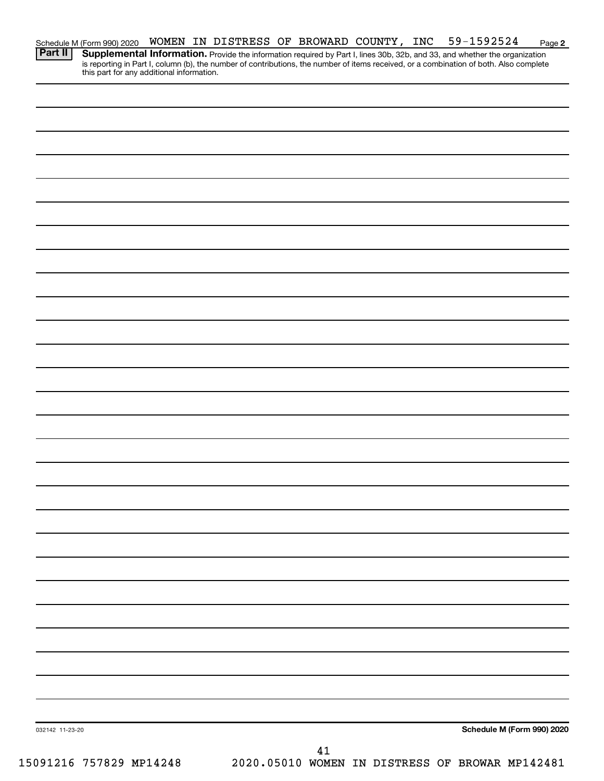|                | Schedule M (Form 990) 2020                |  |  |  | WOMEN IN DISTRESS OF BROWARD COUNTY, INC 59-1592524                                                                                                                                                                                                                  | Page 2 |
|----------------|-------------------------------------------|--|--|--|----------------------------------------------------------------------------------------------------------------------------------------------------------------------------------------------------------------------------------------------------------------------|--------|
| <b>Part II</b> |                                           |  |  |  | Supplemental Information. Provide the information required by Part I, lines 30b, 32b, and 33, and whether the organization<br>is reporting in Part I, column (b), the number of contributions, the number of items received, or a combination of both. Also complete |        |
|                | this part for any additional information. |  |  |  |                                                                                                                                                                                                                                                                      |        |
|                |                                           |  |  |  |                                                                                                                                                                                                                                                                      |        |

| 15091216 757829 MP14248 | $41\,$ | 2020.05010 WOMEN IN DISTRESS OF BROWAR MP142481 |                            |
|-------------------------|--------|-------------------------------------------------|----------------------------|
| 032142 11-23-20         |        |                                                 | Schedule M (Form 990) 2020 |
|                         |        |                                                 |                            |
|                         |        |                                                 |                            |
|                         |        |                                                 |                            |
|                         |        |                                                 |                            |
|                         |        |                                                 |                            |
|                         |        |                                                 |                            |
|                         |        |                                                 |                            |
|                         |        |                                                 |                            |
|                         |        |                                                 |                            |
|                         |        |                                                 |                            |
|                         |        |                                                 |                            |
|                         |        |                                                 |                            |
|                         |        |                                                 |                            |
|                         |        |                                                 |                            |
|                         |        |                                                 |                            |
|                         |        |                                                 |                            |
|                         |        |                                                 |                            |
|                         |        |                                                 |                            |
|                         |        |                                                 |                            |
|                         |        |                                                 |                            |
|                         |        |                                                 |                            |
|                         |        |                                                 |                            |
|                         |        |                                                 |                            |
|                         |        |                                                 |                            |
|                         |        |                                                 |                            |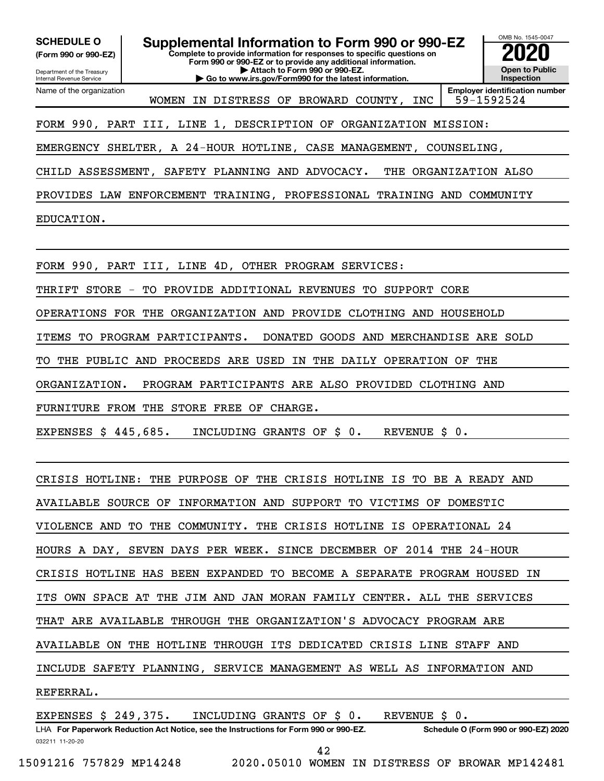**(Form 990 or 990-EZ)**

Department of the Treasury Internal Revenue Service

**Complete to provide information for responses to specific questions on Form 990 or 990-EZ or to provide any additional information. | Attach to Form 990 or 990-EZ. | Go to www.irs.gov/Form990 for the latest information. SCHEDULE O Supplemental Information to Form 990 or 990-EZ 2020**<br>(Form 990 or 990-EZ) Complete to provide information for responses to specific questions on



Name of the organization WOMEN IN DISTRESS OF BROWARD COUNTY, INC  $\vert$  59-1592524

FORM 990, PART III, LINE 1, DESCRIPTION OF ORGANIZATION MISSION:

EMERGENCY SHELTER, A 24-HOUR HOTLINE, CASE MANAGEMENT, COUNSELING,

CHILD ASSESSMENT, SAFETY PLANNING AND ADVOCACY. THE ORGANIZATION ALSO

PROVIDES LAW ENFORCEMENT TRAINING, PROFESSIONAL TRAINING AND COMMUNITY

EDUCATION.

FORM 990, PART III, LINE 4D, OTHER PROGRAM SERVICES:

THRIFT STORE - TO PROVIDE ADDITIONAL REVENUES TO SUPPORT CORE

OPERATIONS FOR THE ORGANIZATION AND PROVIDE CLOTHING AND HOUSEHOLD

ITEMS TO PROGRAM PARTICIPANTS. DONATED GOODS AND MERCHANDISE ARE SOLD

TO THE PUBLIC AND PROCEEDS ARE USED IN THE DAILY OPERATION OF THE

ORGANIZATION. PROGRAM PARTICIPANTS ARE ALSO PROVIDED CLOTHING AND

FURNITURE FROM THE STORE FREE OF CHARGE.

EXPENSES \$ 445,685. INCLUDING GRANTS OF \$ 0. REVENUE \$ 0.

CRISIS HOTLINE: THE PURPOSE OF THE CRISIS HOTLINE IS TO BE A READY AND AVAILABLE SOURCE OF INFORMATION AND SUPPORT TO VICTIMS OF DOMESTIC VIOLENCE AND TO THE COMMUNITY. THE CRISIS HOTLINE IS OPERATIONAL 24 HOURS A DAY, SEVEN DAYS PER WEEK. SINCE DECEMBER OF 2014 THE 24-HOUR CRISIS HOTLINE HAS BEEN EXPANDED TO BECOME A SEPARATE PROGRAM HOUSED IN ITS OWN SPACE AT THE JIM AND JAN MORAN FAMILY CENTER. ALL THE SERVICES THAT ARE AVAILABLE THROUGH THE ORGANIZATION'S ADVOCACY PROGRAM ARE AVAILABLE ON THE HOTLINE THROUGH ITS DEDICATED CRISIS LINE STAFF AND INCLUDE SAFETY PLANNING, SERVICE MANAGEMENT AS WELL AS INFORMATION AND REFERRAL.

EXPENSES \$ 249,375. INCLUDING GRANTS OF \$ 0. REVENUE \$ 0.

032211 11-20-20 **For Paperwork Reduction Act Notice, see the Instructions for Form 990 or 990-EZ. Schedule O (Form 990 or 990-EZ) 2020** LHA 42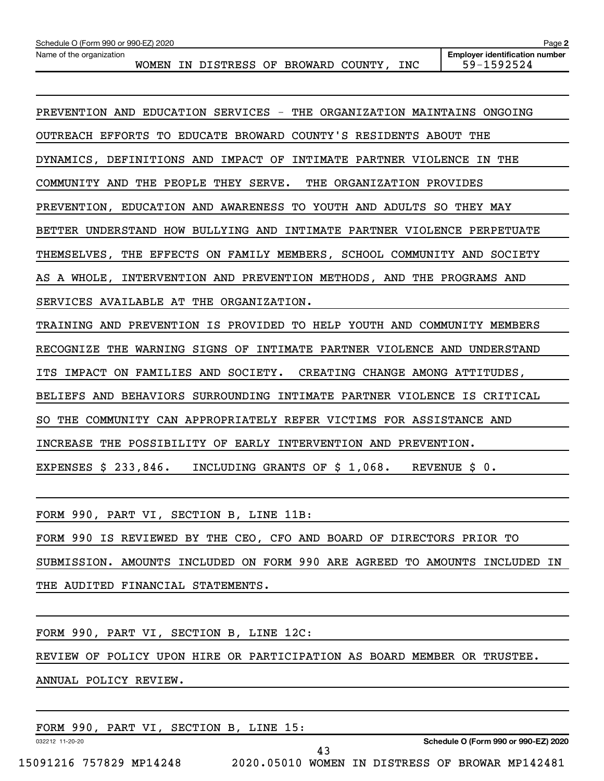PREVENTION AND EDUCATION SERVICES - THE ORGANIZATION MAINTAINS ONGOING OUTREACH EFFORTS TO EDUCATE BROWARD COUNTY'S RESIDENTS ABOUT THE DYNAMICS, DEFINITIONS AND IMPACT OF INTIMATE PARTNER VIOLENCE IN THE COMMUNITY AND THE PEOPLE THEY SERVE. THE ORGANIZATION PROVIDES PREVENTION, EDUCATION AND AWARENESS TO YOUTH AND ADULTS SO THEY MAY BETTER UNDERSTAND HOW BULLYING AND INTIMATE PARTNER VIOLENCE PERPETUATE THEMSELVES, THE EFFECTS ON FAMILY MEMBERS, SCHOOL COMMUNITY AND SOCIETY AS A WHOLE, INTERVENTION AND PREVENTION METHODS, AND THE PROGRAMS AND SERVICES AVAILABLE AT THE ORGANIZATION. TRAINING AND PREVENTION IS PROVIDED TO HELP YOUTH AND COMMUNITY MEMBERS RECOGNIZE THE WARNING SIGNS OF INTIMATE PARTNER VIOLENCE AND UNDERSTAND ITS IMPACT ON FAMILIES AND SOCIETY. CREATING CHANGE AMONG ATTITUDES,

BELIEFS AND BEHAVIORS SURROUNDING INTIMATE PARTNER VIOLENCE IS CRITICAL

SO THE COMMUNITY CAN APPROPRIATELY REFER VICTIMS FOR ASSISTANCE AND

INCREASE THE POSSIBILITY OF EARLY INTERVENTION AND PREVENTION.

EXPENSES \$ 233,846. INCLUDING GRANTS OF \$ 1,068. REVENUE \$ 0.

FORM 990, PART VI, SECTION B, LINE 11B:

FORM 990 IS REVIEWED BY THE CEO, CFO AND BOARD OF DIRECTORS PRIOR TO

SUBMISSION. AMOUNTS INCLUDED ON FORM 990 ARE AGREED TO AMOUNTS INCLUDED IN

THE AUDITED FINANCIAL STATEMENTS.

FORM 990, PART VI, SECTION B, LINE 12C:

REVIEW OF POLICY UPON HIRE OR PARTICIPATION AS BOARD MEMBER OR TRUSTEE.

ANNUAL POLICY REVIEW.

| 990<br>VI<br>PART<br>FORM | SECTION B,<br>LINE<br>tb: |                                      |
|---------------------------|---------------------------|--------------------------------------|
| 032212 11-20-20           |                           | Schedule O (Form 990 or 990-EZ) 2020 |